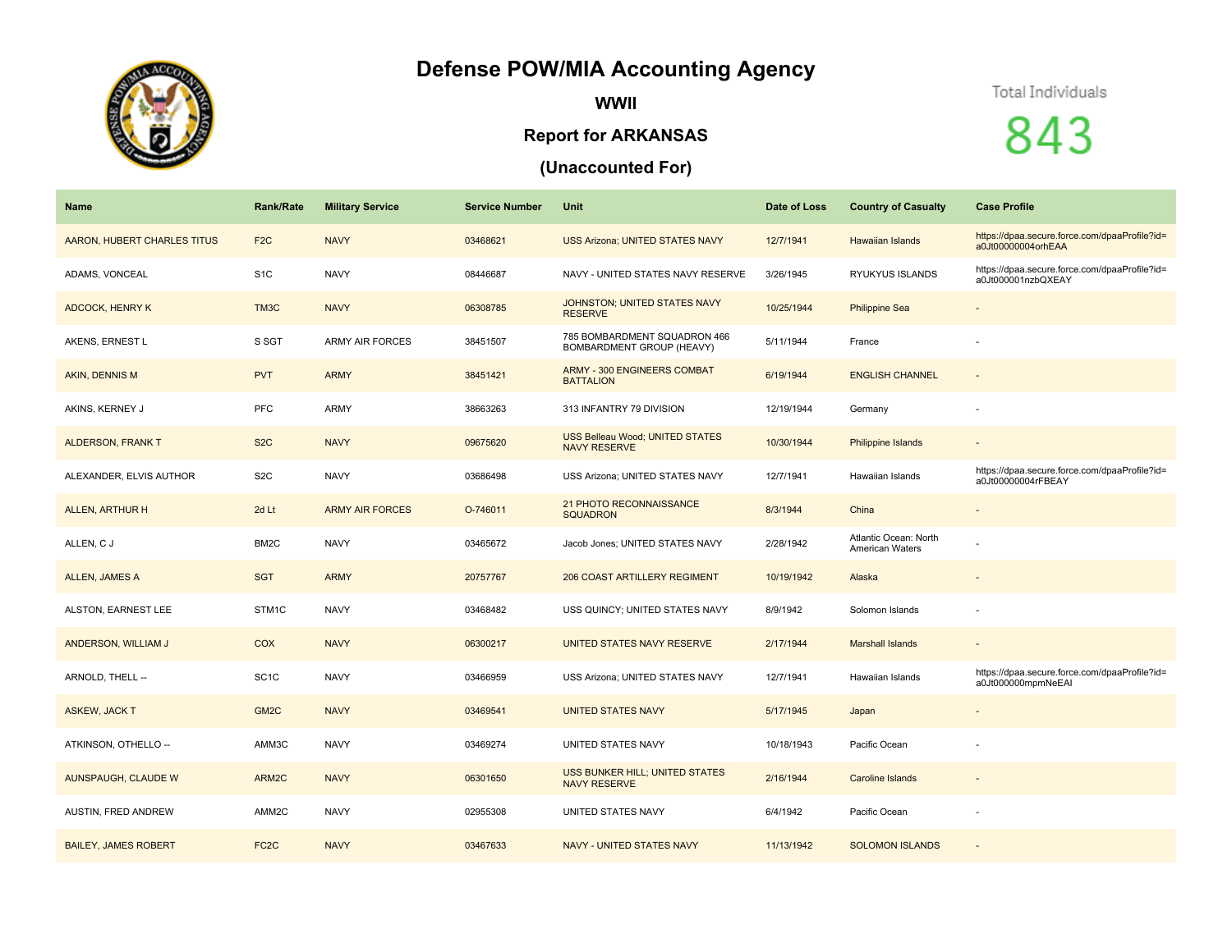## **Defense POW/MIA Accounting Agency**



**WWII**

## **Report for ARKANSAS**

## **(Unaccounted For)**

## Total Individuals

843

| Name                        | <b>Rank/Rate</b>  | <b>Military Service</b> | <b>Service Number</b> | Unit                                                          | Date of Loss | <b>Country of Casualty</b>                      | <b>Case Profile</b>                                                 |
|-----------------------------|-------------------|-------------------------|-----------------------|---------------------------------------------------------------|--------------|-------------------------------------------------|---------------------------------------------------------------------|
| AARON, HUBERT CHARLES TITUS | F <sub>2</sub> C  | <b>NAVY</b>             | 03468621              | <b>USS Arizona; UNITED STATES NAVY</b>                        | 12/7/1941    | <b>Hawaiian Islands</b>                         | https://dpaa.secure.force.com/dpaaProfile?id=<br>a0Jt00000004orhEAA |
| ADAMS, VONCEAL              | S <sub>1</sub> C  | <b>NAVY</b>             | 08446687              | NAVY - UNITED STATES NAVY RESERVE                             | 3/26/1945    | RYUKYUS ISLANDS                                 | https://dpaa.secure.force.com/dpaaProfile?id=<br>a0Jt000001nzbQXEAY |
| <b>ADCOCK, HENRY K</b>      | TM3C              | <b>NAVY</b>             | 06308785              | JOHNSTON; UNITED STATES NAVY<br><b>RESERVE</b>                | 10/25/1944   | <b>Philippine Sea</b>                           |                                                                     |
| AKENS, ERNEST L             | S SGT             | <b>ARMY AIR FORCES</b>  | 38451507              | 785 BOMBARDMENT SQUADRON 466<br>BOMBARDMENT GROUP (HEAVY)     | 5/11/1944    | France                                          |                                                                     |
| AKIN, DENNIS M              | <b>PVT</b>        | <b>ARMY</b>             | 38451421              | ARMY - 300 ENGINEERS COMBAT<br><b>BATTALION</b>               | 6/19/1944    | <b>ENGLISH CHANNEL</b>                          | $\sim$                                                              |
| AKINS, KERNEY J             | PFC               | <b>ARMY</b>             | 38663263              | 313 INFANTRY 79 DIVISION                                      | 12/19/1944   | Germany                                         |                                                                     |
| <b>ALDERSON, FRANK T</b>    | S <sub>2</sub> C  | <b>NAVY</b>             | 09675620              | <b>USS Belleau Wood; UNITED STATES</b><br><b>NAVY RESERVE</b> | 10/30/1944   | Philippine Islands                              |                                                                     |
| ALEXANDER, ELVIS AUTHOR     | S <sub>2</sub> C  | <b>NAVY</b>             | 03686498              | USS Arizona; UNITED STATES NAVY                               | 12/7/1941    | Hawaiian Islands                                | https://dpaa.secure.force.com/dpaaProfile?id=<br>a0Jt00000004rFBEAY |
| ALLEN, ARTHUR H             | 2d Lt             | <b>ARMY AIR FORCES</b>  | O-746011              | 21 PHOTO RECONNAISSANCE<br><b>SQUADRON</b>                    | 8/3/1944     | China                                           |                                                                     |
| ALLEN, C J                  | BM <sub>2</sub> C | <b>NAVY</b>             | 03465672              | Jacob Jones; UNITED STATES NAVY                               | 2/28/1942    | Atlantic Ocean: North<br><b>American Waters</b> |                                                                     |
| ALLEN, JAMES A              | <b>SGT</b>        | <b>ARMY</b>             | 20757767              | 206 COAST ARTILLERY REGIMENT                                  | 10/19/1942   | Alaska                                          |                                                                     |
| ALSTON, EARNEST LEE         | STM1C             | <b>NAVY</b>             | 03468482              | USS QUINCY; UNITED STATES NAVY                                | 8/9/1942     | Solomon Islands                                 |                                                                     |
| ANDERSON, WILLIAM J         | COX               | <b>NAVY</b>             | 06300217              | UNITED STATES NAVY RESERVE                                    | 2/17/1944    | <b>Marshall Islands</b>                         | $\sim$                                                              |
| ARNOLD, THELL --            | SC <sub>1</sub> C | <b>NAVY</b>             | 03466959              | USS Arizona; UNITED STATES NAVY                               | 12/7/1941    | Hawaiian Islands                                | https://dpaa.secure.force.com/dpaaProfile?id=<br>a0Jt000000mpmNeEAI |
| <b>ASKEW, JACK T</b>        | GM <sub>2</sub> C | <b>NAVY</b>             | 03469541              | <b>UNITED STATES NAVY</b>                                     | 5/17/1945    | Japan                                           |                                                                     |
| ATKINSON, OTHELLO --        | AMM3C             | <b>NAVY</b>             | 03469274              | UNITED STATES NAVY                                            | 10/18/1943   | Pacific Ocean                                   |                                                                     |
| AUNSPAUGH, CLAUDE W         | ARM2C             | <b>NAVY</b>             | 06301650              | USS BUNKER HILL; UNITED STATES<br><b>NAVY RESERVE</b>         | 2/16/1944    | <b>Caroline Islands</b>                         |                                                                     |
| AUSTIN, FRED ANDREW         | AMM2C             | <b>NAVY</b>             | 02955308              | UNITED STATES NAVY                                            | 6/4/1942     | Pacific Ocean                                   |                                                                     |
| <b>BAILEY, JAMES ROBERT</b> | FC <sub>2</sub> C | <b>NAVY</b>             | 03467633              | <b>NAVY - UNITED STATES NAVY</b>                              | 11/13/1942   | <b>SOLOMON ISLANDS</b>                          |                                                                     |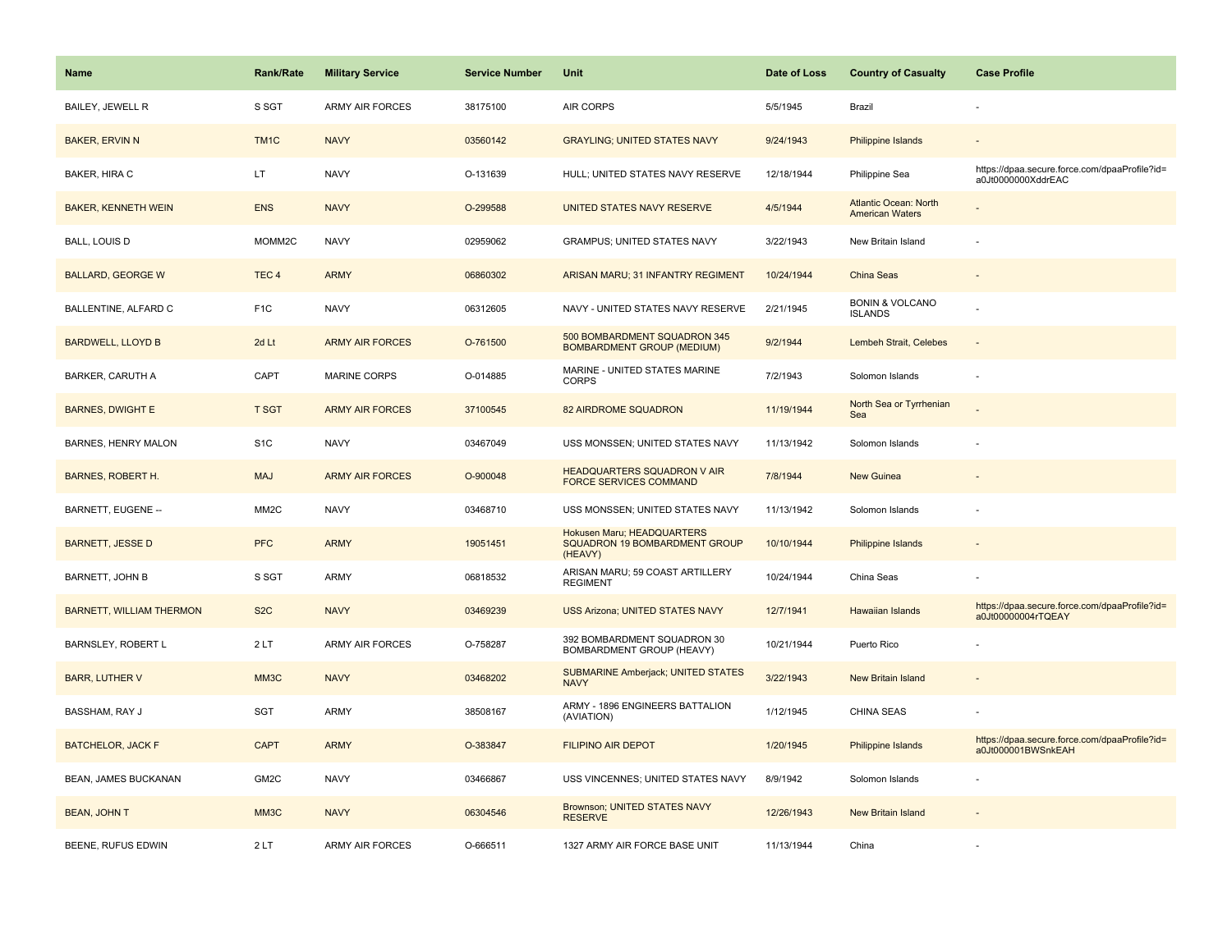| <b>Name</b>                     | <b>Rank/Rate</b>  | <b>Military Service</b> | <b>Service Number</b> | Unit                                                                   | Date of Loss | <b>Country of Casualty</b>                             | <b>Case Profile</b>                                                 |
|---------------------------------|-------------------|-------------------------|-----------------------|------------------------------------------------------------------------|--------------|--------------------------------------------------------|---------------------------------------------------------------------|
| BAILEY, JEWELL R                | S SGT             | <b>ARMY AIR FORCES</b>  | 38175100              | AIR CORPS                                                              | 5/5/1945     | Brazil                                                 |                                                                     |
| <b>BAKER, ERVIN N</b>           | TM <sub>1</sub> C | <b>NAVY</b>             | 03560142              | <b>GRAYLING: UNITED STATES NAVY</b>                                    | 9/24/1943    | Philippine Islands                                     |                                                                     |
| BAKER, HIRA C                   | LT                | <b>NAVY</b>             | O-131639              | HULL; UNITED STATES NAVY RESERVE                                       | 12/18/1944   | Philippine Sea                                         | https://dpaa.secure.force.com/dpaaProfile?id=<br>a0Jt0000000XddrEAC |
| <b>BAKER, KENNETH WEIN</b>      | <b>ENS</b>        | <b>NAVY</b>             | O-299588              | UNITED STATES NAVY RESERVE                                             | 4/5/1944     | <b>Atlantic Ocean: North</b><br><b>American Waters</b> |                                                                     |
| <b>BALL, LOUIS D</b>            | MOMM2C            | <b>NAVY</b>             | 02959062              | <b>GRAMPUS; UNITED STATES NAVY</b>                                     | 3/22/1943    | New Britain Island                                     |                                                                     |
| <b>BALLARD, GEORGE W</b>        | TEC <sub>4</sub>  | <b>ARMY</b>             | 06860302              | ARISAN MARU; 31 INFANTRY REGIMENT                                      | 10/24/1944   | <b>China Seas</b>                                      |                                                                     |
| BALLENTINE, ALFARD C            | F <sub>1</sub> C  | <b>NAVY</b>             | 06312605              | NAVY - UNITED STATES NAVY RESERVE                                      | 2/21/1945    | <b>BONIN &amp; VOLCANO</b><br><b>ISLANDS</b>           |                                                                     |
| <b>BARDWELL, LLOYD B</b>        | 2d Lt             | <b>ARMY AIR FORCES</b>  | O-761500              | 500 BOMBARDMENT SQUADRON 345<br><b>BOMBARDMENT GROUP (MEDIUM)</b>      | 9/2/1944     | Lembeh Strait, Celebes                                 | $\sim$                                                              |
| BARKER, CARUTH A                | CAPT              | MARINE CORPS            | O-014885              | MARINE - UNITED STATES MARINE<br><b>CORPS</b>                          | 7/2/1943     | Solomon Islands                                        |                                                                     |
| <b>BARNES, DWIGHT E</b>         | <b>T SGT</b>      | <b>ARMY AIR FORCES</b>  | 37100545              | <b>82 AIRDROME SQUADRON</b>                                            | 11/19/1944   | North Sea or Tyrrhenian<br>Sea                         |                                                                     |
| BARNES, HENRY MALON             | S <sub>1</sub> C  | <b>NAVY</b>             | 03467049              | USS MONSSEN; UNITED STATES NAVY                                        | 11/13/1942   | Solomon Islands                                        |                                                                     |
| <b>BARNES, ROBERT H.</b>        | <b>MAJ</b>        | <b>ARMY AIR FORCES</b>  | O-900048              | <b>HEADQUARTERS SQUADRON V AIR</b><br><b>FORCE SERVICES COMMAND</b>    | 7/8/1944     | New Guinea                                             |                                                                     |
| BARNETT, EUGENE --              | MM <sub>2</sub> C | <b>NAVY</b>             | 03468710              | USS MONSSEN; UNITED STATES NAVY                                        | 11/13/1942   | Solomon Islands                                        |                                                                     |
| <b>BARNETT, JESSE D</b>         | <b>PFC</b>        | <b>ARMY</b>             | 19051451              | Hokusen Maru; HEADQUARTERS<br>SQUADRON 19 BOMBARDMENT GROUP<br>(HEAVY) | 10/10/1944   | Philippine Islands                                     |                                                                     |
| <b>BARNETT, JOHN B</b>          | S SGT             | ARMY                    | 06818532              | ARISAN MARU; 59 COAST ARTILLERY<br><b>REGIMENT</b>                     | 10/24/1944   | China Seas                                             |                                                                     |
| <b>BARNETT, WILLIAM THERMON</b> | S <sub>2</sub> C  | <b>NAVY</b>             | 03469239              | <b>USS Arizona; UNITED STATES NAVY</b>                                 | 12/7/1941    | <b>Hawaiian Islands</b>                                | https://dpaa.secure.force.com/dpaaProfile?id=<br>a0Jt00000004rTQEAY |
| BARNSLEY, ROBERT L              | 2LT               | <b>ARMY AIR FORCES</b>  | O-758287              | 392 BOMBARDMENT SQUADRON 30<br>BOMBARDMENT GROUP (HEAVY)               | 10/21/1944   | Puerto Rico                                            |                                                                     |
| <b>BARR, LUTHER V</b>           | MM3C              | <b>NAVY</b>             | 03468202              | <b>SUBMARINE Amberjack; UNITED STATES</b><br><b>NAVY</b>               | 3/22/1943    | New Britain Island                                     |                                                                     |
| BASSHAM, RAY J                  | SGT               | ARMY                    | 38508167              | ARMY - 1896 ENGINEERS BATTALION<br>(AVIATION)                          | 1/12/1945    | CHINA SEAS                                             |                                                                     |
| <b>BATCHELOR, JACK F</b>        | <b>CAPT</b>       | <b>ARMY</b>             | O-383847              | <b>FILIPINO AIR DEPOT</b>                                              | 1/20/1945    | Philippine Islands                                     | https://dpaa.secure.force.com/dpaaProfile?id=<br>a0Jt000001BWSnkEAH |
| BEAN, JAMES BUCKANAN            | GM2C              | <b>NAVY</b>             | 03466867              | USS VINCENNES; UNITED STATES NAVY                                      | 8/9/1942     | Solomon Islands                                        |                                                                     |
| <b>BEAN, JOHN T</b>             | MM3C              | <b>NAVY</b>             | 06304546              | Brownson; UNITED STATES NAVY<br><b>RESERVE</b>                         | 12/26/1943   | New Britain Island                                     |                                                                     |
| BEENE, RUFUS EDWIN              | 2LT               | ARMY AIR FORCES         | O-666511              | 1327 ARMY AIR FORCE BASE UNIT                                          | 11/13/1944   | China                                                  |                                                                     |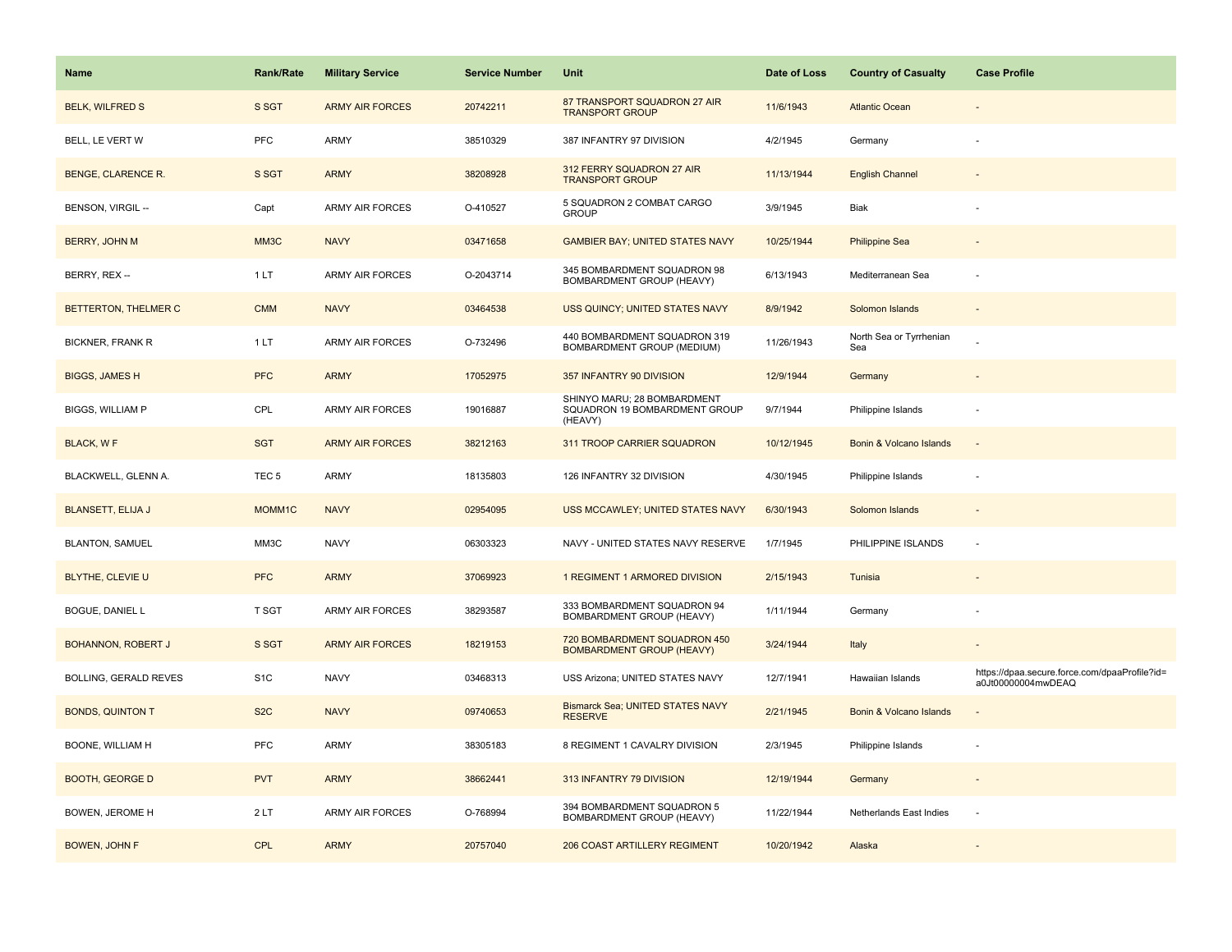| Name                      | <b>Rank/Rate</b> | <b>Military Service</b> | <b>Service Number</b> | Unit                                                                    | Date of Loss | <b>Country of Casualty</b>     | <b>Case Profile</b>                                                 |
|---------------------------|------------------|-------------------------|-----------------------|-------------------------------------------------------------------------|--------------|--------------------------------|---------------------------------------------------------------------|
| <b>BELK, WILFRED S</b>    | S SGT            | <b>ARMY AIR FORCES</b>  | 20742211              | 87 TRANSPORT SQUADRON 27 AIR<br><b>TRANSPORT GROUP</b>                  | 11/6/1943    | <b>Atlantic Ocean</b>          |                                                                     |
| BELL, LE VERT W           | <b>PFC</b>       | ARMY                    | 38510329              | 387 INFANTRY 97 DIVISION                                                | 4/2/1945     | Germany                        |                                                                     |
| <b>BENGE, CLARENCE R.</b> | S SGT            | <b>ARMY</b>             | 38208928              | 312 FERRY SQUADRON 27 AIR<br><b>TRANSPORT GROUP</b>                     | 11/13/1944   | <b>English Channel</b>         |                                                                     |
| BENSON, VIRGIL --         | Capt             | ARMY AIR FORCES         | O-410527              | 5 SQUADRON 2 COMBAT CARGO<br><b>GROUP</b>                               | 3/9/1945     | <b>Biak</b>                    |                                                                     |
| <b>BERRY, JOHN M</b>      | MM3C             | <b>NAVY</b>             | 03471658              | <b>GAMBIER BAY; UNITED STATES NAVY</b>                                  | 10/25/1944   | <b>Philippine Sea</b>          |                                                                     |
| BERRY, REX --             | 1LT              | ARMY AIR FORCES         | O-2043714             | 345 BOMBARDMENT SQUADRON 98<br>BOMBARDMENT GROUP (HEAVY)                | 6/13/1943    | Mediterranean Sea              |                                                                     |
| BETTERTON, THELMER C      | <b>CMM</b>       | <b>NAVY</b>             | 03464538              | USS QUINCY; UNITED STATES NAVY                                          | 8/9/1942     | Solomon Islands                | $\sim$                                                              |
| <b>BICKNER, FRANK R</b>   | 1LT              | <b>ARMY AIR FORCES</b>  | O-732496              | 440 BOMBARDMENT SQUADRON 319<br>BOMBARDMENT GROUP (MEDIUM)              | 11/26/1943   | North Sea or Tyrrhenian<br>Sea |                                                                     |
| <b>BIGGS, JAMES H</b>     | <b>PFC</b>       | <b>ARMY</b>             | 17052975              | 357 INFANTRY 90 DIVISION                                                | 12/9/1944    | Germany                        |                                                                     |
| <b>BIGGS, WILLIAM P</b>   | CPL              | <b>ARMY AIR FORCES</b>  | 19016887              | SHINYO MARU; 28 BOMBARDMENT<br>SQUADRON 19 BOMBARDMENT GROUP<br>(HEAVY) | 9/7/1944     | Philippine Islands             |                                                                     |
| BLACK, WF                 | <b>SGT</b>       | <b>ARMY AIR FORCES</b>  | 38212163              | 311 TROOP CARRIER SQUADRON                                              | 10/12/1945   | Bonin & Volcano Islands        |                                                                     |
| BLACKWELL, GLENN A.       | TEC <sub>5</sub> | ARMY                    | 18135803              | 126 INFANTRY 32 DIVISION                                                | 4/30/1945    | Philippine Islands             |                                                                     |
| <b>BLANSETT, ELIJA J</b>  | MOMM1C           | <b>NAVY</b>             | 02954095              | USS MCCAWLEY; UNITED STATES NAVY                                        | 6/30/1943    | Solomon Islands                |                                                                     |
| <b>BLANTON, SAMUEL</b>    | MM3C             | <b>NAVY</b>             | 06303323              | NAVY - UNITED STATES NAVY RESERVE                                       | 1/7/1945     | PHILIPPINE ISLANDS             |                                                                     |
| <b>BLYTHE, CLEVIE U</b>   | <b>PFC</b>       | <b>ARMY</b>             | 37069923              | 1 REGIMENT 1 ARMORED DIVISION                                           | 2/15/1943    | Tunisia                        |                                                                     |
| <b>BOGUE, DANIEL L</b>    | T SGT            | ARMY AIR FORCES         | 38293587              | 333 BOMBARDMENT SQUADRON 94<br>BOMBARDMENT GROUP (HEAVY)                | 1/11/1944    | Germany                        |                                                                     |
| <b>BOHANNON, ROBERT J</b> | S SGT            | <b>ARMY AIR FORCES</b>  | 18219153              | 720 BOMBARDMENT SQUADRON 450<br><b>BOMBARDMENT GROUP (HEAVY)</b>        | 3/24/1944    | Italy                          |                                                                     |
| BOLLING, GERALD REVES     | S <sub>1</sub> C | <b>NAVY</b>             | 03468313              | USS Arizona; UNITED STATES NAVY                                         | 12/7/1941    | Hawaiian Islands               | https://dpaa.secure.force.com/dpaaProfile?id=<br>a0Jt00000004mwDEAQ |
| <b>BONDS, QUINTON T</b>   | S <sub>2</sub> C | <b>NAVY</b>             | 09740653              | <b>Bismarck Sea: UNITED STATES NAVY</b><br><b>RESERVE</b>               | 2/21/1945    | Bonin & Volcano Islands        |                                                                     |
| BOONE, WILLIAM H          | <b>PFC</b>       | ARMY                    | 38305183              | 8 REGIMENT 1 CAVALRY DIVISION                                           | 2/3/1945     | Philippine Islands             |                                                                     |
| <b>BOOTH, GEORGE D</b>    | <b>PVT</b>       | <b>ARMY</b>             | 38662441              | 313 INFANTRY 79 DIVISION                                                | 12/19/1944   | Germany                        |                                                                     |
| BOWEN, JEROME H           | 2LT              | ARMY AIR FORCES         | O-768994              | 394 BOMBARDMENT SQUADRON 5<br>BOMBARDMENT GROUP (HEAVY)                 | 11/22/1944   | Netherlands East Indies        |                                                                     |
| <b>BOWEN, JOHN F</b>      | <b>CPL</b>       | <b>ARMY</b>             | 20757040              | 206 COAST ARTILLERY REGIMENT                                            | 10/20/1942   | Alaska                         |                                                                     |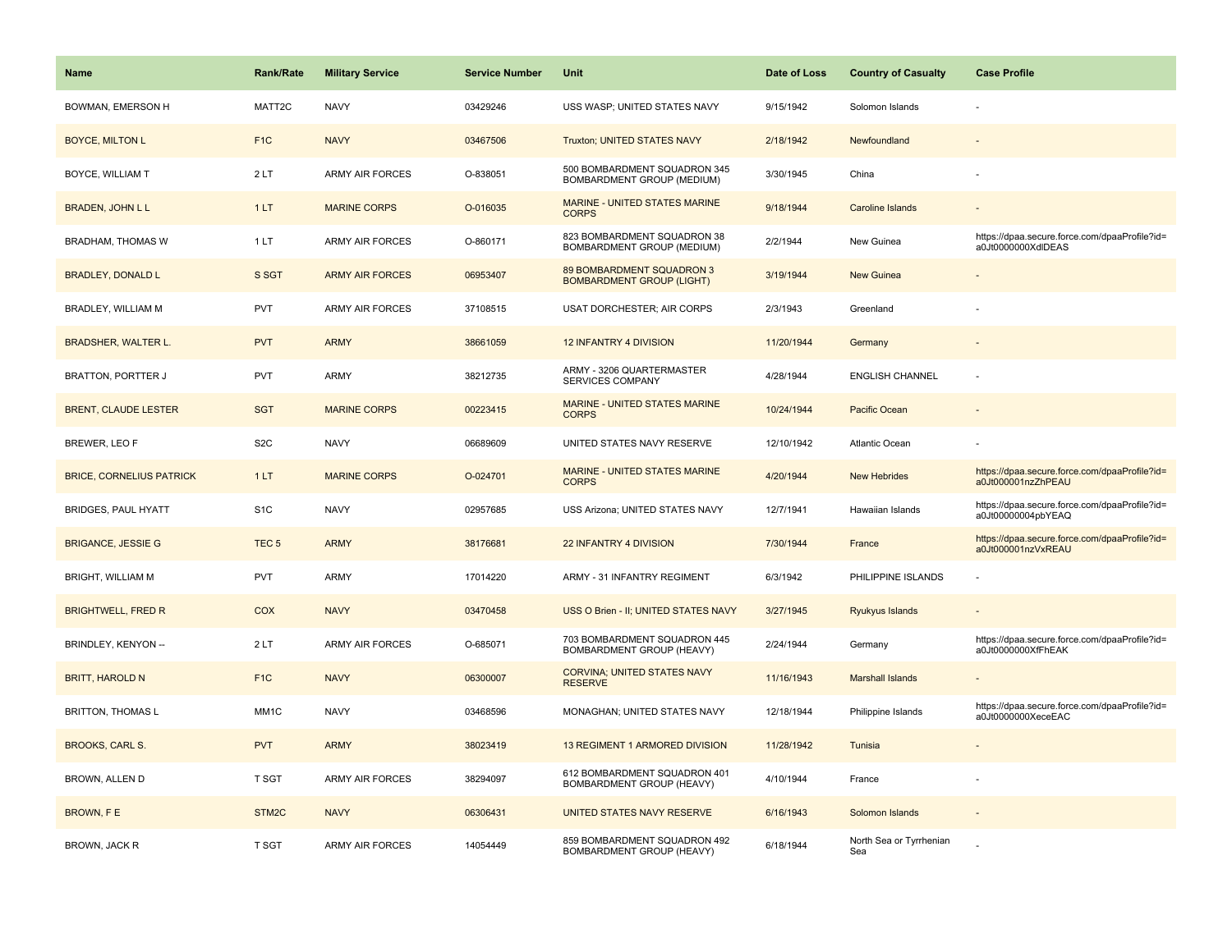| <b>Name</b>                     | <b>Rank/Rate</b>  | <b>Military Service</b> | <b>Service Number</b> | <b>Unit</b>                                                   | Date of Loss | <b>Country of Casualty</b>     | <b>Case Profile</b>                                                 |
|---------------------------------|-------------------|-------------------------|-----------------------|---------------------------------------------------------------|--------------|--------------------------------|---------------------------------------------------------------------|
| BOWMAN, EMERSON H               | MATT2C            | <b>NAVY</b>             | 03429246              | USS WASP; UNITED STATES NAVY                                  | 9/15/1942    | Solomon Islands                |                                                                     |
| <b>BOYCE, MILTON L</b>          | F <sub>1C</sub>   | <b>NAVY</b>             | 03467506              | Truxton; UNITED STATES NAVY                                   | 2/18/1942    | Newfoundland                   |                                                                     |
| <b>BOYCE, WILLIAM T</b>         | 2LT               | <b>ARMY AIR FORCES</b>  | O-838051              | 500 BOMBARDMENT SQUADRON 345<br>BOMBARDMENT GROUP (MEDIUM)    | 3/30/1945    | China                          |                                                                     |
| <b>BRADEN, JOHN L L</b>         | 1LT               | <b>MARINE CORPS</b>     | O-016035              | MARINE - UNITED STATES MARINE<br><b>CORPS</b>                 | 9/18/1944    | <b>Caroline Islands</b>        |                                                                     |
| <b>BRADHAM, THOMAS W</b>        | 1LT               | <b>ARMY AIR FORCES</b>  | O-860171              | 823 BOMBARDMENT SQUADRON 38<br>BOMBARDMENT GROUP (MEDIUM)     | 2/2/1944     | New Guinea                     | https://dpaa.secure.force.com/dpaaProfile?id=<br>a0Jt0000000XdlDEAS |
| <b>BRADLEY, DONALD L</b>        | S SGT             | <b>ARMY AIR FORCES</b>  | 06953407              | 89 BOMBARDMENT SQUADRON 3<br><b>BOMBARDMENT GROUP (LIGHT)</b> | 3/19/1944    | New Guinea                     |                                                                     |
| BRADLEY, WILLIAM M              | <b>PVT</b>        | <b>ARMY AIR FORCES</b>  | 37108515              | <b>USAT DORCHESTER; AIR CORPS</b>                             | 2/3/1943     | Greenland                      |                                                                     |
| <b>BRADSHER, WALTER L.</b>      | <b>PVT</b>        | <b>ARMY</b>             | 38661059              | <b>12 INFANTRY 4 DIVISION</b>                                 | 11/20/1944   | Germany                        |                                                                     |
| <b>BRATTON, PORTTER J</b>       | <b>PVT</b>        | ARMY                    | 38212735              | ARMY - 3206 QUARTERMASTER<br>SERVICES COMPANY                 | 4/28/1944    | <b>ENGLISH CHANNEL</b>         |                                                                     |
| <b>BRENT, CLAUDE LESTER</b>     | <b>SGT</b>        | <b>MARINE CORPS</b>     | 00223415              | MARINE - UNITED STATES MARINE<br><b>CORPS</b>                 | 10/24/1944   | Pacific Ocean                  |                                                                     |
| <b>BREWER, LEO F</b>            | S <sub>2</sub> C  | <b>NAVY</b>             | 06689609              | UNITED STATES NAVY RESERVE                                    | 12/10/1942   | Atlantic Ocean                 |                                                                     |
| <b>BRICE, CORNELIUS PATRICK</b> | 1LT               | <b>MARINE CORPS</b>     | O-024701              | <b>MARINE - UNITED STATES MARINE</b><br><b>CORPS</b>          | 4/20/1944    | <b>New Hebrides</b>            | https://dpaa.secure.force.com/dpaaProfile?id=<br>a0Jt000001nzZhPEAU |
| BRIDGES, PAUL HYATT             | S <sub>1</sub> C  | <b>NAVY</b>             | 02957685              | USS Arizona; UNITED STATES NAVY                               | 12/7/1941    | Hawaiian Islands               | https://dpaa.secure.force.com/dpaaProfile?id=<br>a0Jt00000004pbYEAQ |
| <b>BRIGANCE, JESSIE G</b>       | TEC <sub>5</sub>  | <b>ARMY</b>             | 38176681              | 22 INFANTRY 4 DIVISION                                        | 7/30/1944    | France                         | https://dpaa.secure.force.com/dpaaProfile?id=<br>a0Jt000001nzVxREAU |
| <b>BRIGHT, WILLIAM M</b>        | <b>PVT</b>        | <b>ARMY</b>             | 17014220              | ARMY - 31 INFANTRY REGIMENT                                   | 6/3/1942     | PHILIPPINE ISLANDS             |                                                                     |
| <b>BRIGHTWELL, FRED R</b>       | COX               | <b>NAVY</b>             | 03470458              | USS O Brien - II; UNITED STATES NAVY                          | 3/27/1945    | Ryukyus Islands                |                                                                     |
| BRINDLEY, KENYON --             | 2LT               | <b>ARMY AIR FORCES</b>  | O-685071              | 703 BOMBARDMENT SQUADRON 445<br>BOMBARDMENT GROUP (HEAVY)     | 2/24/1944    | Germany                        | https://dpaa.secure.force.com/dpaaProfile?id=<br>a0Jt0000000XfFhEAK |
| <b>BRITT, HAROLD N</b>          | F <sub>1</sub> C  | <b>NAVY</b>             | 06300007              | <b>CORVINA; UNITED STATES NAVY</b><br><b>RESERVE</b>          | 11/16/1943   | <b>Marshall Islands</b>        |                                                                     |
| <b>BRITTON, THOMAS L</b>        | MM <sub>1</sub> C | <b>NAVY</b>             | 03468596              | MONAGHAN; UNITED STATES NAVY                                  | 12/18/1944   | Philippine Islands             | https://dpaa.secure.force.com/dpaaProfile?id=<br>a0Jt0000000XeceEAC |
| <b>BROOKS, CARL S.</b>          | <b>PVT</b>        | <b>ARMY</b>             | 38023419              | 13 REGIMENT 1 ARMORED DIVISION                                | 11/28/1942   | Tunisia                        |                                                                     |
| BROWN, ALLEN D                  | <b>T SGT</b>      | <b>ARMY AIR FORCES</b>  | 38294097              | 612 BOMBARDMENT SQUADRON 401<br>BOMBARDMENT GROUP (HEAVY)     | 4/10/1944    | France                         |                                                                     |
| BROWN, FE                       | STM <sub>2C</sub> | <b>NAVY</b>             | 06306431              | UNITED STATES NAVY RESERVE                                    | 6/16/1943    | Solomon Islands                |                                                                     |
| BROWN, JACK R                   | <b>T SGT</b>      | <b>ARMY AIR FORCES</b>  | 14054449              | 859 BOMBARDMENT SQUADRON 492<br>BOMBARDMENT GROUP (HEAVY)     | 6/18/1944    | North Sea or Tyrrhenian<br>Sea |                                                                     |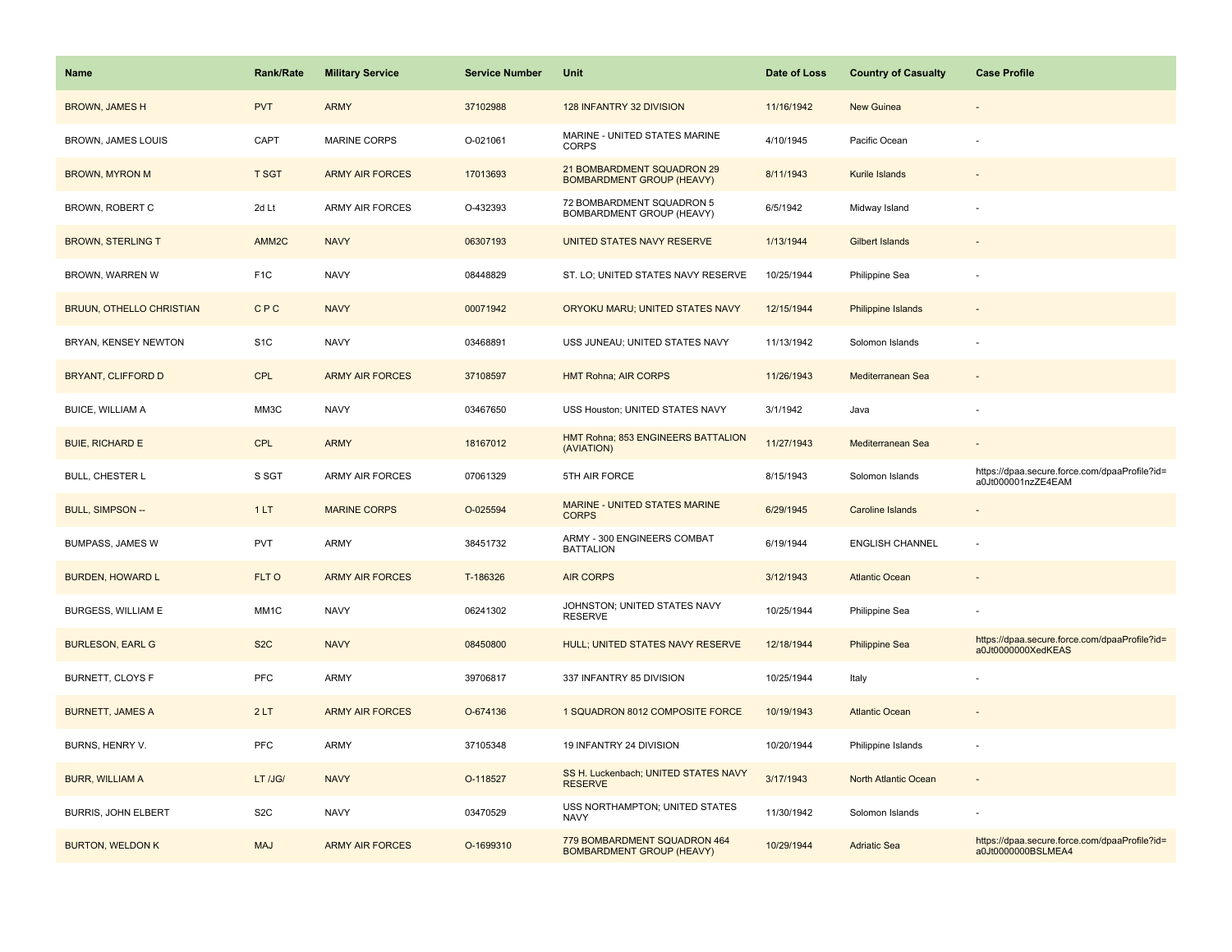| Name                            | <b>Rank/Rate</b>  | <b>Military Service</b> | <b>Service Number</b> | Unit                                                             | Date of Loss | <b>Country of Casualty</b> | <b>Case Profile</b>                                                 |
|---------------------------------|-------------------|-------------------------|-----------------------|------------------------------------------------------------------|--------------|----------------------------|---------------------------------------------------------------------|
| <b>BROWN, JAMES H</b>           | <b>PVT</b>        | <b>ARMY</b>             | 37102988              | 128 INFANTRY 32 DIVISION                                         | 11/16/1942   | New Guinea                 |                                                                     |
| BROWN, JAMES LOUIS              | CAPT              | <b>MARINE CORPS</b>     | O-021061              | MARINE - UNITED STATES MARINE<br><b>CORPS</b>                    | 4/10/1945    | Pacific Ocean              |                                                                     |
| <b>BROWN, MYRON M</b>           | <b>T SGT</b>      | <b>ARMY AIR FORCES</b>  | 17013693              | 21 BOMBARDMENT SQUADRON 29<br><b>BOMBARDMENT GROUP (HEAVY)</b>   | 8/11/1943    | Kurile Islands             |                                                                     |
| BROWN, ROBERT C                 | 2d Lt             | <b>ARMY AIR FORCES</b>  | O-432393              | 72 BOMBARDMENT SQUADRON 5<br>BOMBARDMENT GROUP (HEAVY)           | 6/5/1942     | Midway Island              |                                                                     |
| <b>BROWN, STERLING T</b>        | AMM <sub>2C</sub> | <b>NAVY</b>             | 06307193              | UNITED STATES NAVY RESERVE                                       | 1/13/1944    | <b>Gilbert Islands</b>     |                                                                     |
| BROWN, WARREN W                 | F <sub>1</sub> C  | <b>NAVY</b>             | 08448829              | ST. LO; UNITED STATES NAVY RESERVE                               | 10/25/1944   | Philippine Sea             |                                                                     |
| <b>BRUUN, OTHELLO CHRISTIAN</b> | CPC               | <b>NAVY</b>             | 00071942              | ORYOKU MARU; UNITED STATES NAVY                                  | 12/15/1944   | Philippine Islands         |                                                                     |
| BRYAN, KENSEY NEWTON            | S <sub>1</sub> C  | <b>NAVY</b>             | 03468891              | USS JUNEAU; UNITED STATES NAVY                                   | 11/13/1942   | Solomon Islands            |                                                                     |
| <b>BRYANT, CLIFFORD D</b>       | <b>CPL</b>        | <b>ARMY AIR FORCES</b>  | 37108597              | <b>HMT Rohna; AIR CORPS</b>                                      | 11/26/1943   | Mediterranean Sea          |                                                                     |
| <b>BUICE, WILLIAM A</b>         | MM3C              | <b>NAVY</b>             | 03467650              | USS Houston; UNITED STATES NAVY                                  | 3/1/1942     | Java                       |                                                                     |
| <b>BUIE, RICHARD E</b>          | CPL               | <b>ARMY</b>             | 18167012              | HMT Rohna; 853 ENGINEERS BATTALION<br>(AVIATION)                 | 11/27/1943   | Mediterranean Sea          |                                                                     |
| <b>BULL, CHESTER L</b>          | S SGT             | <b>ARMY AIR FORCES</b>  | 07061329              | 5TH AIR FORCE                                                    | 8/15/1943    | Solomon Islands            | https://dpaa.secure.force.com/dpaaProfile?id=<br>a0Jt000001nzZE4EAM |
| <b>BULL, SIMPSON --</b>         | 1LT               | <b>MARINE CORPS</b>     | O-025594              | <b>MARINE - UNITED STATES MARINE</b><br><b>CORPS</b>             | 6/29/1945    | Caroline Islands           |                                                                     |
| <b>BUMPASS, JAMES W</b>         | <b>PVT</b>        | <b>ARMY</b>             | 38451732              | ARMY - 300 ENGINEERS COMBAT<br><b>BATTALION</b>                  | 6/19/1944    | <b>ENGLISH CHANNEL</b>     |                                                                     |
| <b>BURDEN, HOWARD L</b>         | FLT O             | <b>ARMY AIR FORCES</b>  | T-186326              | <b>AIR CORPS</b>                                                 | 3/12/1943    | <b>Atlantic Ocean</b>      |                                                                     |
| BURGESS, WILLIAM E              | MM1C              | <b>NAVY</b>             | 06241302              | JOHNSTON; UNITED STATES NAVY<br><b>RESERVE</b>                   | 10/25/1944   | Philippine Sea             |                                                                     |
| <b>BURLESON, EARL G</b>         | S <sub>2</sub> C  | <b>NAVY</b>             | 08450800              | HULL; UNITED STATES NAVY RESERVE                                 | 12/18/1944   | <b>Philippine Sea</b>      | https://dpaa.secure.force.com/dpaaProfile?id=<br>a0Jt0000000XedKEAS |
| BURNETT, CLOYS F                | <b>PFC</b>        | ARMY                    | 39706817              | 337 INFANTRY 85 DIVISION                                         | 10/25/1944   | Italy                      |                                                                     |
| <b>BURNETT, JAMES A</b>         | 2LT               | <b>ARMY AIR FORCES</b>  | O-674136              | 1 SQUADRON 8012 COMPOSITE FORCE                                  | 10/19/1943   | <b>Atlantic Ocean</b>      |                                                                     |
| BURNS, HENRY V.                 | <b>PFC</b>        | <b>ARMY</b>             | 37105348              | 19 INFANTRY 24 DIVISION                                          | 10/20/1944   | Philippine Islands         |                                                                     |
| <b>BURR, WILLIAM A</b>          | LT /JG/           | <b>NAVY</b>             | O-118527              | SS H. Luckenbach; UNITED STATES NAVY<br><b>RESERVE</b>           | 3/17/1943    | North Atlantic Ocean       |                                                                     |
| <b>BURRIS, JOHN ELBERT</b>      | S <sub>2</sub> C  | <b>NAVY</b>             | 03470529              | USS NORTHAMPTON; UNITED STATES<br><b>NAVY</b>                    | 11/30/1942   | Solomon Islands            |                                                                     |
| <b>BURTON, WELDON K</b>         | <b>MAJ</b>        | <b>ARMY AIR FORCES</b>  | O-1699310             | 779 BOMBARDMENT SQUADRON 464<br><b>BOMBARDMENT GROUP (HEAVY)</b> | 10/29/1944   | <b>Adriatic Sea</b>        | https://dpaa.secure.force.com/dpaaProfile?id=<br>a0Jt0000000BSLMEA4 |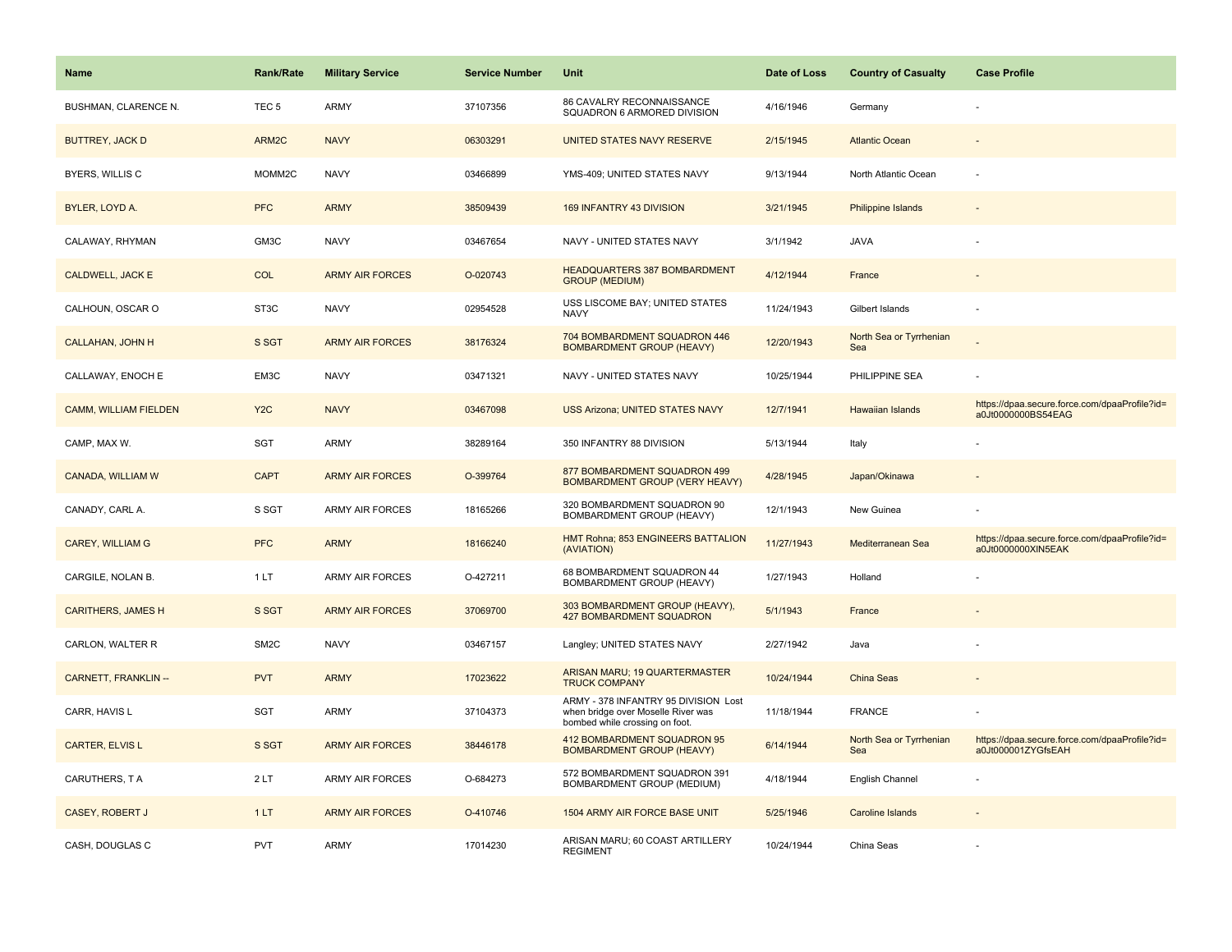| Name                        | <b>Rank/Rate</b>  | <b>Military Service</b> | <b>Service Number</b> | Unit                                                                                                         | Date of Loss | <b>Country of Casualty</b>     | <b>Case Profile</b>                                                 |
|-----------------------------|-------------------|-------------------------|-----------------------|--------------------------------------------------------------------------------------------------------------|--------------|--------------------------------|---------------------------------------------------------------------|
| BUSHMAN, CLARENCE N.        | TEC <sub>5</sub>  | ARMY                    | 37107356              | 86 CAVALRY RECONNAISSANCE<br>SQUADRON 6 ARMORED DIVISION                                                     | 4/16/1946    | Germany                        |                                                                     |
| <b>BUTTREY, JACK D</b>      | ARM2C             | <b>NAVY</b>             | 06303291              | UNITED STATES NAVY RESERVE                                                                                   | 2/15/1945    | <b>Atlantic Ocean</b>          |                                                                     |
| <b>BYERS, WILLIS C</b>      | MOMM2C            | <b>NAVY</b>             | 03466899              | YMS-409; UNITED STATES NAVY                                                                                  | 9/13/1944    | North Atlantic Ocean           |                                                                     |
| BYLER, LOYD A.              | <b>PFC</b>        | <b>ARMY</b>             | 38509439              | 169 INFANTRY 43 DIVISION                                                                                     | 3/21/1945    | Philippine Islands             |                                                                     |
| CALAWAY, RHYMAN             | GM3C              | <b>NAVY</b>             | 03467654              | NAVY - UNITED STATES NAVY                                                                                    | 3/1/1942     | <b>JAVA</b>                    |                                                                     |
| <b>CALDWELL, JACK E</b>     | <b>COL</b>        | <b>ARMY AIR FORCES</b>  | O-020743              | <b>HEADQUARTERS 387 BOMBARDMENT</b><br><b>GROUP (MEDIUM)</b>                                                 | 4/12/1944    | France                         |                                                                     |
| CALHOUN, OSCAR O            | ST <sub>3</sub> C | <b>NAVY</b>             | 02954528              | USS LISCOME BAY; UNITED STATES<br><b>NAVY</b>                                                                | 11/24/1943   | Gilbert Islands                |                                                                     |
| <b>CALLAHAN, JOHN H</b>     | S SGT             | <b>ARMY AIR FORCES</b>  | 38176324              | 704 BOMBARDMENT SQUADRON 446<br><b>BOMBARDMENT GROUP (HEAVY)</b>                                             | 12/20/1943   | North Sea or Tyrrhenian<br>Sea |                                                                     |
| CALLAWAY, ENOCH E           | EM3C              | <b>NAVY</b>             | 03471321              | NAVY - UNITED STATES NAVY                                                                                    | 10/25/1944   | PHILIPPINE SEA                 |                                                                     |
| CAMM, WILLIAM FIELDEN       | Y <sub>2</sub> C  | <b>NAVY</b>             | 03467098              | <b>USS Arizona; UNITED STATES NAVY</b>                                                                       | 12/7/1941    | <b>Hawaiian Islands</b>        | https://dpaa.secure.force.com/dpaaProfile?id=<br>a0Jt0000000BS54EAG |
| CAMP, MAX W.                | SGT               | ARMY                    | 38289164              | 350 INFANTRY 88 DIVISION                                                                                     | 5/13/1944    | Italy                          |                                                                     |
| CANADA, WILLIAM W           | <b>CAPT</b>       | <b>ARMY AIR FORCES</b>  | O-399764              | 877 BOMBARDMENT SQUADRON 499<br><b>BOMBARDMENT GROUP (VERY HEAVY)</b>                                        | 4/28/1945    | Japan/Okinawa                  |                                                                     |
| CANADY, CARL A.             | S SGT             | ARMY AIR FORCES         | 18165266              | 320 BOMBARDMENT SQUADRON 90<br>BOMBARDMENT GROUP (HEAVY)                                                     | 12/1/1943    | New Guinea                     |                                                                     |
| <b>CAREY, WILLIAM G</b>     | <b>PFC</b>        | <b>ARMY</b>             | 18166240              | HMT Rohna; 853 ENGINEERS BATTALION<br>(AVIATION)                                                             | 11/27/1943   | Mediterranean Sea              | https://dpaa.secure.force.com/dpaaProfile?id=<br>a0Jt0000000XIN5EAK |
| CARGILE, NOLAN B.           | 1LT               | <b>ARMY AIR FORCES</b>  | O-427211              | 68 BOMBARDMENT SQUADRON 44<br>BOMBARDMENT GROUP (HEAVY)                                                      | 1/27/1943    | Holland                        |                                                                     |
| <b>CARITHERS, JAMES H</b>   | S SGT             | <b>ARMY AIR FORCES</b>  | 37069700              | 303 BOMBARDMENT GROUP (HEAVY),<br><b>427 BOMBARDMENT SQUADRON</b>                                            | 5/1/1943     | France                         |                                                                     |
| CARLON, WALTER R            | SM <sub>2</sub> C | <b>NAVY</b>             | 03467157              | Langley; UNITED STATES NAVY                                                                                  | 2/27/1942    | Java                           |                                                                     |
| <b>CARNETT, FRANKLIN --</b> | <b>PVT</b>        | <b>ARMY</b>             | 17023622              | ARISAN MARU; 19 QUARTERMASTER<br><b>TRUCK COMPANY</b>                                                        | 10/24/1944   | <b>China Seas</b>              |                                                                     |
| CARR, HAVIS L               | SGT               | ARMY                    | 37104373              | ARMY - 378 INFANTRY 95 DIVISION Lost<br>when bridge over Moselle River was<br>bombed while crossing on foot. | 11/18/1944   | <b>FRANCE</b>                  |                                                                     |
| CARTER, ELVIS L             | S SGT             | <b>ARMY AIR FORCES</b>  | 38446178              | 412 BOMBARDMENT SQUADRON 95<br><b>BOMBARDMENT GROUP (HEAVY)</b>                                              | 6/14/1944    | North Sea or Tyrrhenian<br>Sea | https://dpaa.secure.force.com/dpaaProfile?id=<br>a0Jt000001ZYGfsEAH |
| CARUTHERS, T A              | 2LT               | <b>ARMY AIR FORCES</b>  | O-684273              | 572 BOMBARDMENT SQUADRON 391<br><b>BOMBARDMENT GROUP (MEDIUM)</b>                                            | 4/18/1944    | English Channel                |                                                                     |
| <b>CASEY, ROBERT J</b>      | 1LT               | <b>ARMY AIR FORCES</b>  | O-410746              | 1504 ARMY AIR FORCE BASE UNIT                                                                                | 5/25/1946    | <b>Caroline Islands</b>        |                                                                     |
| CASH, DOUGLAS C             | PVT               | ARMY                    | 17014230              | ARISAN MARU; 60 COAST ARTILLERY<br><b>REGIMENT</b>                                                           | 10/24/1944   | China Seas                     |                                                                     |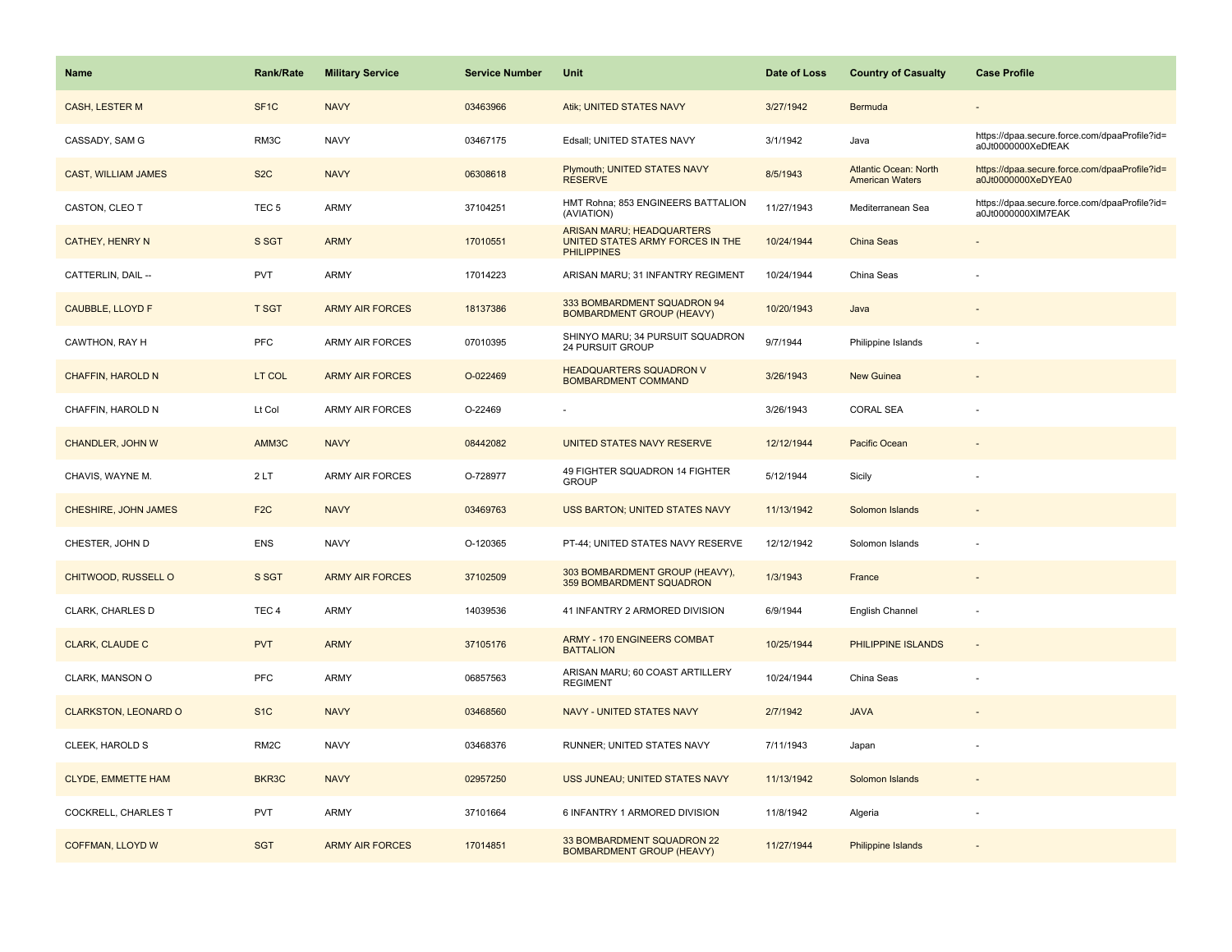| <b>Name</b>                 | <b>Rank/Rate</b>  | <b>Military Service</b> | <b>Service Number</b> | Unit                                                                                       | Date of Loss | <b>Country of Casualty</b>                             | <b>Case Profile</b>                                                 |
|-----------------------------|-------------------|-------------------------|-----------------------|--------------------------------------------------------------------------------------------|--------------|--------------------------------------------------------|---------------------------------------------------------------------|
| CASH, LESTER M              | SF <sub>1</sub> C | <b>NAVY</b>             | 03463966              | Atik; UNITED STATES NAVY                                                                   | 3/27/1942    | Bermuda                                                |                                                                     |
| CASSADY, SAM G              | RM3C              | <b>NAVY</b>             | 03467175              | Edsall; UNITED STATES NAVY                                                                 | 3/1/1942     | Java                                                   | https://dpaa.secure.force.com/dpaaProfile?id=<br>a0Jt0000000XeDfEAK |
| <b>CAST, WILLIAM JAMES</b>  | S <sub>2</sub> C  | <b>NAVY</b>             | 06308618              | Plymouth; UNITED STATES NAVY<br><b>RESERVE</b>                                             | 8/5/1943     | <b>Atlantic Ocean: North</b><br><b>American Waters</b> | https://dpaa.secure.force.com/dpaaProfile?id=<br>a0Jt0000000XeDYEA0 |
| CASTON, CLEO T              | TEC <sub>5</sub>  | ARMY                    | 37104251              | HMT Rohna; 853 ENGINEERS BATTALION<br>(AVIATION)                                           | 11/27/1943   | Mediterranean Sea                                      | https://dpaa.secure.force.com/dpaaProfile?id=<br>a0Jt0000000XIM7EAK |
| <b>CATHEY, HENRY N</b>      | S SGT             | <b>ARMY</b>             | 17010551              | <b>ARISAN MARU; HEADQUARTERS</b><br>UNITED STATES ARMY FORCES IN THE<br><b>PHILIPPINES</b> | 10/24/1944   | China Seas                                             |                                                                     |
| CATTERLIN, DAIL --          | <b>PVT</b>        | ARMY                    | 17014223              | ARISAN MARU; 31 INFANTRY REGIMENT                                                          | 10/24/1944   | China Seas                                             |                                                                     |
| CAUBBLE, LLOYD F            | <b>T SGT</b>      | <b>ARMY AIR FORCES</b>  | 18137386              | 333 BOMBARDMENT SQUADRON 94<br><b>BOMBARDMENT GROUP (HEAVY)</b>                            | 10/20/1943   | Java                                                   |                                                                     |
| CAWTHON, RAY H              | <b>PFC</b>        | <b>ARMY AIR FORCES</b>  | 07010395              | SHINYO MARU; 34 PURSUIT SQUADRON<br>24 PURSUIT GROUP                                       | 9/7/1944     | Philippine Islands                                     |                                                                     |
| <b>CHAFFIN, HAROLD N</b>    | LT COL            | <b>ARMY AIR FORCES</b>  | O-022469              | <b>HEADQUARTERS SQUADRON V</b><br><b>BOMBARDMENT COMMAND</b>                               | 3/26/1943    | <b>New Guinea</b>                                      |                                                                     |
| CHAFFIN, HAROLD N           | Lt Col            | ARMY AIR FORCES         | O-22469               |                                                                                            | 3/26/1943    | <b>CORAL SEA</b>                                       |                                                                     |
| <b>CHANDLER, JOHN W</b>     | AMM3C             | <b>NAVY</b>             | 08442082              | UNITED STATES NAVY RESERVE                                                                 | 12/12/1944   | Pacific Ocean                                          |                                                                     |
| CHAVIS, WAYNE M.            | 2LT               | ARMY AIR FORCES         | O-728977              | 49 FIGHTER SQUADRON 14 FIGHTER<br><b>GROUP</b>                                             | 5/12/1944    | Sicily                                                 |                                                                     |
| CHESHIRE, JOHN JAMES        | F <sub>2C</sub>   | <b>NAVY</b>             | 03469763              | <b>USS BARTON; UNITED STATES NAVY</b>                                                      | 11/13/1942   | Solomon Islands                                        |                                                                     |
| CHESTER, JOHN D             | ENS               | <b>NAVY</b>             | O-120365              | PT-44; UNITED STATES NAVY RESERVE                                                          | 12/12/1942   | Solomon Islands                                        |                                                                     |
| CHITWOOD, RUSSELL O         | S SGT             | <b>ARMY AIR FORCES</b>  | 37102509              | 303 BOMBARDMENT GROUP (HEAVY),<br>359 BOMBARDMENT SQUADRON                                 | 1/3/1943     | France                                                 |                                                                     |
| CLARK, CHARLES D            | TEC <sub>4</sub>  | ARMY                    | 14039536              | 41 INFANTRY 2 ARMORED DIVISION                                                             | 6/9/1944     | English Channel                                        |                                                                     |
| <b>CLARK, CLAUDE C</b>      | <b>PVT</b>        | <b>ARMY</b>             | 37105176              | <b>ARMY - 170 ENGINEERS COMBAT</b><br><b>BATTALION</b>                                     | 10/25/1944   | PHILIPPINE ISLANDS                                     | $\sim$                                                              |
| CLARK, MANSON O             | <b>PFC</b>        | ARMY                    | 06857563              | ARISAN MARU; 60 COAST ARTILLERY<br><b>REGIMENT</b>                                         | 10/24/1944   | China Seas                                             |                                                                     |
| <b>CLARKSTON, LEONARD O</b> | S <sub>1C</sub>   | <b>NAVY</b>             | 03468560              | <b>NAVY - UNITED STATES NAVY</b>                                                           | 2/7/1942     | <b>JAVA</b>                                            |                                                                     |
| CLEEK, HAROLD S             | RM <sub>2</sub> C | <b>NAVY</b>             | 03468376              | RUNNER; UNITED STATES NAVY                                                                 | 7/11/1943    | Japan                                                  |                                                                     |
| <b>CLYDE, EMMETTE HAM</b>   | BKR3C             | <b>NAVY</b>             | 02957250              | USS JUNEAU; UNITED STATES NAVY                                                             | 11/13/1942   | Solomon Islands                                        |                                                                     |
| COCKRELL, CHARLES T         | <b>PVT</b>        | ARMY                    | 37101664              | 6 INFANTRY 1 ARMORED DIVISION                                                              | 11/8/1942    | Algeria                                                |                                                                     |
| COFFMAN, LLOYD W            | <b>SGT</b>        | <b>ARMY AIR FORCES</b>  | 17014851              | 33 BOMBARDMENT SQUADRON 22<br><b>BOMBARDMENT GROUP (HEAVY)</b>                             | 11/27/1944   | Philippine Islands                                     |                                                                     |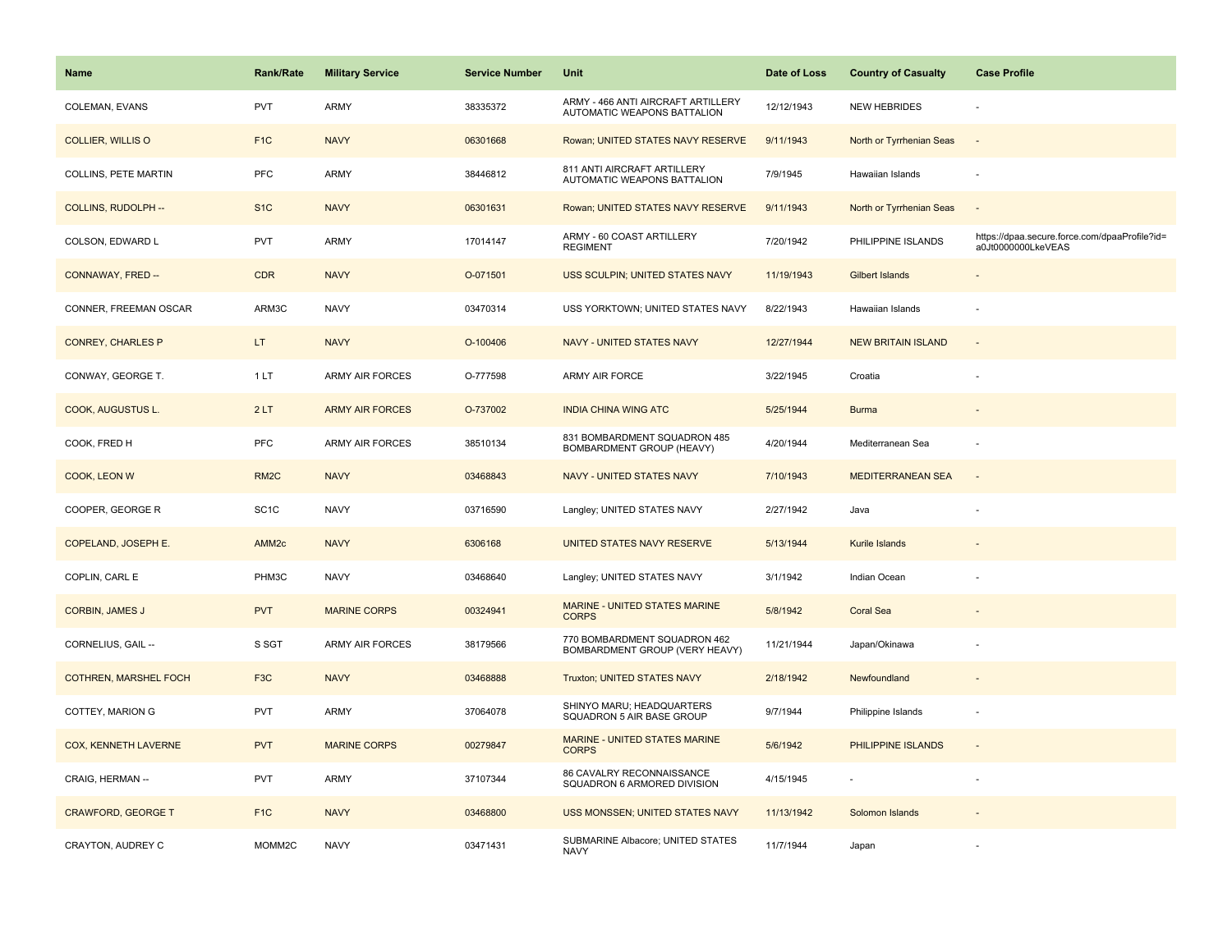| Name                         | <b>Rank/Rate</b>  | <b>Military Service</b> | <b>Service Number</b> | Unit                                                              | Date of Loss | <b>Country of Casualty</b> | <b>Case Profile</b>                                                 |
|------------------------------|-------------------|-------------------------|-----------------------|-------------------------------------------------------------------|--------------|----------------------------|---------------------------------------------------------------------|
| COLEMAN, EVANS               | PVT               | <b>ARMY</b>             | 38335372              | ARMY - 466 ANTI AIRCRAFT ARTILLERY<br>AUTOMATIC WEAPONS BATTALION | 12/12/1943   | <b>NEW HEBRIDES</b>        |                                                                     |
| <b>COLLIER, WILLIS O</b>     | F <sub>1</sub> C  | <b>NAVY</b>             | 06301668              | Rowan; UNITED STATES NAVY RESERVE                                 | 9/11/1943    | North or Tyrrhenian Seas   | $\sim$                                                              |
| COLLINS, PETE MARTIN         | PFC               | <b>ARMY</b>             | 38446812              | 811 ANTI AIRCRAFT ARTILLERY<br>AUTOMATIC WEAPONS BATTALION        | 7/9/1945     | Hawaiian Islands           | ÷,                                                                  |
| COLLINS, RUDOLPH --          | S <sub>1C</sub>   | <b>NAVY</b>             | 06301631              | Rowan; UNITED STATES NAVY RESERVE                                 | 9/11/1943    | North or Tyrrhenian Seas   | $\overline{\phantom{a}}$                                            |
| COLSON, EDWARD L             | <b>PVT</b>        | <b>ARMY</b>             | 17014147              | ARMY - 60 COAST ARTILLERY<br><b>REGIMENT</b>                      | 7/20/1942    | PHILIPPINE ISLANDS         | https://dpaa.secure.force.com/dpaaProfile?id=<br>a0Jt0000000LkeVEAS |
| CONNAWAY, FRED --            | <b>CDR</b>        | <b>NAVY</b>             | O-071501              | USS SCULPIN; UNITED STATES NAVY                                   | 11/19/1943   | Gilbert Islands            | $\overline{\phantom{a}}$                                            |
| CONNER, FREEMAN OSCAR        | ARM3C             | <b>NAVY</b>             | 03470314              | USS YORKTOWN; UNITED STATES NAVY                                  | 8/22/1943    | Hawaiian Islands           | ÷,                                                                  |
| <b>CONREY, CHARLES P</b>     | LT.               | <b>NAVY</b>             | O-100406              | NAVY - UNITED STATES NAVY                                         | 12/27/1944   | <b>NEW BRITAIN ISLAND</b>  | $\sim$                                                              |
| CONWAY, GEORGE T.            | 1LT               | <b>ARMY AIR FORCES</b>  | O-777598              | ARMY AIR FORCE                                                    | 3/22/1945    | Croatia                    | ÷.                                                                  |
| COOK, AUGUSTUS L.            | 2LT               | <b>ARMY AIR FORCES</b>  | O-737002              | <b>INDIA CHINA WING ATC</b>                                       | 5/25/1944    | <b>Burma</b>               |                                                                     |
| COOK, FRED H                 | PFC               | <b>ARMY AIR FORCES</b>  | 38510134              | 831 BOMBARDMENT SQUADRON 485<br>BOMBARDMENT GROUP (HEAVY)         | 4/20/1944    | Mediterranean Sea          |                                                                     |
| COOK, LEON W                 | RM <sub>2</sub> C | <b>NAVY</b>             | 03468843              | NAVY - UNITED STATES NAVY                                         | 7/10/1943    | <b>MEDITERRANEAN SEA</b>   | $\overline{\phantom{a}}$                                            |
| COOPER, GEORGE R             | SC <sub>1</sub> C | <b>NAVY</b>             | 03716590              | Langley; UNITED STATES NAVY                                       | 2/27/1942    | Java                       |                                                                     |
| COPELAND, JOSEPH E.          | AMM <sub>2c</sub> | <b>NAVY</b>             | 6306168               | UNITED STATES NAVY RESERVE                                        | 5/13/1944    | Kurile Islands             |                                                                     |
| COPLIN, CARL E               | PHM3C             | <b>NAVY</b>             | 03468640              | Langley; UNITED STATES NAVY                                       | 3/1/1942     | Indian Ocean               |                                                                     |
| <b>CORBIN, JAMES J</b>       | <b>PVT</b>        | <b>MARINE CORPS</b>     | 00324941              | MARINE - UNITED STATES MARINE<br><b>CORPS</b>                     | 5/8/1942     | <b>Coral Sea</b>           |                                                                     |
| CORNELIUS, GAIL --           | S SGT             | ARMY AIR FORCES         | 38179566              | 770 BOMBARDMENT SQUADRON 462<br>BOMBARDMENT GROUP (VERY HEAVY)    | 11/21/1944   | Japan/Okinawa              |                                                                     |
| <b>COTHREN, MARSHEL FOCH</b> | F <sub>3</sub> C  | <b>NAVY</b>             | 03468888              | Truxton; UNITED STATES NAVY                                       | 2/18/1942    | Newfoundland               |                                                                     |
| COTTEY, MARION G             | PVT               | ARMY                    | 37064078              | SHINYO MARU; HEADQUARTERS<br>SQUADRON 5 AIR BASE GROUP            | 9/7/1944     | Philippine Islands         | $\overline{\phantom{a}}$                                            |
| <b>COX, KENNETH LAVERNE</b>  | <b>PVT</b>        | <b>MARINE CORPS</b>     | 00279847              | <b>MARINE - UNITED STATES MARINE</b><br><b>CORPS</b>              | 5/6/1942     | PHILIPPINE ISLANDS         | $\blacksquare$                                                      |
| CRAIG, HERMAN --             | PVT               | <b>ARMY</b>             | 37107344              | 86 CAVALRY RECONNAISSANCE<br>SQUADRON 6 ARMORED DIVISION          | 4/15/1945    |                            | $\sim$                                                              |
| <b>CRAWFORD, GEORGE T</b>    | F <sub>1</sub> C  | <b>NAVY</b>             | 03468800              | USS MONSSEN; UNITED STATES NAVY                                   | 11/13/1942   | Solomon Islands            |                                                                     |
| CRAYTON, AUDREY C            | MOMM2C            | <b>NAVY</b>             | 03471431              | SUBMARINE Albacore; UNITED STATES<br><b>NAVY</b>                  | 11/7/1944    | Japan                      |                                                                     |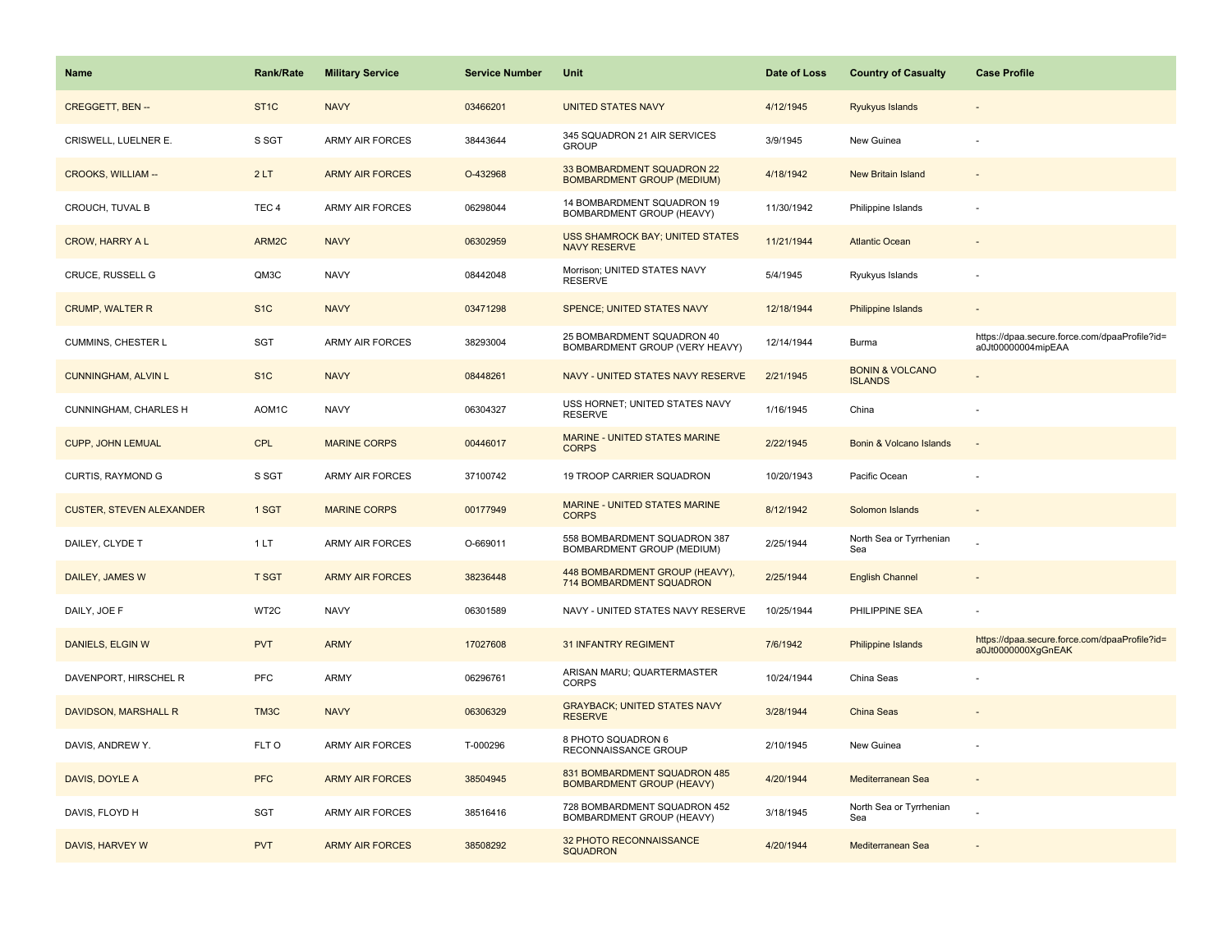| Name                            | <b>Rank/Rate</b>  | <b>Military Service</b> | <b>Service Number</b> | Unit                                                             | Date of Loss | <b>Country of Casualty</b>                   | <b>Case Profile</b>                                                 |
|---------------------------------|-------------------|-------------------------|-----------------------|------------------------------------------------------------------|--------------|----------------------------------------------|---------------------------------------------------------------------|
| <b>CREGGETT, BEN--</b>          | ST <sub>1</sub> C | <b>NAVY</b>             | 03466201              | <b>UNITED STATES NAVY</b>                                        | 4/12/1945    | <b>Ryukyus Islands</b>                       |                                                                     |
| CRISWELL, LUELNER E.            | S SGT             | <b>ARMY AIR FORCES</b>  | 38443644              | 345 SQUADRON 21 AIR SERVICES<br><b>GROUP</b>                     | 3/9/1945     | New Guinea                                   |                                                                     |
| <b>CROOKS, WILLIAM --</b>       | 2LT               | <b>ARMY AIR FORCES</b>  | O-432968              | 33 BOMBARDMENT SQUADRON 22<br><b>BOMBARDMENT GROUP (MEDIUM)</b>  | 4/18/1942    | New Britain Island                           |                                                                     |
| CROUCH, TUVAL B                 | TEC <sub>4</sub>  | <b>ARMY AIR FORCES</b>  | 06298044              | 14 BOMBARDMENT SQUADRON 19<br>BOMBARDMENT GROUP (HEAVY)          | 11/30/1942   | Philippine Islands                           |                                                                     |
| <b>CROW, HARRY A L</b>          | ARM2C             | <b>NAVY</b>             | 06302959              | <b>USS SHAMROCK BAY; UNITED STATES</b><br><b>NAVY RESERVE</b>    | 11/21/1944   | <b>Atlantic Ocean</b>                        |                                                                     |
| CRUCE, RUSSELL G                | QM3C              | <b>NAVY</b>             | 08442048              | Morrison; UNITED STATES NAVY<br><b>RESERVE</b>                   | 5/4/1945     | Ryukyus Islands                              |                                                                     |
| <b>CRUMP, WALTER R</b>          | S <sub>1</sub> C  | <b>NAVY</b>             | 03471298              | SPENCE; UNITED STATES NAVY                                       | 12/18/1944   | Philippine Islands                           |                                                                     |
| CUMMINS, CHESTER L              | <b>SGT</b>        | <b>ARMY AIR FORCES</b>  | 38293004              | 25 BOMBARDMENT SQUADRON 40<br>BOMBARDMENT GROUP (VERY HEAVY)     | 12/14/1944   | Burma                                        | https://dpaa.secure.force.com/dpaaProfile?id=<br>a0Jt00000004mipEAA |
| <b>CUNNINGHAM, ALVIN L</b>      | S <sub>1</sub> C  | <b>NAVY</b>             | 08448261              | NAVY - UNITED STATES NAVY RESERVE                                | 2/21/1945    | <b>BONIN &amp; VOLCANO</b><br><b>ISLANDS</b> |                                                                     |
| CUNNINGHAM, CHARLES H           | AOM1C             | <b>NAVY</b>             | 06304327              | USS HORNET; UNITED STATES NAVY<br><b>RESERVE</b>                 | 1/16/1945    | China                                        |                                                                     |
| <b>CUPP, JOHN LEMUAL</b>        | <b>CPL</b>        | <b>MARINE CORPS</b>     | 00446017              | MARINE - UNITED STATES MARINE<br><b>CORPS</b>                    | 2/22/1945    | Bonin & Volcano Islands                      |                                                                     |
| <b>CURTIS, RAYMOND G</b>        | S SGT             | <b>ARMY AIR FORCES</b>  | 37100742              | 19 TROOP CARRIER SQUADRON                                        | 10/20/1943   | Pacific Ocean                                |                                                                     |
| <b>CUSTER, STEVEN ALEXANDER</b> | 1 SGT             | <b>MARINE CORPS</b>     | 00177949              | MARINE - UNITED STATES MARINE<br><b>CORPS</b>                    | 8/12/1942    | Solomon Islands                              |                                                                     |
| DAILEY, CLYDE T                 | 1LT               | <b>ARMY AIR FORCES</b>  | O-669011              | 558 BOMBARDMENT SQUADRON 387<br>BOMBARDMENT GROUP (MEDIUM)       | 2/25/1944    | North Sea or Tyrrhenian<br>Sea               |                                                                     |
| DAILEY, JAMES W                 | <b>T SGT</b>      | <b>ARMY AIR FORCES</b>  | 38236448              | 448 BOMBARDMENT GROUP (HEAVY),<br>714 BOMBARDMENT SQUADRON       | 2/25/1944    | <b>English Channel</b>                       |                                                                     |
| DAILY, JOE F                    | WT2C              | <b>NAVY</b>             | 06301589              | NAVY - UNITED STATES NAVY RESERVE                                | 10/25/1944   | PHILIPPINE SEA                               |                                                                     |
| DANIELS, ELGIN W                | <b>PVT</b>        | <b>ARMY</b>             | 17027608              | <b>31 INFANTRY REGIMENT</b>                                      | 7/6/1942     | Philippine Islands                           | https://dpaa.secure.force.com/dpaaProfile?id=<br>a0Jt0000000XgGnEAK |
| DAVENPORT, HIRSCHEL R           | PFC               | ARMY                    | 06296761              | ARISAN MARU; QUARTERMASTER<br><b>CORPS</b>                       | 10/24/1944   | China Seas                                   |                                                                     |
| DAVIDSON, MARSHALL R            | TM <sub>3</sub> C | <b>NAVY</b>             | 06306329              | <b>GRAYBACK; UNITED STATES NAVY</b><br><b>RESERVE</b>            | 3/28/1944    | <b>China Seas</b>                            |                                                                     |
| DAVIS, ANDREW Y.                | FLT O             | <b>ARMY AIR FORCES</b>  | T-000296              | 8 PHOTO SQUADRON 6<br>RECONNAISSANCE GROUP                       | 2/10/1945    | New Guinea                                   |                                                                     |
| DAVIS, DOYLE A                  | <b>PFC</b>        | <b>ARMY AIR FORCES</b>  | 38504945              | 831 BOMBARDMENT SQUADRON 485<br><b>BOMBARDMENT GROUP (HEAVY)</b> | 4/20/1944    | Mediterranean Sea                            |                                                                     |
| DAVIS, FLOYD H                  | SGT               | ARMY AIR FORCES         | 38516416              | 728 BOMBARDMENT SQUADRON 452<br>BOMBARDMENT GROUP (HEAVY)        | 3/18/1945    | North Sea or Tyrrhenian<br>Sea               |                                                                     |
| DAVIS, HARVEY W                 | <b>PVT</b>        | <b>ARMY AIR FORCES</b>  | 38508292              | 32 PHOTO RECONNAISSANCE<br><b>SQUADRON</b>                       | 4/20/1944    | Mediterranean Sea                            |                                                                     |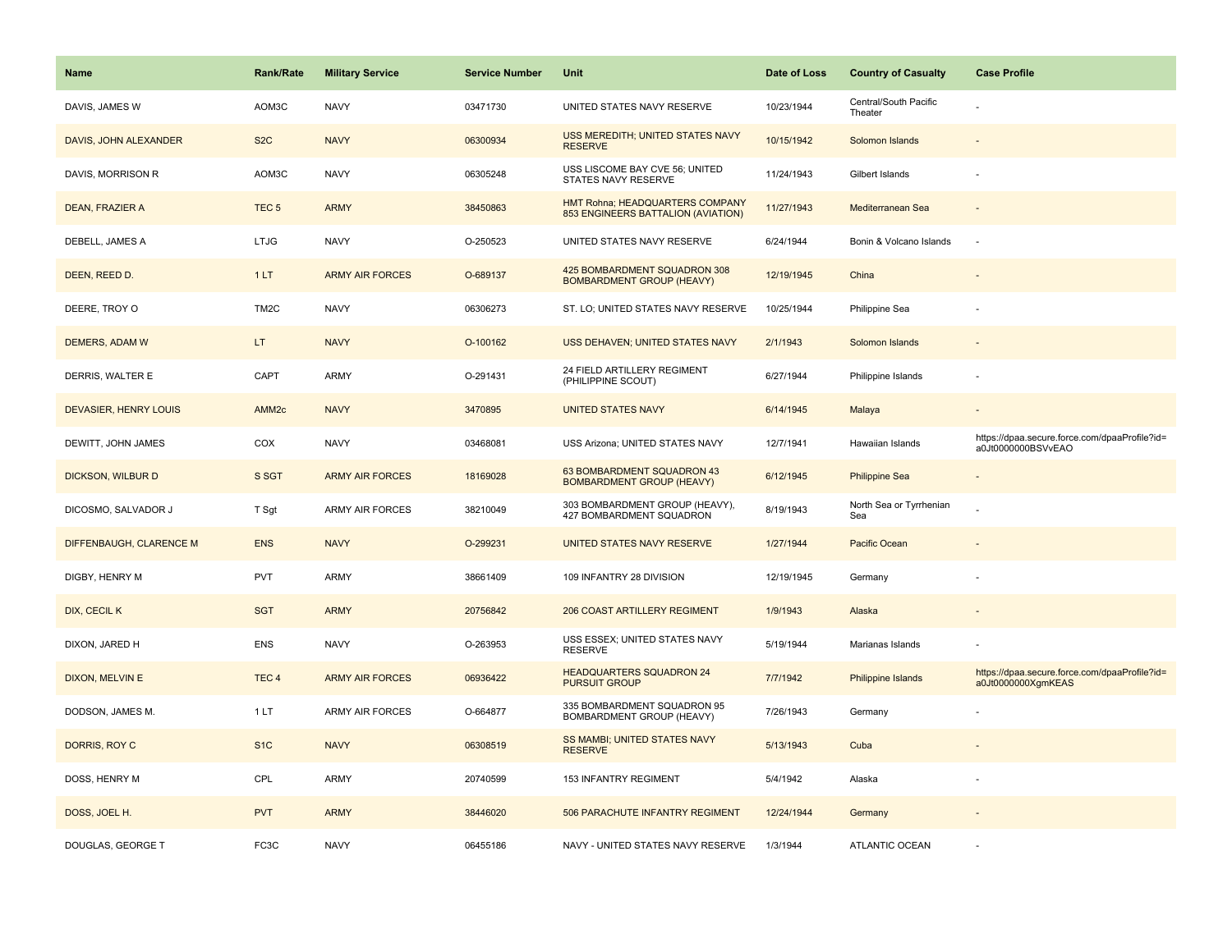| <b>Name</b>             | <b>Rank/Rate</b>  | <b>Military Service</b> | <b>Service Number</b> | Unit                                                                  | Date of Loss | <b>Country of Casualty</b>       | <b>Case Profile</b>                                                 |
|-------------------------|-------------------|-------------------------|-----------------------|-----------------------------------------------------------------------|--------------|----------------------------------|---------------------------------------------------------------------|
| DAVIS, JAMES W          | AOM3C             | <b>NAVY</b>             | 03471730              | UNITED STATES NAVY RESERVE                                            | 10/23/1944   | Central/South Pacific<br>Theater |                                                                     |
| DAVIS, JOHN ALEXANDER   | S <sub>2</sub> C  | <b>NAVY</b>             | 06300934              | USS MEREDITH; UNITED STATES NAVY<br><b>RESERVE</b>                    | 10/15/1942   | Solomon Islands                  |                                                                     |
| DAVIS, MORRISON R       | AOM3C             | <b>NAVY</b>             | 06305248              | USS LISCOME BAY CVE 56; UNITED<br>STATES NAVY RESERVE                 | 11/24/1943   | Gilbert Islands                  |                                                                     |
| <b>DEAN, FRAZIER A</b>  | TEC <sub>5</sub>  | <b>ARMY</b>             | 38450863              | HMT Rohna; HEADQUARTERS COMPANY<br>853 ENGINEERS BATTALION (AVIATION) | 11/27/1943   | Mediterranean Sea                |                                                                     |
| DEBELL, JAMES A         | <b>LTJG</b>       | <b>NAVY</b>             | O-250523              | UNITED STATES NAVY RESERVE                                            | 6/24/1944    | Bonin & Volcano Islands          |                                                                     |
| DEEN, REED D.           | 1LT               | <b>ARMY AIR FORCES</b>  | O-689137              | 425 BOMBARDMENT SQUADRON 308<br><b>BOMBARDMENT GROUP (HEAVY)</b>      | 12/19/1945   | China                            |                                                                     |
| DEERE, TROY O           | TM <sub>2</sub> C | <b>NAVY</b>             | 06306273              | ST. LO; UNITED STATES NAVY RESERVE                                    | 10/25/1944   | Philippine Sea                   |                                                                     |
| DEMERS, ADAM W          | LT.               | <b>NAVY</b>             | O-100162              | USS DEHAVEN; UNITED STATES NAVY                                       | 2/1/1943     | Solomon Islands                  |                                                                     |
| DERRIS, WALTER E        | CAPT              | ARMY                    | O-291431              | 24 FIELD ARTILLERY REGIMENT<br>(PHILIPPINE SCOUT)                     | 6/27/1944    | Philippine Islands               |                                                                     |
| DEVASIER, HENRY LOUIS   | AMM <sub>2c</sub> | <b>NAVY</b>             | 3470895               | <b>UNITED STATES NAVY</b>                                             | 6/14/1945    | Malaya                           |                                                                     |
| DEWITT, JOHN JAMES      | COX               | <b>NAVY</b>             | 03468081              | USS Arizona; UNITED STATES NAVY                                       | 12/7/1941    | Hawaiian Islands                 | https://dpaa.secure.force.com/dpaaProfile?id=<br>a0Jt0000000BSVvEAO |
| DICKSON, WILBUR D       | S SGT             | <b>ARMY AIR FORCES</b>  | 18169028              | 63 BOMBARDMENT SQUADRON 43<br><b>BOMBARDMENT GROUP (HEAVY)</b>        | 6/12/1945    | <b>Philippine Sea</b>            |                                                                     |
| DICOSMO, SALVADOR J     | T Sgt             | <b>ARMY AIR FORCES</b>  | 38210049              | 303 BOMBARDMENT GROUP (HEAVY),<br>427 BOMBARDMENT SQUADRON            | 8/19/1943    | North Sea or Tyrrhenian<br>Sea   |                                                                     |
| DIFFENBAUGH, CLARENCE M | <b>ENS</b>        | <b>NAVY</b>             | O-299231              | UNITED STATES NAVY RESERVE                                            | 1/27/1944    | Pacific Ocean                    |                                                                     |
| DIGBY, HENRY M          | <b>PVT</b>        | ARMY                    | 38661409              | 109 INFANTRY 28 DIVISION                                              | 12/19/1945   | Germany                          |                                                                     |
| DIX, CECIL K            | <b>SGT</b>        | <b>ARMY</b>             | 20756842              | <b>206 COAST ARTILLERY REGIMENT</b>                                   | 1/9/1943     | Alaska                           |                                                                     |
| DIXON, JARED H          | ENS               | <b>NAVY</b>             | O-263953              | USS ESSEX; UNITED STATES NAVY<br><b>RESERVE</b>                       | 5/19/1944    | Marianas Islands                 |                                                                     |
| DIXON, MELVIN E         | TEC <sub>4</sub>  | <b>ARMY AIR FORCES</b>  | 06936422              | <b>HEADQUARTERS SQUADRON 24</b><br><b>PURSUIT GROUP</b>               | 7/7/1942     | Philippine Islands               | https://dpaa.secure.force.com/dpaaProfile?id=<br>a0Jt0000000XgmKEAS |
| DODSON, JAMES M.        | 1LT               | ARMY AIR FORCES         | O-664877              | 335 BOMBARDMENT SQUADRON 95<br>BOMBARDMENT GROUP (HEAVY)              | 7/26/1943    | Germany                          |                                                                     |
| DORRIS, ROY C           | S <sub>1C</sub>   | <b>NAVY</b>             | 06308519              | SS MAMBI; UNITED STATES NAVY<br><b>RESERVE</b>                        | 5/13/1943    | Cuba                             |                                                                     |
| DOSS, HENRY M           | CPL               | ARMY                    | 20740599              | 153 INFANTRY REGIMENT                                                 | 5/4/1942     | Alaska                           |                                                                     |
| DOSS, JOEL H.           | <b>PVT</b>        | <b>ARMY</b>             | 38446020              | 506 PARACHUTE INFANTRY REGIMENT                                       | 12/24/1944   | Germany                          |                                                                     |
| DOUGLAS, GEORGE T       | FC3C              | <b>NAVY</b>             | 06455186              | NAVY - UNITED STATES NAVY RESERVE                                     | 1/3/1944     | <b>ATLANTIC OCEAN</b>            |                                                                     |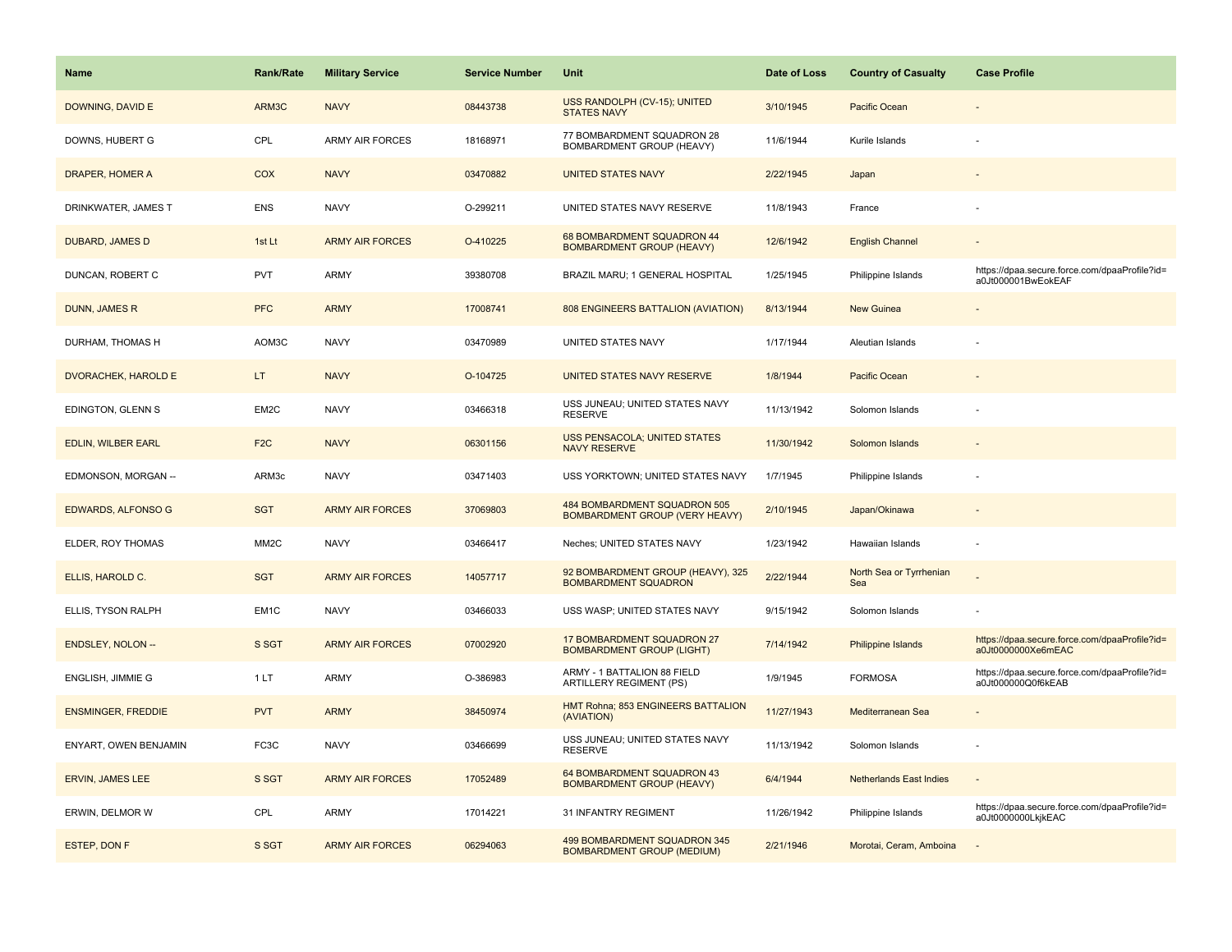| <b>Name</b>                | <b>Rank/Rate</b>  | <b>Military Service</b> | <b>Service Number</b> | Unit                                                              | Date of Loss | <b>Country of Casualty</b>     | <b>Case Profile</b>                                                 |
|----------------------------|-------------------|-------------------------|-----------------------|-------------------------------------------------------------------|--------------|--------------------------------|---------------------------------------------------------------------|
| DOWNING, DAVID E           | ARM3C             | <b>NAVY</b>             | 08443738              | USS RANDOLPH (CV-15); UNITED<br><b>STATES NAVY</b>                | 3/10/1945    | Pacific Ocean                  |                                                                     |
| DOWNS, HUBERT G            | CPL               | ARMY AIR FORCES         | 18168971              | 77 BOMBARDMENT SQUADRON 28<br>BOMBARDMENT GROUP (HEAVY)           | 11/6/1944    | Kurile Islands                 |                                                                     |
| DRAPER, HOMER A            | COX               | <b>NAVY</b>             | 03470882              | <b>UNITED STATES NAVY</b>                                         | 2/22/1945    | Japan                          |                                                                     |
| DRINKWATER, JAMES T        | <b>ENS</b>        | <b>NAVY</b>             | O-299211              | UNITED STATES NAVY RESERVE                                        | 11/8/1943    | France                         |                                                                     |
| DUBARD, JAMES D            | 1st Lt            | <b>ARMY AIR FORCES</b>  | O-410225              | 68 BOMBARDMENT SQUADRON 44<br><b>BOMBARDMENT GROUP (HEAVY)</b>    | 12/6/1942    | <b>English Channel</b>         |                                                                     |
| DUNCAN, ROBERT C           | <b>PVT</b>        | ARMY                    | 39380708              | BRAZIL MARU; 1 GENERAL HOSPITAL                                   | 1/25/1945    | Philippine Islands             | https://dpaa.secure.force.com/dpaaProfile?id=<br>a0Jt000001BwEokEAF |
| <b>DUNN, JAMES R</b>       | <b>PFC</b>        | <b>ARMY</b>             | 17008741              | 808 ENGINEERS BATTALION (AVIATION)                                | 8/13/1944    | <b>New Guinea</b>              |                                                                     |
| DURHAM, THOMAS H           | AOM3C             | <b>NAVY</b>             | 03470989              | UNITED STATES NAVY                                                | 1/17/1944    | Aleutian Islands               |                                                                     |
| <b>DVORACHEK, HAROLD E</b> | LT.               | <b>NAVY</b>             | O-104725              | UNITED STATES NAVY RESERVE                                        | 1/8/1944     | Pacific Ocean                  |                                                                     |
| EDINGTON, GLENN S          | EM2C              | <b>NAVY</b>             | 03466318              | USS JUNEAU; UNITED STATES NAVY<br><b>RESERVE</b>                  | 11/13/1942   | Solomon Islands                |                                                                     |
| <b>EDLIN, WILBER EARL</b>  | F <sub>2C</sub>   | <b>NAVY</b>             | 06301156              | <b>USS PENSACOLA; UNITED STATES</b><br><b>NAVY RESERVE</b>        | 11/30/1942   | Solomon Islands                |                                                                     |
| EDMONSON, MORGAN --        | ARM3c             | <b>NAVY</b>             | 03471403              | USS YORKTOWN; UNITED STATES NAVY                                  | 1/7/1945     | Philippine Islands             |                                                                     |
| <b>EDWARDS, ALFONSO G</b>  | <b>SGT</b>        | <b>ARMY AIR FORCES</b>  | 37069803              | 484 BOMBARDMENT SQUADRON 505<br>BOMBARDMENT GROUP (VERY HEAVY)    | 2/10/1945    | Japan/Okinawa                  |                                                                     |
| ELDER, ROY THOMAS          | MM <sub>2</sub> C | <b>NAVY</b>             | 03466417              | Neches; UNITED STATES NAVY                                        | 1/23/1942    | Hawaiian Islands               |                                                                     |
| ELLIS, HAROLD C.           | <b>SGT</b>        | <b>ARMY AIR FORCES</b>  | 14057717              | 92 BOMBARDMENT GROUP (HEAVY), 325<br><b>BOMBARDMENT SQUADRON</b>  | 2/22/1944    | North Sea or Tyrrhenian<br>Sea |                                                                     |
| ELLIS, TYSON RALPH         | EM <sub>1</sub> C | <b>NAVY</b>             | 03466033              | USS WASP; UNITED STATES NAVY                                      | 9/15/1942    | Solomon Islands                |                                                                     |
| <b>ENDSLEY, NOLON --</b>   | S SGT             | <b>ARMY AIR FORCES</b>  | 07002920              | 17 BOMBARDMENT SQUADRON 27<br><b>BOMBARDMENT GROUP (LIGHT)</b>    | 7/14/1942    | Philippine Islands             | https://dpaa.secure.force.com/dpaaProfile?id=<br>a0Jt0000000Xe6mEAC |
| ENGLISH, JIMMIE G          | 1LT               | ARMY                    | O-386983              | ARMY - 1 BATTALION 88 FIELD<br>ARTILLERY REGIMENT (PS)            | 1/9/1945     | <b>FORMOSA</b>                 | https://dpaa.secure.force.com/dpaaProfile?id=<br>a0Jt000000Q0f6kEAB |
| <b>ENSMINGER, FREDDIE</b>  | <b>PVT</b>        | <b>ARMY</b>             | 38450974              | HMT Rohna; 853 ENGINEERS BATTALION<br>(AVIATION)                  | 11/27/1943   | Mediterranean Sea              |                                                                     |
| ENYART, OWEN BENJAMIN      | FC3C              | <b>NAVY</b>             | 03466699              | USS JUNEAU; UNITED STATES NAVY<br><b>RESERVE</b>                  | 11/13/1942   | Solomon Islands                |                                                                     |
| ERVIN, JAMES LEE           | S SGT             | <b>ARMY AIR FORCES</b>  | 17052489              | 64 BOMBARDMENT SQUADRON 43<br><b>BOMBARDMENT GROUP (HEAVY)</b>    | 6/4/1944     | <b>Netherlands East Indies</b> |                                                                     |
| ERWIN, DELMOR W            | CPL               | ARMY                    | 17014221              | 31 INFANTRY REGIMENT                                              | 11/26/1942   | Philippine Islands             | https://dpaa.secure.force.com/dpaaProfile?id=<br>a0Jt0000000LkjkEAC |
| ESTEP, DON F               | S SGT             | <b>ARMY AIR FORCES</b>  | 06294063              | 499 BOMBARDMENT SQUADRON 345<br><b>BOMBARDMENT GROUP (MEDIUM)</b> | 2/21/1946    | Morotai, Ceram, Amboina        |                                                                     |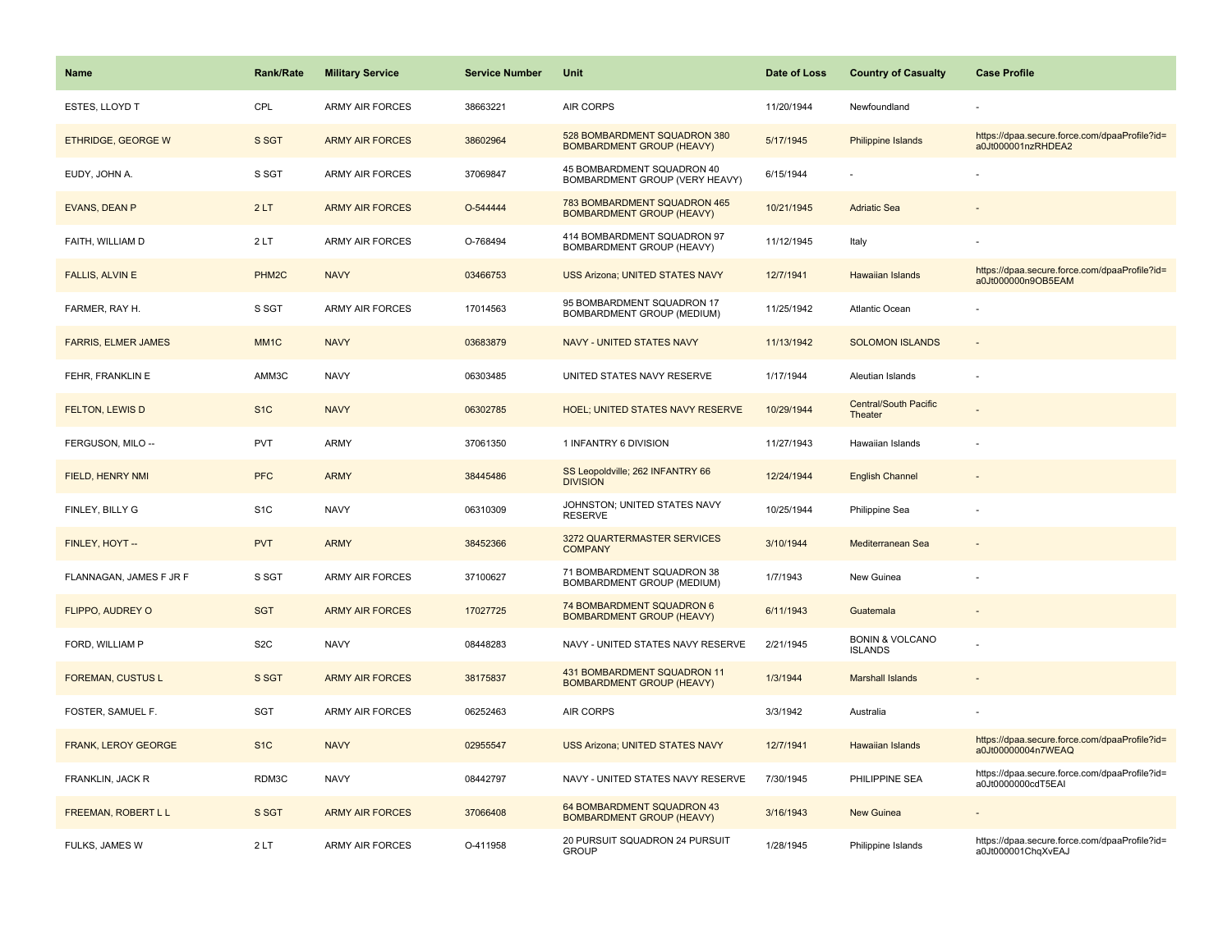| Name                       | <b>Rank/Rate</b>  | <b>Military Service</b> | <b>Service Number</b> | Unit                                                             | Date of Loss | <b>Country of Casualty</b>                   | <b>Case Profile</b>                                                 |
|----------------------------|-------------------|-------------------------|-----------------------|------------------------------------------------------------------|--------------|----------------------------------------------|---------------------------------------------------------------------|
| ESTES, LLOYD T             | CPL               | <b>ARMY AIR FORCES</b>  | 38663221              | AIR CORPS                                                        | 11/20/1944   | Newfoundland                                 |                                                                     |
| <b>ETHRIDGE, GEORGE W</b>  | S SGT             | <b>ARMY AIR FORCES</b>  | 38602964              | 528 BOMBARDMENT SQUADRON 380<br><b>BOMBARDMENT GROUP (HEAVY)</b> | 5/17/1945    | <b>Philippine Islands</b>                    | https://dpaa.secure.force.com/dpaaProfile?id=<br>a0Jt000001nzRHDEA2 |
| EUDY, JOHN A.              | S SGT             | <b>ARMY AIR FORCES</b>  | 37069847              | 45 BOMBARDMENT SQUADRON 40<br>BOMBARDMENT GROUP (VERY HEAVY)     | 6/15/1944    |                                              |                                                                     |
| <b>EVANS, DEAN P</b>       | 2LT               | <b>ARMY AIR FORCES</b>  | O-544444              | 783 BOMBARDMENT SQUADRON 465<br><b>BOMBARDMENT GROUP (HEAVY)</b> | 10/21/1945   | <b>Adriatic Sea</b>                          |                                                                     |
| FAITH, WILLIAM D           | 2LT               | <b>ARMY AIR FORCES</b>  | O-768494              | 414 BOMBARDMENT SQUADRON 97<br>BOMBARDMENT GROUP (HEAVY)         | 11/12/1945   | Italy                                        |                                                                     |
| <b>FALLIS, ALVIN E</b>     | PHM <sub>2C</sub> | <b>NAVY</b>             | 03466753              | <b>USS Arizona; UNITED STATES NAVY</b>                           | 12/7/1941    | <b>Hawaiian Islands</b>                      | https://dpaa.secure.force.com/dpaaProfile?id=<br>a0Jt000000n9OB5EAM |
| FARMER, RAY H.             | S SGT             | <b>ARMY AIR FORCES</b>  | 17014563              | 95 BOMBARDMENT SQUADRON 17<br>BOMBARDMENT GROUP (MEDIUM)         | 11/25/1942   | Atlantic Ocean                               |                                                                     |
| <b>FARRIS, ELMER JAMES</b> | MM <sub>1C</sub>  | <b>NAVY</b>             | 03683879              | <b>NAVY - UNITED STATES NAVY</b>                                 | 11/13/1942   | <b>SOLOMON ISLANDS</b>                       | $\sim$                                                              |
| FEHR, FRANKLIN E           | AMM3C             | <b>NAVY</b>             | 06303485              | UNITED STATES NAVY RESERVE                                       | 1/17/1944    | Aleutian Islands                             |                                                                     |
| FELTON, LEWIS D            | S <sub>1C</sub>   | <b>NAVY</b>             | 06302785              | HOEL; UNITED STATES NAVY RESERVE                                 | 10/29/1944   | <b>Central/South Pacific</b><br>Theater      |                                                                     |
| FERGUSON, MILO --          | <b>PVT</b>        | <b>ARMY</b>             | 37061350              | 1 INFANTRY 6 DIVISION                                            | 11/27/1943   | Hawaiian Islands                             |                                                                     |
| FIELD, HENRY NMI           | <b>PFC</b>        | <b>ARMY</b>             | 38445486              | SS Leopoldville; 262 INFANTRY 66<br><b>DIVISION</b>              | 12/24/1944   | <b>English Channel</b>                       |                                                                     |
| FINLEY, BILLY G            | S <sub>1</sub> C  | <b>NAVY</b>             | 06310309              | JOHNSTON; UNITED STATES NAVY<br><b>RESERVE</b>                   | 10/25/1944   | Philippine Sea                               |                                                                     |
| FINLEY, HOYT --            | <b>PVT</b>        | <b>ARMY</b>             | 38452366              | 3272 QUARTERMASTER SERVICES<br><b>COMPANY</b>                    | 3/10/1944    | Mediterranean Sea                            | $\sim$                                                              |
| FLANNAGAN, JAMES F JR F    | S SGT             | <b>ARMY AIR FORCES</b>  | 37100627              | 71 BOMBARDMENT SQUADRON 38<br>BOMBARDMENT GROUP (MEDIUM)         | 1/7/1943     | New Guinea                                   |                                                                     |
| FLIPPO, AUDREY O           | <b>SGT</b>        | <b>ARMY AIR FORCES</b>  | 17027725              | 74 BOMBARDMENT SQUADRON 6<br><b>BOMBARDMENT GROUP (HEAVY)</b>    | 6/11/1943    | Guatemala                                    |                                                                     |
| FORD, WILLIAM P            | S <sub>2</sub> C  | <b>NAVY</b>             | 08448283              | NAVY - UNITED STATES NAVY RESERVE                                | 2/21/1945    | <b>BONIN &amp; VOLCANO</b><br><b>ISLANDS</b> |                                                                     |
| <b>FOREMAN, CUSTUS L</b>   | S SGT             | <b>ARMY AIR FORCES</b>  | 38175837              | 431 BOMBARDMENT SQUADRON 11<br><b>BOMBARDMENT GROUP (HEAVY)</b>  | 1/3/1944     | <b>Marshall Islands</b>                      |                                                                     |
| FOSTER, SAMUEL F.          | SGT               | <b>ARMY AIR FORCES</b>  | 06252463              | AIR CORPS                                                        | 3/3/1942     | Australia                                    |                                                                     |
| FRANK, LEROY GEORGE        | S <sub>1</sub> C  | <b>NAVY</b>             | 02955547              | <b>USS Arizona; UNITED STATES NAVY</b>                           | 12/7/1941    | Hawaiian Islands                             | https://dpaa.secure.force.com/dpaaProfile?id=<br>a0Jt00000004n7WEAQ |
| FRANKLIN, JACK R           | RDM3C             | <b>NAVY</b>             | 08442797              | NAVY - UNITED STATES NAVY RESERVE                                | 7/30/1945    | PHILIPPINE SEA                               | https://dpaa.secure.force.com/dpaaProfile?id=<br>a0Jt0000000cdT5EAI |
| FREEMAN, ROBERT L L        | S SGT             | <b>ARMY AIR FORCES</b>  | 37066408              | 64 BOMBARDMENT SQUADRON 43<br><b>BOMBARDMENT GROUP (HEAVY)</b>   | 3/16/1943    | New Guinea                                   |                                                                     |
| FULKS, JAMES W             | 2LT               | <b>ARMY AIR FORCES</b>  | O-411958              | 20 PURSUIT SQUADRON 24 PURSUIT<br><b>GROUP</b>                   | 1/28/1945    | Philippine Islands                           | https://dpaa.secure.force.com/dpaaProfile?id=<br>a0Jt000001ChgXvEAJ |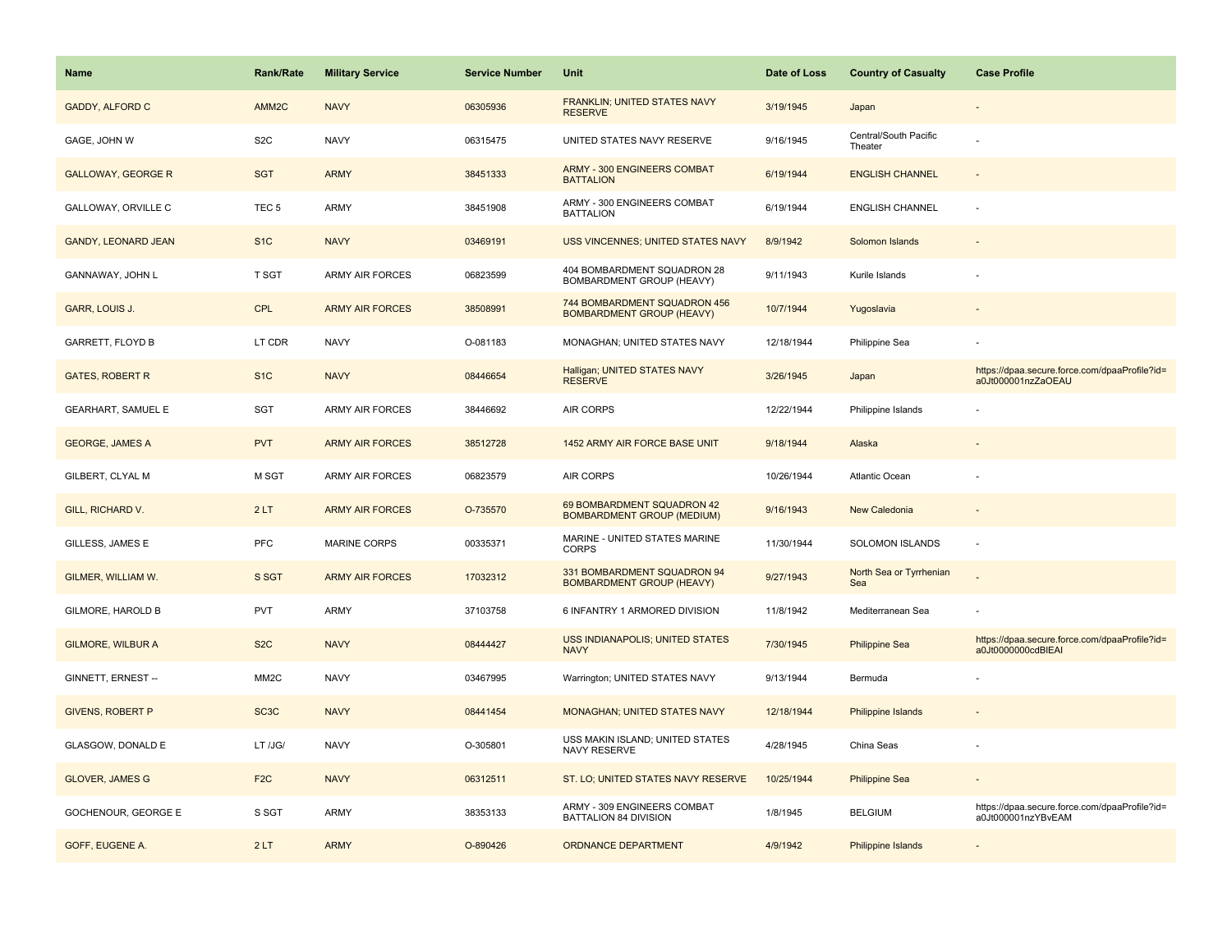| <b>Name</b>                | <b>Rank/Rate</b>  | <b>Military Service</b> | <b>Service Number</b> | Unit                                                             | Date of Loss | <b>Country of Casualty</b>       | <b>Case Profile</b>                                                 |
|----------------------------|-------------------|-------------------------|-----------------------|------------------------------------------------------------------|--------------|----------------------------------|---------------------------------------------------------------------|
| <b>GADDY, ALFORD C</b>     | AMM <sub>2C</sub> | <b>NAVY</b>             | 06305936              | FRANKLIN; UNITED STATES NAVY<br><b>RESERVE</b>                   | 3/19/1945    | Japan                            |                                                                     |
| GAGE, JOHN W               | S <sub>2</sub> C  | <b>NAVY</b>             | 06315475              | UNITED STATES NAVY RESERVE                                       | 9/16/1945    | Central/South Pacific<br>Theater |                                                                     |
| <b>GALLOWAY, GEORGE R</b>  | <b>SGT</b>        | <b>ARMY</b>             | 38451333              | <b>ARMY - 300 ENGINEERS COMBAT</b><br><b>BATTALION</b>           | 6/19/1944    | <b>ENGLISH CHANNEL</b>           |                                                                     |
| GALLOWAY, ORVILLE C        | TEC <sub>5</sub>  | ARMY                    | 38451908              | ARMY - 300 ENGINEERS COMBAT<br><b>BATTALION</b>                  | 6/19/1944    | <b>ENGLISH CHANNEL</b>           |                                                                     |
| <b>GANDY, LEONARD JEAN</b> | S <sub>1</sub> C  | <b>NAVY</b>             | 03469191              | USS VINCENNES; UNITED STATES NAVY                                | 8/9/1942     | Solomon Islands                  |                                                                     |
| GANNAWAY, JOHN L           | T SGT             | <b>ARMY AIR FORCES</b>  | 06823599              | 404 BOMBARDMENT SQUADRON 28<br><b>BOMBARDMENT GROUP (HEAVY)</b>  | 9/11/1943    | Kurile Islands                   |                                                                     |
| GARR, LOUIS J.             | CPL               | <b>ARMY AIR FORCES</b>  | 38508991              | 744 BOMBARDMENT SQUADRON 456<br><b>BOMBARDMENT GROUP (HEAVY)</b> | 10/7/1944    | Yugoslavia                       |                                                                     |
| <b>GARRETT, FLOYD B</b>    | LT CDR            | <b>NAVY</b>             | O-081183              | MONAGHAN; UNITED STATES NAVY                                     | 12/18/1944   | Philippine Sea                   |                                                                     |
| <b>GATES, ROBERT R</b>     | S <sub>1</sub> C  | <b>NAVY</b>             | 08446654              | Halligan; UNITED STATES NAVY<br><b>RESERVE</b>                   | 3/26/1945    | Japan                            | https://dpaa.secure.force.com/dpaaProfile?id=<br>a0Jt000001nzZaOEAU |
| <b>GEARHART, SAMUEL E</b>  | SGT               | <b>ARMY AIR FORCES</b>  | 38446692              | AIR CORPS                                                        | 12/22/1944   | Philippine Islands               |                                                                     |
| <b>GEORGE, JAMES A</b>     | <b>PVT</b>        | <b>ARMY AIR FORCES</b>  | 38512728              | 1452 ARMY AIR FORCE BASE UNIT                                    | 9/18/1944    | Alaska                           |                                                                     |
| GILBERT, CLYAL M           | M SGT             | <b>ARMY AIR FORCES</b>  | 06823579              | AIR CORPS                                                        | 10/26/1944   | Atlantic Ocean                   |                                                                     |
| GILL, RICHARD V.           | 2LT               | <b>ARMY AIR FORCES</b>  | O-735570              | 69 BOMBARDMENT SQUADRON 42<br><b>BOMBARDMENT GROUP (MEDIUM)</b>  | 9/16/1943    | <b>New Caledonia</b>             |                                                                     |
| GILLESS, JAMES E           | PFC               | <b>MARINE CORPS</b>     | 00335371              | MARINE - UNITED STATES MARINE<br><b>CORPS</b>                    | 11/30/1944   | SOLOMON ISLANDS                  | $\sim$                                                              |
| GILMER, WILLIAM W.         | S SGT             | <b>ARMY AIR FORCES</b>  | 17032312              | 331 BOMBARDMENT SQUADRON 94<br><b>BOMBARDMENT GROUP (HEAVY)</b>  | 9/27/1943    | North Sea or Tyrrhenian<br>Sea   |                                                                     |
| GILMORE, HAROLD B          | <b>PVT</b>        | <b>ARMY</b>             | 37103758              | 6 INFANTRY 1 ARMORED DIVISION                                    | 11/8/1942    | Mediterranean Sea                |                                                                     |
| <b>GILMORE, WILBUR A</b>   | S <sub>2</sub> C  | <b>NAVY</b>             | 08444427              | <b>USS INDIANAPOLIS; UNITED STATES</b><br><b>NAVY</b>            | 7/30/1945    | <b>Philippine Sea</b>            | https://dpaa.secure.force.com/dpaaProfile?id=<br>a0Jt0000000cdBIEAI |
| GINNETT, ERNEST --         | MM <sub>2</sub> C | <b>NAVY</b>             | 03467995              | Warrington; UNITED STATES NAVY                                   | 9/13/1944    | Bermuda                          |                                                                     |
| <b>GIVENS, ROBERT P</b>    | SC <sub>3</sub> C | <b>NAVY</b>             | 08441454              | <b>MONAGHAN; UNITED STATES NAVY</b>                              | 12/18/1944   | Philippine Islands               |                                                                     |
| GLASGOW, DONALD E          | LT /JG/           | <b>NAVY</b>             | O-305801              | USS MAKIN ISLAND; UNITED STATES<br>NAVY RESERVE                  | 4/28/1945    | China Seas                       |                                                                     |
| <b>GLOVER, JAMES G</b>     | F <sub>2</sub> C  | <b>NAVY</b>             | 06312511              | ST. LO; UNITED STATES NAVY RESERVE                               | 10/25/1944   | <b>Philippine Sea</b>            |                                                                     |
| GOCHENOUR, GEORGE E        | S SGT             | <b>ARMY</b>             | 38353133              | ARMY - 309 ENGINEERS COMBAT<br>BATTALION 84 DIVISION             | 1/8/1945     | <b>BELGIUM</b>                   | https://dpaa.secure.force.com/dpaaProfile?id=<br>a0Jt000001nzYBvEAM |
| GOFF, EUGENE A.            | 2LT               | <b>ARMY</b>             | O-890426              | <b>ORDNANCE DEPARTMENT</b>                                       | 4/9/1942     | Philippine Islands               |                                                                     |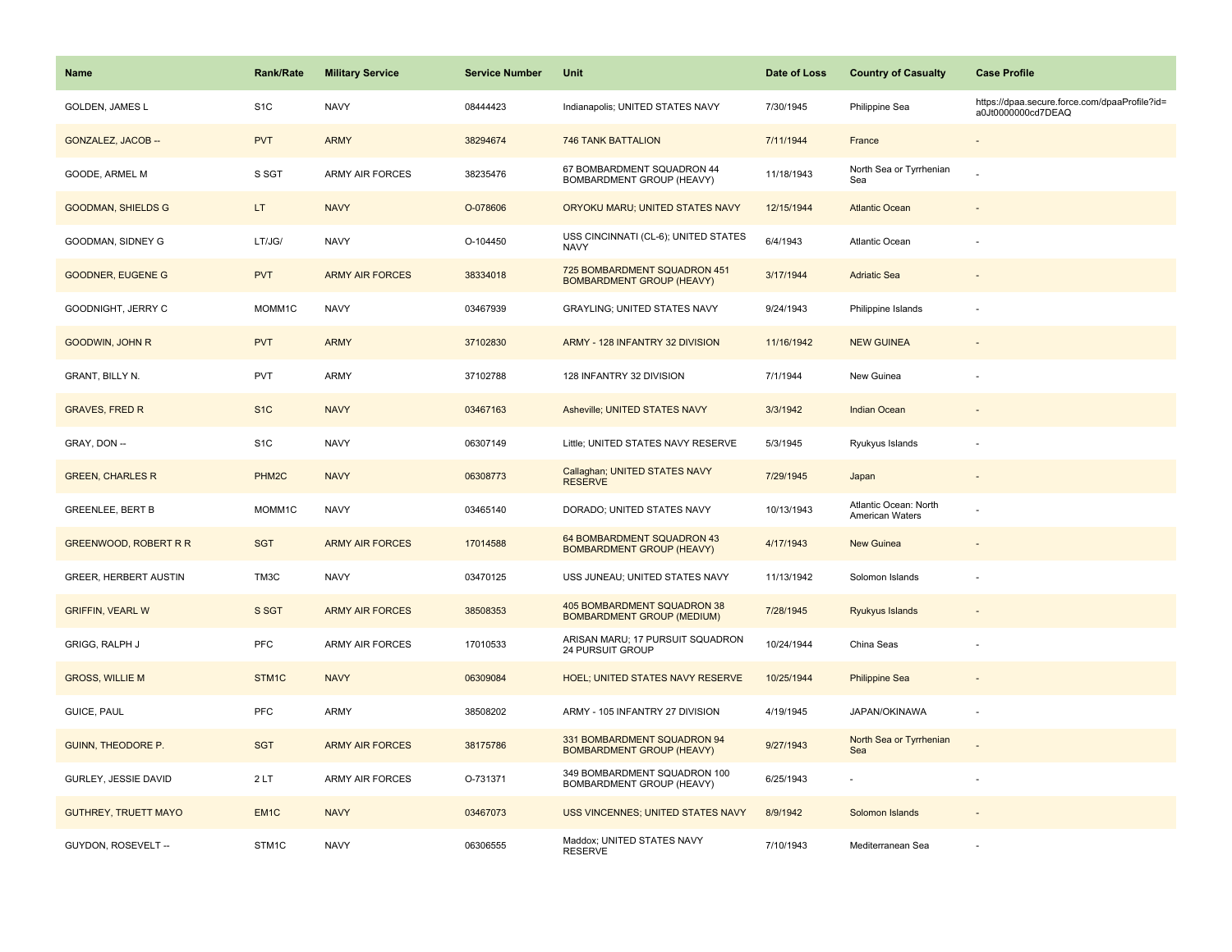| <b>Name</b>                  | <b>Rank/Rate</b>  | <b>Military Service</b> | <b>Service Number</b> | Unit                                                             | Date of Loss | <b>Country of Casualty</b>                      | <b>Case Profile</b>                                                 |
|------------------------------|-------------------|-------------------------|-----------------------|------------------------------------------------------------------|--------------|-------------------------------------------------|---------------------------------------------------------------------|
| <b>GOLDEN, JAMES L</b>       | S <sub>1</sub> C  | <b>NAVY</b>             | 08444423              | Indianapolis; UNITED STATES NAVY                                 | 7/30/1945    | Philippine Sea                                  | https://dpaa.secure.force.com/dpaaProfile?id=<br>a0Jt0000000cd7DEAQ |
| GONZALEZ, JACOB --           | <b>PVT</b>        | <b>ARMY</b>             | 38294674              | <b>746 TANK BATTALION</b>                                        | 7/11/1944    | France                                          |                                                                     |
| GOODE, ARMEL M               | S SGT             | <b>ARMY AIR FORCES</b>  | 38235476              | 67 BOMBARDMENT SQUADRON 44<br>BOMBARDMENT GROUP (HEAVY)          | 11/18/1943   | North Sea or Tyrrhenian<br>Sea                  |                                                                     |
| <b>GOODMAN, SHIELDS G</b>    | LT.               | <b>NAVY</b>             | O-078606              | ORYOKU MARU; UNITED STATES NAVY                                  | 12/15/1944   | <b>Atlantic Ocean</b>                           |                                                                     |
| GOODMAN, SIDNEY G            | LT/JG/            | <b>NAVY</b>             | O-104450              | USS CINCINNATI (CL-6); UNITED STATES<br><b>NAVY</b>              | 6/4/1943     | Atlantic Ocean                                  |                                                                     |
| <b>GOODNER, EUGENE G</b>     | <b>PVT</b>        | <b>ARMY AIR FORCES</b>  | 38334018              | 725 BOMBARDMENT SQUADRON 451<br><b>BOMBARDMENT GROUP (HEAVY)</b> | 3/17/1944    | <b>Adriatic Sea</b>                             |                                                                     |
| GOODNIGHT, JERRY C           | MOMM1C            | <b>NAVY</b>             | 03467939              | <b>GRAYLING: UNITED STATES NAVY</b>                              | 9/24/1943    | Philippine Islands                              |                                                                     |
| GOODWIN, JOHN R              | <b>PVT</b>        | <b>ARMY</b>             | 37102830              | ARMY - 128 INFANTRY 32 DIVISION                                  | 11/16/1942   | <b>NEW GUINEA</b>                               |                                                                     |
| GRANT, BILLY N.              | <b>PVT</b>        | ARMY                    | 37102788              | 128 INFANTRY 32 DIVISION                                         | 7/1/1944     | New Guinea                                      |                                                                     |
| <b>GRAVES, FRED R</b>        | S <sub>1C</sub>   | <b>NAVY</b>             | 03467163              | Asheville; UNITED STATES NAVY                                    | 3/3/1942     | <b>Indian Ocean</b>                             |                                                                     |
| GRAY, DON --                 | S <sub>1</sub> C  | <b>NAVY</b>             | 06307149              | Little; UNITED STATES NAVY RESERVE                               | 5/3/1945     | Ryukyus Islands                                 |                                                                     |
| <b>GREEN, CHARLES R</b>      | PHM <sub>2C</sub> | <b>NAVY</b>             | 06308773              | Callaghan; UNITED STATES NAVY<br><b>RESERVE</b>                  | 7/29/1945    | Japan                                           |                                                                     |
| <b>GREENLEE, BERT B</b>      | MOMM1C            | <b>NAVY</b>             | 03465140              | DORADO; UNITED STATES NAVY                                       | 10/13/1943   | Atlantic Ocean: North<br><b>American Waters</b> |                                                                     |
| <b>GREENWOOD, ROBERT R R</b> | <b>SGT</b>        | <b>ARMY AIR FORCES</b>  | 17014588              | 64 BOMBARDMENT SQUADRON 43<br><b>BOMBARDMENT GROUP (HEAVY)</b>   | 4/17/1943    | New Guinea                                      |                                                                     |
| GREER, HERBERT AUSTIN        | TM3C              | <b>NAVY</b>             | 03470125              | USS JUNEAU; UNITED STATES NAVY                                   | 11/13/1942   | Solomon Islands                                 |                                                                     |
| <b>GRIFFIN, VEARL W</b>      | S SGT             | <b>ARMY AIR FORCES</b>  | 38508353              | 405 BOMBARDMENT SQUADRON 38<br>BOMBARDMENT GROUP (MEDIUM)        | 7/28/1945    | Ryukyus Islands                                 |                                                                     |
| <b>GRIGG, RALPH J</b>        | <b>PFC</b>        | ARMY AIR FORCES         | 17010533              | ARISAN MARU; 17 PURSUIT SQUADRON<br>24 PURSUIT GROUP             | 10/24/1944   | China Seas                                      |                                                                     |
| <b>GROSS, WILLIE M</b>       | STM1C             | <b>NAVY</b>             | 06309084              | HOEL; UNITED STATES NAVY RESERVE                                 | 10/25/1944   | <b>Philippine Sea</b>                           |                                                                     |
| GUICE, PAUL                  | <b>PFC</b>        | ARMY                    | 38508202              | ARMY - 105 INFANTRY 27 DIVISION                                  | 4/19/1945    | JAPAN/OKINAWA                                   |                                                                     |
| GUINN, THEODORE P.           | <b>SGT</b>        | <b>ARMY AIR FORCES</b>  | 38175786              | 331 BOMBARDMENT SQUADRON 94<br><b>BOMBARDMENT GROUP (HEAVY)</b>  | 9/27/1943    | North Sea or Tyrrhenian<br>Sea                  |                                                                     |
| GURLEY, JESSIE DAVID         | 2LT               | <b>ARMY AIR FORCES</b>  | O-731371              | 349 BOMBARDMENT SQUADRON 100<br>BOMBARDMENT GROUP (HEAVY)        | 6/25/1943    | $\sim$                                          |                                                                     |
| <b>GUTHREY, TRUETT MAYO</b>  | EM <sub>1</sub> C | <b>NAVY</b>             | 03467073              | USS VINCENNES; UNITED STATES NAVY                                | 8/9/1942     | Solomon Islands                                 |                                                                     |
| GUYDON, ROSEVELT --          | STM1C             | <b>NAVY</b>             | 06306555              | Maddox; UNITED STATES NAVY<br><b>RESERVE</b>                     | 7/10/1943    | Mediterranean Sea                               |                                                                     |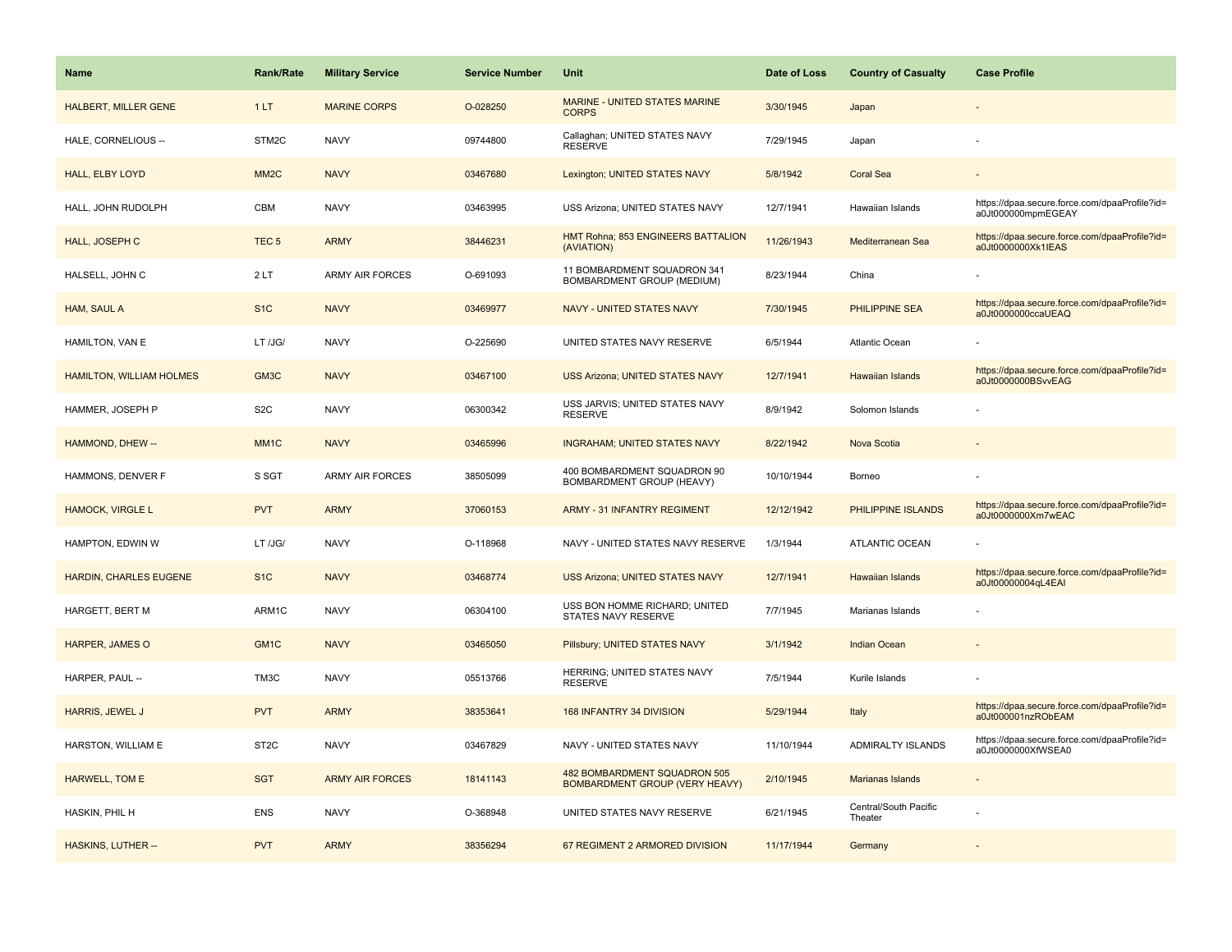| Name                            | <b>Rank/Rate</b>  | <b>Military Service</b> | <b>Service Number</b> | Unit                                                                  | Date of Loss | <b>Country of Casualty</b>       | <b>Case Profile</b>                                                 |
|---------------------------------|-------------------|-------------------------|-----------------------|-----------------------------------------------------------------------|--------------|----------------------------------|---------------------------------------------------------------------|
| <b>HALBERT, MILLER GENE</b>     | 1LT               | <b>MARINE CORPS</b>     | O-028250              | <b>MARINE - UNITED STATES MARINE</b><br><b>CORPS</b>                  | 3/30/1945    | Japan                            |                                                                     |
| HALE, CORNELIOUS --             | STM2C             | <b>NAVY</b>             | 09744800              | Callaghan; UNITED STATES NAVY<br><b>RESERVE</b>                       | 7/29/1945    | Japan                            |                                                                     |
| HALL, ELBY LOYD                 | MM <sub>2</sub> C | <b>NAVY</b>             | 03467680              | Lexington; UNITED STATES NAVY                                         | 5/8/1942     | <b>Coral Sea</b>                 |                                                                     |
| HALL, JOHN RUDOLPH              | CBM               | <b>NAVY</b>             | 03463995              | USS Arizona; UNITED STATES NAVY                                       | 12/7/1941    | Hawaiian Islands                 | https://dpaa.secure.force.com/dpaaProfile?id=<br>a0Jt000000mpmEGEAY |
| HALL, JOSEPH C                  | TEC <sub>5</sub>  | <b>ARMY</b>             | 38446231              | HMT Rohna; 853 ENGINEERS BATTALION<br>(AVIATION)                      | 11/26/1943   | Mediterranean Sea                | https://dpaa.secure.force.com/dpaaProfile?id=<br>a0Jt0000000Xk1IEAS |
| HALSELL, JOHN C                 | 2LT               | <b>ARMY AIR FORCES</b>  | O-691093              | 11 BOMBARDMENT SQUADRON 341<br>BOMBARDMENT GROUP (MEDIUM)             | 8/23/1944    | China                            |                                                                     |
| HAM, SAUL A                     | S <sub>1C</sub>   | <b>NAVY</b>             | 03469977              | NAVY - UNITED STATES NAVY                                             | 7/30/1945    | <b>PHILIPPINE SEA</b>            | https://dpaa.secure.force.com/dpaaProfile?id=<br>a0Jt0000000ccaUEAQ |
| HAMILTON, VAN E                 | LT /JG/           | <b>NAVY</b>             | O-225690              | UNITED STATES NAVY RESERVE                                            | 6/5/1944     | <b>Atlantic Ocean</b>            |                                                                     |
| <b>HAMILTON, WILLIAM HOLMES</b> | GM3C              | <b>NAVY</b>             | 03467100              | <b>USS Arizona; UNITED STATES NAVY</b>                                | 12/7/1941    | <b>Hawaiian Islands</b>          | https://dpaa.secure.force.com/dpaaProfile?id=<br>a0Jt0000000BSvvEAG |
| HAMMER, JOSEPH P                | S <sub>2</sub> C  | <b>NAVY</b>             | 06300342              | USS JARVIS; UNITED STATES NAVY<br><b>RESERVE</b>                      | 8/9/1942     | Solomon Islands                  |                                                                     |
| HAMMOND, DHEW --                | MM <sub>1</sub> C | <b>NAVY</b>             | 03465996              | <b>INGRAHAM; UNITED STATES NAVY</b>                                   | 8/22/1942    | Nova Scotia                      |                                                                     |
| HAMMONS, DENVER F               | S SGT             | ARMY AIR FORCES         | 38505099              | 400 BOMBARDMENT SQUADRON 90<br>BOMBARDMENT GROUP (HEAVY)              | 10/10/1944   | Borneo                           |                                                                     |
| <b>HAMOCK, VIRGLE L</b>         | <b>PVT</b>        | <b>ARMY</b>             | 37060153              | <b>ARMY - 31 INFANTRY REGIMENT</b>                                    | 12/12/1942   | PHILIPPINE ISLANDS               | https://dpaa.secure.force.com/dpaaProfile?id=<br>a0Jt0000000Xm7wEAC |
| HAMPTON, EDWIN W                | LT /JG/           | <b>NAVY</b>             | O-118968              | NAVY - UNITED STATES NAVY RESERVE                                     | 1/3/1944     | ATLANTIC OCEAN                   |                                                                     |
| HARDIN, CHARLES EUGENE          | S <sub>1C</sub>   | <b>NAVY</b>             | 03468774              | <b>USS Arizona; UNITED STATES NAVY</b>                                | 12/7/1941    | Hawaiian Islands                 | https://dpaa.secure.force.com/dpaaProfile?id=<br>a0Jt00000004qL4EAI |
| HARGETT, BERT M                 | ARM1C             | <b>NAVY</b>             | 06304100              | USS BON HOMME RICHARD; UNITED<br>STATES NAVY RESERVE                  | 7/7/1945     | Marianas Islands                 |                                                                     |
| HARPER, JAMES O                 | GM <sub>1C</sub>  | <b>NAVY</b>             | 03465050              | Pillsbury; UNITED STATES NAVY                                         | 3/1/1942     | <b>Indian Ocean</b>              |                                                                     |
| HARPER, PAUL --                 | TM3C              | <b>NAVY</b>             | 05513766              | HERRING; UNITED STATES NAVY<br><b>RESERVE</b>                         | 7/5/1944     | Kurile Islands                   |                                                                     |
| HARRIS, JEWEL J                 | <b>PVT</b>        | <b>ARMY</b>             | 38353641              | 168 INFANTRY 34 DIVISION                                              | 5/29/1944    | Italy                            | https://dpaa.secure.force.com/dpaaProfile?id=<br>a0Jt000001nzRObEAM |
| HARSTON, WILLIAM E              | ST <sub>2</sub> C | <b>NAVY</b>             | 03467829              | NAVY - UNITED STATES NAVY                                             | 11/10/1944   | ADMIRALTY ISLANDS                | https://dpaa.secure.force.com/dpaaProfile?id=<br>a0Jt0000000XfWSEA0 |
| HARWELL, TOM E                  | <b>SGT</b>        | <b>ARMY AIR FORCES</b>  | 18141143              | 482 BOMBARDMENT SQUADRON 505<br><b>BOMBARDMENT GROUP (VERY HEAVY)</b> | 2/10/1945    | Marianas Islands                 |                                                                     |
| HASKIN, PHIL H                  | <b>ENS</b>        | <b>NAVY</b>             | O-368948              | UNITED STATES NAVY RESERVE                                            | 6/21/1945    | Central/South Pacific<br>Theater |                                                                     |
| <b>HASKINS, LUTHER --</b>       | <b>PVT</b>        | <b>ARMY</b>             | 38356294              | 67 REGIMENT 2 ARMORED DIVISION                                        | 11/17/1944   | Germany                          |                                                                     |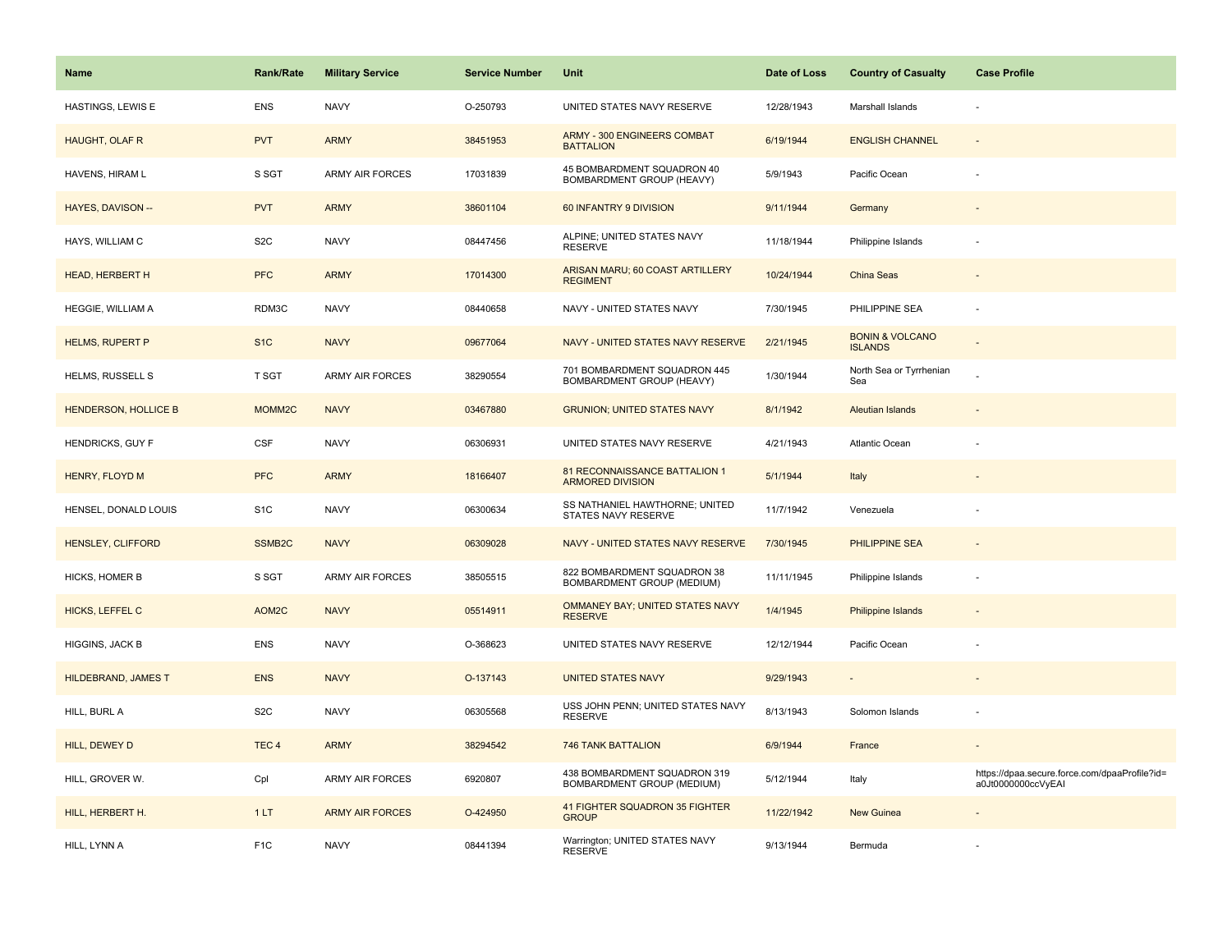| <b>Name</b>                 | <b>Rank/Rate</b>   | <b>Military Service</b> | <b>Service Number</b> | Unit                                                       | Date of Loss | <b>Country of Casualty</b>                   | <b>Case Profile</b>                                                 |
|-----------------------------|--------------------|-------------------------|-----------------------|------------------------------------------------------------|--------------|----------------------------------------------|---------------------------------------------------------------------|
| <b>HASTINGS, LEWIS E</b>    | <b>ENS</b>         | <b>NAVY</b>             | O-250793              | UNITED STATES NAVY RESERVE                                 | 12/28/1943   | Marshall Islands                             |                                                                     |
| HAUGHT, OLAF R              | <b>PVT</b>         | <b>ARMY</b>             | 38451953              | <b>ARMY - 300 ENGINEERS COMBAT</b><br><b>BATTALION</b>     | 6/19/1944    | <b>ENGLISH CHANNEL</b>                       | $\sim$                                                              |
| HAVENS, HIRAM L             | S SGT              | <b>ARMY AIR FORCES</b>  | 17031839              | 45 BOMBARDMENT SQUADRON 40<br>BOMBARDMENT GROUP (HEAVY)    | 5/9/1943     | Pacific Ocean                                |                                                                     |
| HAYES, DAVISON --           | <b>PVT</b>         | <b>ARMY</b>             | 38601104              | 60 INFANTRY 9 DIVISION                                     | 9/11/1944    | Germany                                      |                                                                     |
| HAYS, WILLIAM C             | S <sub>2</sub> C   | <b>NAVY</b>             | 08447456              | ALPINE; UNITED STATES NAVY<br><b>RESERVE</b>               | 11/18/1944   | Philippine Islands                           |                                                                     |
| HEAD, HERBERT H             | <b>PFC</b>         | <b>ARMY</b>             | 17014300              | ARISAN MARU; 60 COAST ARTILLERY<br><b>REGIMENT</b>         | 10/24/1944   | China Seas                                   |                                                                     |
| HEGGIE, WILLIAM A           | RDM3C              | <b>NAVY</b>             | 08440658              | NAVY - UNITED STATES NAVY                                  | 7/30/1945    | PHILIPPINE SEA                               | $\sim$                                                              |
| <b>HELMS, RUPERT P</b>      | S <sub>1</sub> C   | <b>NAVY</b>             | 09677064              | NAVY - UNITED STATES NAVY RESERVE                          | 2/21/1945    | <b>BONIN &amp; VOLCANO</b><br><b>ISLANDS</b> |                                                                     |
| HELMS, RUSSELL S            | T SGT              | <b>ARMY AIR FORCES</b>  | 38290554              | 701 BOMBARDMENT SQUADRON 445<br>BOMBARDMENT GROUP (HEAVY)  | 1/30/1944    | North Sea or Tyrrhenian<br>Sea               |                                                                     |
| <b>HENDERSON, HOLLICE B</b> | MOMM <sub>2C</sub> | <b>NAVY</b>             | 03467880              | <b>GRUNION: UNITED STATES NAVY</b>                         | 8/1/1942     | <b>Aleutian Islands</b>                      |                                                                     |
| <b>HENDRICKS, GUY F</b>     | <b>CSF</b>         | <b>NAVY</b>             | 06306931              | UNITED STATES NAVY RESERVE                                 | 4/21/1943    | Atlantic Ocean                               |                                                                     |
| HENRY, FLOYD M              | <b>PFC</b>         | <b>ARMY</b>             | 18166407              | 81 RECONNAISSANCE BATTALION 1<br><b>ARMORED DIVISION</b>   | 5/1/1944     | Italy                                        |                                                                     |
| HENSEL, DONALD LOUIS        | S <sub>1</sub> C   | <b>NAVY</b>             | 06300634              | SS NATHANIEL HAWTHORNE; UNITED<br>STATES NAVY RESERVE      | 11/7/1942    | Venezuela                                    |                                                                     |
| HENSLEY, CLIFFORD           | SSMB <sub>2C</sub> | <b>NAVY</b>             | 06309028              | NAVY - UNITED STATES NAVY RESERVE                          | 7/30/1945    | PHILIPPINE SEA                               | $\sim$                                                              |
| HICKS, HOMER B              | S SGT              | <b>ARMY AIR FORCES</b>  | 38505515              | 822 BOMBARDMENT SQUADRON 38<br>BOMBARDMENT GROUP (MEDIUM)  | 11/11/1945   | Philippine Islands                           |                                                                     |
| <b>HICKS, LEFFEL C</b>      | AOM2C              | <b>NAVY</b>             | 05514911              | OMMANEY BAY; UNITED STATES NAVY<br><b>RESERVE</b>          | 1/4/1945     | <b>Philippine Islands</b>                    |                                                                     |
| HIGGINS, JACK B             | ENS                | <b>NAVY</b>             | O-368623              | UNITED STATES NAVY RESERVE                                 | 12/12/1944   | Pacific Ocean                                |                                                                     |
| HILDEBRAND, JAMES T         | <b>ENS</b>         | <b>NAVY</b>             | O-137143              | <b>UNITED STATES NAVY</b>                                  | 9/29/1943    |                                              |                                                                     |
| HILL, BURL A                | S <sub>2</sub> C   | <b>NAVY</b>             | 06305568              | USS JOHN PENN; UNITED STATES NAVY<br><b>RESERVE</b>        | 8/13/1943    | Solomon Islands                              |                                                                     |
| HILL, DEWEY D               | TEC <sub>4</sub>   | <b>ARMY</b>             | 38294542              | 746 TANK BATTALION                                         | 6/9/1944     | France                                       |                                                                     |
| HILL, GROVER W.             | Cpl                | <b>ARMY AIR FORCES</b>  | 6920807               | 438 BOMBARDMENT SQUADRON 319<br>BOMBARDMENT GROUP (MEDIUM) | 5/12/1944    | Italy                                        | https://dpaa.secure.force.com/dpaaProfile?id=<br>a0Jt0000000ccVyEAI |
| HILL, HERBERT H.            | 1LT                | <b>ARMY AIR FORCES</b>  | O-424950              | 41 FIGHTER SQUADRON 35 FIGHTER<br><b>GROUP</b>             | 11/22/1942   | <b>New Guinea</b>                            |                                                                     |
| HILL, LYNN A                | F <sub>1</sub> C   | <b>NAVY</b>             | 08441394              | Warrington; UNITED STATES NAVY<br><b>RESERVE</b>           | 9/13/1944    | Bermuda                                      |                                                                     |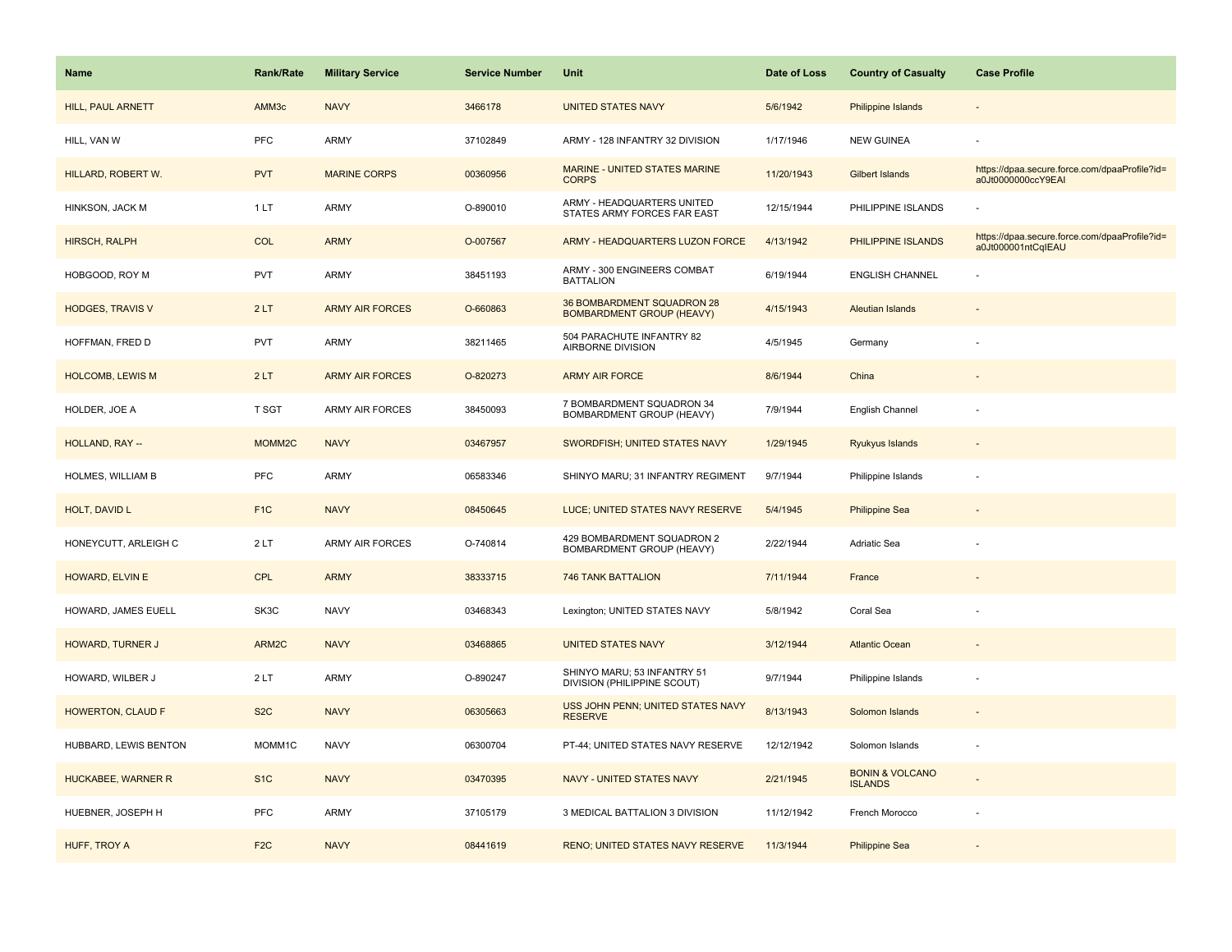| <b>Name</b>              | <b>Rank/Rate</b>   | <b>Military Service</b> | <b>Service Number</b> | Unit                                                           | Date of Loss | <b>Country of Casualty</b>                   | <b>Case Profile</b>                                                 |
|--------------------------|--------------------|-------------------------|-----------------------|----------------------------------------------------------------|--------------|----------------------------------------------|---------------------------------------------------------------------|
| HILL, PAUL ARNETT        | AMM3c              | <b>NAVY</b>             | 3466178               | <b>UNITED STATES NAVY</b>                                      | 5/6/1942     | <b>Philippine Islands</b>                    |                                                                     |
| HILL, VAN W              | <b>PFC</b>         | ARMY                    | 37102849              | ARMY - 128 INFANTRY 32 DIVISION                                | 1/17/1946    | <b>NEW GUINEA</b>                            |                                                                     |
| HILLARD, ROBERT W.       | <b>PVT</b>         | <b>MARINE CORPS</b>     | 00360956              | MARINE - UNITED STATES MARINE<br><b>CORPS</b>                  | 11/20/1943   | <b>Gilbert Islands</b>                       | https://dpaa.secure.force.com/dpaaProfile?id=<br>a0Jt0000000ccY9EAI |
| HINKSON, JACK M          | 1 LT               | ARMY                    | O-890010              | ARMY - HEADQUARTERS UNITED<br>STATES ARMY FORCES FAR EAST      | 12/15/1944   | PHILIPPINE ISLANDS                           |                                                                     |
| <b>HIRSCH, RALPH</b>     | <b>COL</b>         | <b>ARMY</b>             | O-007567              | ARMY - HEADQUARTERS LUZON FORCE                                | 4/13/1942    | PHILIPPINE ISLANDS                           | https://dpaa.secure.force.com/dpaaProfile?id=<br>a0Jt000001ntCqIEAU |
| HOBGOOD, ROY M           | <b>PVT</b>         | ARMY                    | 38451193              | ARMY - 300 ENGINEERS COMBAT<br><b>BATTALION</b>                | 6/19/1944    | <b>ENGLISH CHANNEL</b>                       |                                                                     |
| <b>HODGES, TRAVIS V</b>  | 2LT                | <b>ARMY AIR FORCES</b>  | O-660863              | 36 BOMBARDMENT SQUADRON 28<br><b>BOMBARDMENT GROUP (HEAVY)</b> | 4/15/1943    | <b>Aleutian Islands</b>                      |                                                                     |
| HOFFMAN, FRED D          | PVT                | ARMY                    | 38211465              | 504 PARACHUTE INFANTRY 82<br>AIRBORNE DIVISION                 | 4/5/1945     | Germany                                      |                                                                     |
| <b>HOLCOMB, LEWIS M</b>  | 2LT                | <b>ARMY AIR FORCES</b>  | O-820273              | <b>ARMY AIR FORCE</b>                                          | 8/6/1944     | China                                        |                                                                     |
| HOLDER, JOE A            | T SGT              | ARMY AIR FORCES         | 38450093              | 7 BOMBARDMENT SQUADRON 34<br>BOMBARDMENT GROUP (HEAVY)         | 7/9/1944     | English Channel                              |                                                                     |
| HOLLAND, RAY --          | MOMM <sub>2C</sub> | <b>NAVY</b>             | 03467957              | SWORDFISH; UNITED STATES NAVY                                  | 1/29/1945    | Ryukyus Islands                              |                                                                     |
| HOLMES, WILLIAM B        | PFC                | <b>ARMY</b>             | 06583346              | SHINYO MARU; 31 INFANTRY REGIMENT                              | 9/7/1944     | Philippine Islands                           |                                                                     |
| HOLT, DAVID L            | F <sub>1C</sub>    | <b>NAVY</b>             | 08450645              | LUCE; UNITED STATES NAVY RESERVE                               | 5/4/1945     | <b>Philippine Sea</b>                        |                                                                     |
| HONEYCUTT, ARLEIGH C     | 2LT                | ARMY AIR FORCES         | O-740814              | 429 BOMBARDMENT SQUADRON 2<br>BOMBARDMENT GROUP (HEAVY)        | 2/22/1944    | Adriatic Sea                                 |                                                                     |
| HOWARD, ELVIN E          | <b>CPL</b>         | <b>ARMY</b>             | 38333715              | <b>746 TANK BATTALION</b>                                      | 7/11/1944    | France                                       |                                                                     |
| HOWARD, JAMES EUELL      | SK3C               | <b>NAVY</b>             | 03468343              | Lexington; UNITED STATES NAVY                                  | 5/8/1942     | Coral Sea                                    |                                                                     |
| <b>HOWARD, TURNER J</b>  | ARM2C              | <b>NAVY</b>             | 03468865              | <b>UNITED STATES NAVY</b>                                      | 3/12/1944    | <b>Atlantic Ocean</b>                        |                                                                     |
| HOWARD, WILBER J         | 2LT                | ARMY                    | O-890247              | SHINYO MARU; 53 INFANTRY 51<br>DIVISION (PHILIPPINE SCOUT)     | 9/7/1944     | Philippine Islands                           |                                                                     |
| <b>HOWERTON, CLAUD F</b> | S <sub>2</sub> C   | <b>NAVY</b>             | 06305663              | USS JOHN PENN; UNITED STATES NAVY<br><b>RESERVE</b>            | 8/13/1943    | Solomon Islands                              |                                                                     |
| HUBBARD, LEWIS BENTON    | MOMM1C             | <b>NAVY</b>             | 06300704              | PT-44; UNITED STATES NAVY RESERVE                              | 12/12/1942   | Solomon Islands                              |                                                                     |
| HUCKABEE, WARNER R       | S <sub>1</sub> C   | <b>NAVY</b>             | 03470395              | NAVY - UNITED STATES NAVY                                      | 2/21/1945    | <b>BONIN &amp; VOLCANO</b><br><b>ISLANDS</b> |                                                                     |
| HUEBNER, JOSEPH H        | PFC                | <b>ARMY</b>             | 37105179              | 3 MEDICAL BATTALION 3 DIVISION                                 | 11/12/1942   | French Morocco                               |                                                                     |
| HUFF, TROY A             | F <sub>2C</sub>    | <b>NAVY</b>             | 08441619              | RENO; UNITED STATES NAVY RESERVE                               | 11/3/1944    | <b>Philippine Sea</b>                        |                                                                     |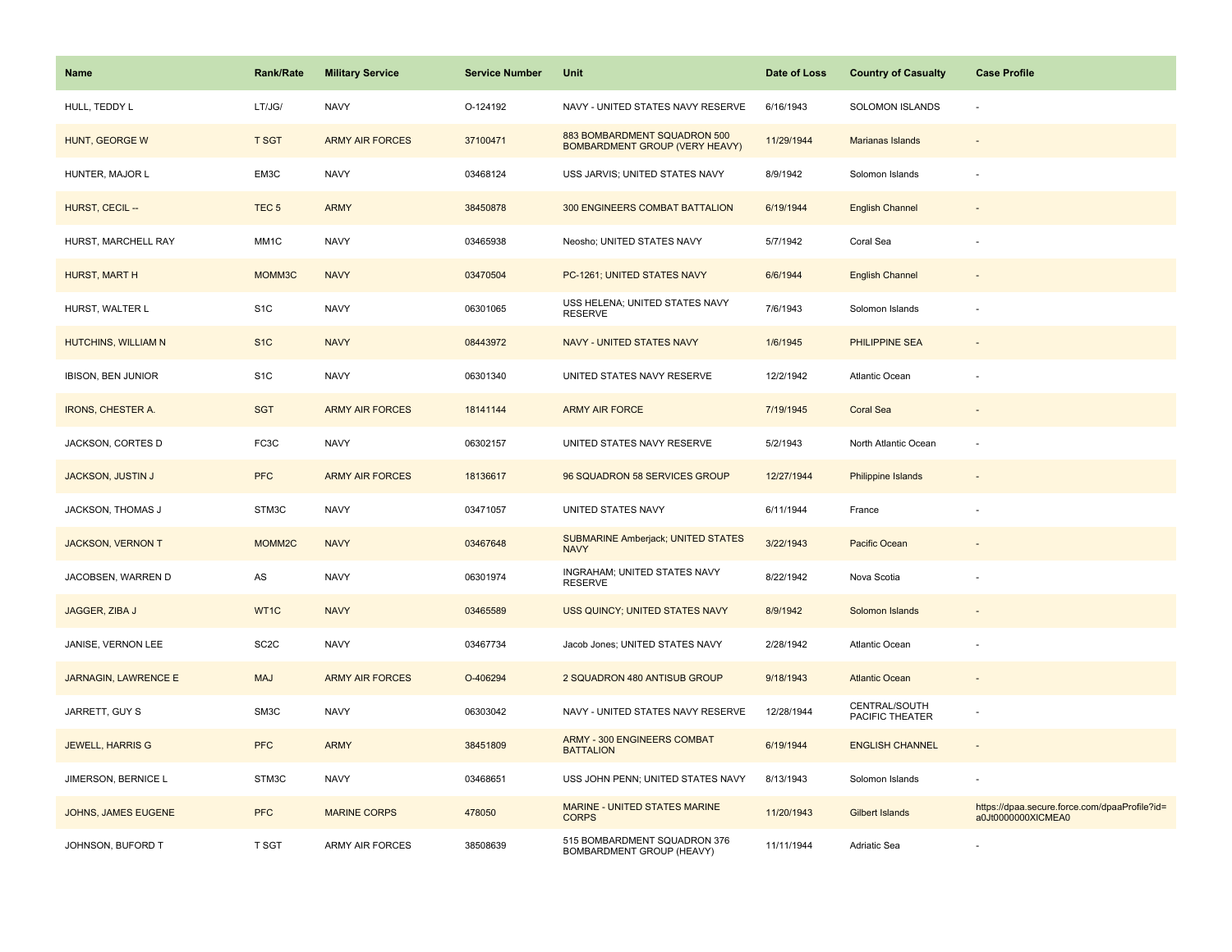| <b>Name</b>                 | <b>Rank/Rate</b>  | <b>Military Service</b> | <b>Service Number</b> | Unit                                                                  | Date of Loss | <b>Country of Casualty</b>       | <b>Case Profile</b>                                                 |
|-----------------------------|-------------------|-------------------------|-----------------------|-----------------------------------------------------------------------|--------------|----------------------------------|---------------------------------------------------------------------|
| HULL, TEDDY L               | LT/JG/            | <b>NAVY</b>             | O-124192              | NAVY - UNITED STATES NAVY RESERVE                                     | 6/16/1943    | <b>SOLOMON ISLANDS</b>           |                                                                     |
| HUNT, GEORGE W              | <b>T SGT</b>      | <b>ARMY AIR FORCES</b>  | 37100471              | 883 BOMBARDMENT SQUADRON 500<br><b>BOMBARDMENT GROUP (VERY HEAVY)</b> | 11/29/1944   | Marianas Islands                 |                                                                     |
| HUNTER, MAJOR L             | EM3C              | <b>NAVY</b>             | 03468124              | USS JARVIS; UNITED STATES NAVY                                        | 8/9/1942     | Solomon Islands                  |                                                                     |
| HURST, CECIL --             | TEC <sub>5</sub>  | <b>ARMY</b>             | 38450878              | 300 ENGINEERS COMBAT BATTALION                                        | 6/19/1944    | <b>English Channel</b>           |                                                                     |
| HURST, MARCHELL RAY         | MM1C              | <b>NAVY</b>             | 03465938              | Neosho; UNITED STATES NAVY                                            | 5/7/1942     | Coral Sea                        |                                                                     |
| HURST, MART H               | MOMM3C            | <b>NAVY</b>             | 03470504              | PC-1261; UNITED STATES NAVY                                           | 6/6/1944     | <b>English Channel</b>           |                                                                     |
| HURST, WALTER L             | S <sub>1</sub> C  | <b>NAVY</b>             | 06301065              | USS HELENA; UNITED STATES NAVY<br><b>RESERVE</b>                      | 7/6/1943     | Solomon Islands                  |                                                                     |
| HUTCHINS, WILLIAM N         | S <sub>1C</sub>   | <b>NAVY</b>             | 08443972              | <b>NAVY - UNITED STATES NAVY</b>                                      | 1/6/1945     | <b>PHILIPPINE SEA</b>            |                                                                     |
| IBISON, BEN JUNIOR          | S <sub>1</sub> C  | <b>NAVY</b>             | 06301340              | UNITED STATES NAVY RESERVE                                            | 12/2/1942    | Atlantic Ocean                   |                                                                     |
| <b>IRONS, CHESTER A.</b>    | <b>SGT</b>        | <b>ARMY AIR FORCES</b>  | 18141144              | <b>ARMY AIR FORCE</b>                                                 | 7/19/1945    | <b>Coral Sea</b>                 |                                                                     |
| JACKSON, CORTES D           | FC3C              | <b>NAVY</b>             | 06302157              | UNITED STATES NAVY RESERVE                                            | 5/2/1943     | North Atlantic Ocean             |                                                                     |
| <b>JACKSON, JUSTIN J</b>    | <b>PFC</b>        | <b>ARMY AIR FORCES</b>  | 18136617              | 96 SQUADRON 58 SERVICES GROUP                                         | 12/27/1944   | Philippine Islands               |                                                                     |
| JACKSON, THOMAS J           | STM3C             | <b>NAVY</b>             | 03471057              | UNITED STATES NAVY                                                    | 6/11/1944    | France                           |                                                                     |
| <b>JACKSON, VERNON T</b>    | MOMM2C            | <b>NAVY</b>             | 03467648              | <b>SUBMARINE Amberjack; UNITED STATES</b><br><b>NAVY</b>              | 3/22/1943    | Pacific Ocean                    |                                                                     |
| JACOBSEN, WARREN D          | AS                | <b>NAVY</b>             | 06301974              | INGRAHAM; UNITED STATES NAVY<br><b>RESERVE</b>                        | 8/22/1942    | Nova Scotia                      |                                                                     |
| JAGGER, ZIBA J              | WT1C              | <b>NAVY</b>             | 03465589              | USS QUINCY; UNITED STATES NAVY                                        | 8/9/1942     | Solomon Islands                  |                                                                     |
| JANISE, VERNON LEE          | SC <sub>2</sub> C | <b>NAVY</b>             | 03467734              | Jacob Jones; UNITED STATES NAVY                                       | 2/28/1942    | Atlantic Ocean                   |                                                                     |
| <b>JARNAGIN, LAWRENCE E</b> | <b>MAJ</b>        | <b>ARMY AIR FORCES</b>  | O-406294              | 2 SQUADRON 480 ANTISUB GROUP                                          | 9/18/1943    | <b>Atlantic Ocean</b>            |                                                                     |
| JARRETT, GUY S              | SM3C              | <b>NAVY</b>             | 06303042              | NAVY - UNITED STATES NAVY RESERVE                                     | 12/28/1944   | CENTRAL/SOUTH<br>PACIFIC THEATER |                                                                     |
| <b>JEWELL, HARRIS G</b>     | <b>PFC</b>        | <b>ARMY</b>             | 38451809              | <b>ARMY - 300 ENGINEERS COMBAT</b><br><b>BATTALION</b>                | 6/19/1944    | <b>ENGLISH CHANNEL</b>           | $\sim$                                                              |
| JIMERSON, BERNICE L         | STM3C             | <b>NAVY</b>             | 03468651              | USS JOHN PENN; UNITED STATES NAVY                                     | 8/13/1943    | Solomon Islands                  |                                                                     |
| JOHNS, JAMES EUGENE         | <b>PFC</b>        | <b>MARINE CORPS</b>     | 478050                | MARINE - UNITED STATES MARINE<br><b>CORPS</b>                         | 11/20/1943   | <b>Gilbert Islands</b>           | https://dpaa.secure.force.com/dpaaProfile?id=<br>a0Jt0000000XICMEA0 |
| JOHNSON, BUFORD T           | T SGT             | ARMY AIR FORCES         | 38508639              | 515 BOMBARDMENT SQUADRON 376<br>BOMBARDMENT GROUP (HEAVY)             | 11/11/1944   | Adriatic Sea                     |                                                                     |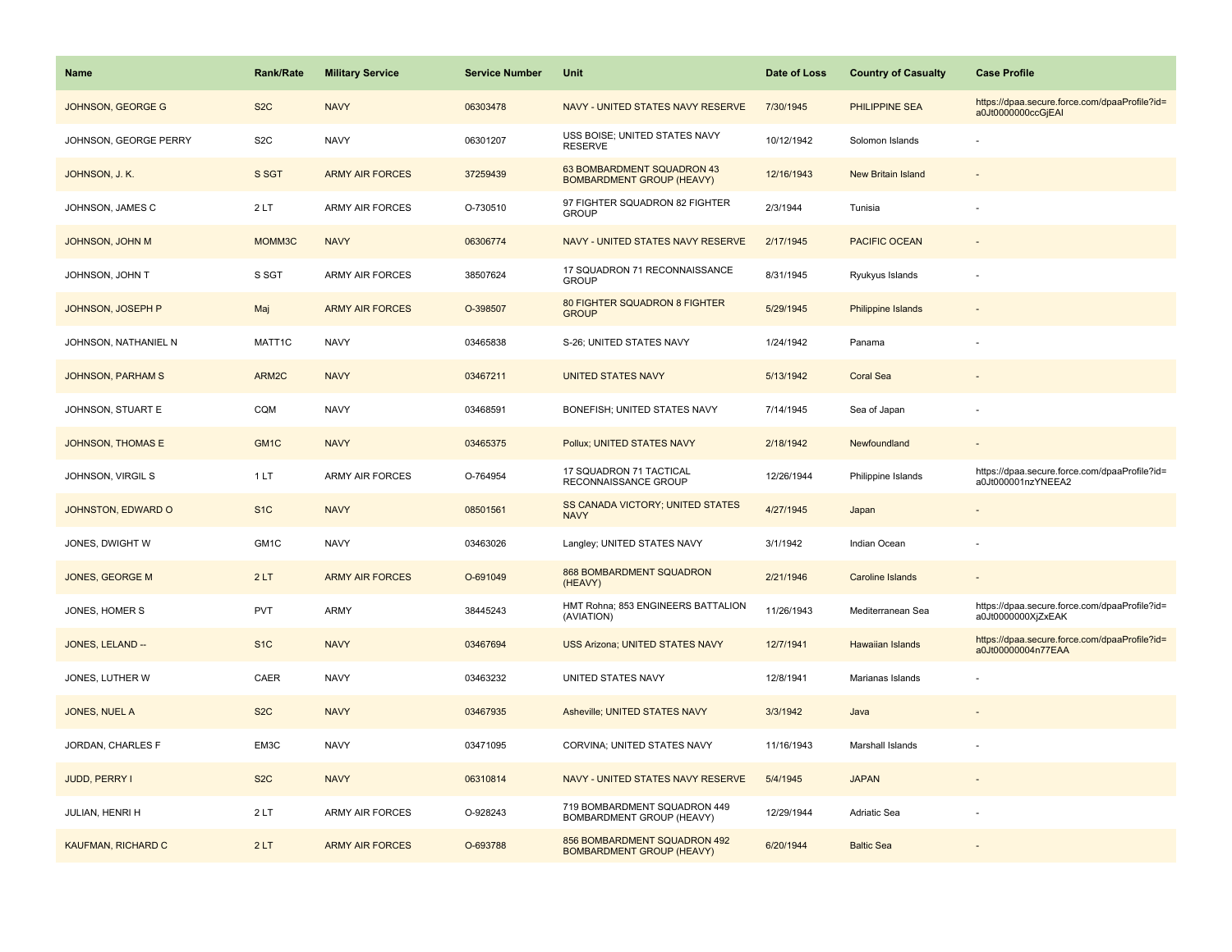| <b>Name</b>              | Rank/Rate        | <b>Military Service</b> | <b>Service Number</b> | Unit                                                             | Date of Loss | <b>Country of Casualty</b> | <b>Case Profile</b>                                                 |
|--------------------------|------------------|-------------------------|-----------------------|------------------------------------------------------------------|--------------|----------------------------|---------------------------------------------------------------------|
| JOHNSON, GEORGE G        | S <sub>2</sub> C | <b>NAVY</b>             | 06303478              | NAVY - UNITED STATES NAVY RESERVE                                | 7/30/1945    | PHILIPPINE SEA             | https://dpaa.secure.force.com/dpaaProfile?id=<br>a0Jt0000000ccGjEAI |
| JOHNSON, GEORGE PERRY    | S <sub>2</sub> C | <b>NAVY</b>             | 06301207              | USS BOISE; UNITED STATES NAVY<br><b>RESERVE</b>                  | 10/12/1942   | Solomon Islands            |                                                                     |
| JOHNSON, J. K.           | S SGT            | <b>ARMY AIR FORCES</b>  | 37259439              | 63 BOMBARDMENT SQUADRON 43<br><b>BOMBARDMENT GROUP (HEAVY)</b>   | 12/16/1943   | New Britain Island         |                                                                     |
| JOHNSON, JAMES C         | 2LT              | <b>ARMY AIR FORCES</b>  | O-730510              | 97 FIGHTER SQUADRON 82 FIGHTER<br><b>GROUP</b>                   | 2/3/1944     | Tunisia                    |                                                                     |
| <b>JOHNSON, JOHN M</b>   | MOMM3C           | <b>NAVY</b>             | 06306774              | NAVY - UNITED STATES NAVY RESERVE                                | 2/17/1945    | PACIFIC OCEAN              |                                                                     |
| JOHNSON, JOHN T          | S SGT            | ARMY AIR FORCES         | 38507624              | 17 SQUADRON 71 RECONNAISSANCE<br><b>GROUP</b>                    | 8/31/1945    | Ryukyus Islands            |                                                                     |
| JOHNSON, JOSEPH P        | Maj              | <b>ARMY AIR FORCES</b>  | O-398507              | 80 FIGHTER SQUADRON 8 FIGHTER<br><b>GROUP</b>                    | 5/29/1945    | Philippine Islands         |                                                                     |
| JOHNSON, NATHANIEL N     | MATT1C           | <b>NAVY</b>             | 03465838              | S-26; UNITED STATES NAVY                                         | 1/24/1942    | Panama                     |                                                                     |
| <b>JOHNSON, PARHAM S</b> | ARM2C            | <b>NAVY</b>             | 03467211              | <b>UNITED STATES NAVY</b>                                        | 5/13/1942    | <b>Coral Sea</b>           |                                                                     |
| JOHNSON, STUART E        | CQM              | <b>NAVY</b>             | 03468591              | BONEFISH; UNITED STATES NAVY                                     | 7/14/1945    | Sea of Japan               |                                                                     |
| <b>JOHNSON, THOMAS E</b> | GM <sub>1C</sub> | <b>NAVY</b>             | 03465375              | Pollux; UNITED STATES NAVY                                       | 2/18/1942    | Newfoundland               |                                                                     |
| JOHNSON, VIRGIL S        | 1LT              | ARMY AIR FORCES         | O-764954              | 17 SQUADRON 71 TACTICAL<br>RECONNAISSANCE GROUP                  | 12/26/1944   | Philippine Islands         | https://dpaa.secure.force.com/dpaaProfile?id=<br>a0Jt000001nzYNEEA2 |
| JOHNSTON, EDWARD O       | S <sub>1</sub> C | <b>NAVY</b>             | 08501561              | SS CANADA VICTORY; UNITED STATES<br><b>NAVY</b>                  | 4/27/1945    | Japan                      |                                                                     |
| JONES, DWIGHT W          | GM1C             | <b>NAVY</b>             | 03463026              | Langley; UNITED STATES NAVY                                      | 3/1/1942     | Indian Ocean               |                                                                     |
| <b>JONES, GEORGE M</b>   | 2LT              | <b>ARMY AIR FORCES</b>  | O-691049              | 868 BOMBARDMENT SQUADRON<br>(HEAVY)                              | 2/21/1946    | <b>Caroline Islands</b>    |                                                                     |
| JONES, HOMER S           | <b>PVT</b>       | ARMY                    | 38445243              | HMT Rohna; 853 ENGINEERS BATTALION<br>(AVIATION)                 | 11/26/1943   | Mediterranean Sea          | https://dpaa.secure.force.com/dpaaProfile?id=<br>a0Jt0000000XjZxEAK |
| JONES, LELAND --         | S <sub>1</sub> C | <b>NAVY</b>             | 03467694              | USS Arizona; UNITED STATES NAVY                                  | 12/7/1941    | Hawaiian Islands           | https://dpaa.secure.force.com/dpaaProfile?id=<br>a0Jt00000004n77EAA |
| JONES, LUTHER W          | CAER             | <b>NAVY</b>             | 03463232              | UNITED STATES NAVY                                               | 12/8/1941    | Marianas Islands           |                                                                     |
| JONES, NUEL A            | S <sub>2</sub> C | <b>NAVY</b>             | 03467935              | Asheville; UNITED STATES NAVY                                    | 3/3/1942     | Java                       |                                                                     |
| JORDAN, CHARLES F        | EM3C             | <b>NAVY</b>             | 03471095              | CORVINA; UNITED STATES NAVY                                      | 11/16/1943   | Marshall Islands           |                                                                     |
| JUDD, PERRY I            | S <sub>2</sub> C | <b>NAVY</b>             | 06310814              | NAVY - UNITED STATES NAVY RESERVE                                | 5/4/1945     | <b>JAPAN</b>               |                                                                     |
| JULIAN, HENRI H          | 2LT              | <b>ARMY AIR FORCES</b>  | O-928243              | 719 BOMBARDMENT SQUADRON 449<br>BOMBARDMENT GROUP (HEAVY)        | 12/29/1944   | <b>Adriatic Sea</b>        |                                                                     |
| KAUFMAN, RICHARD C       | 2LT              | <b>ARMY AIR FORCES</b>  | O-693788              | 856 BOMBARDMENT SQUADRON 492<br><b>BOMBARDMENT GROUP (HEAVY)</b> | 6/20/1944    | <b>Baltic Sea</b>          |                                                                     |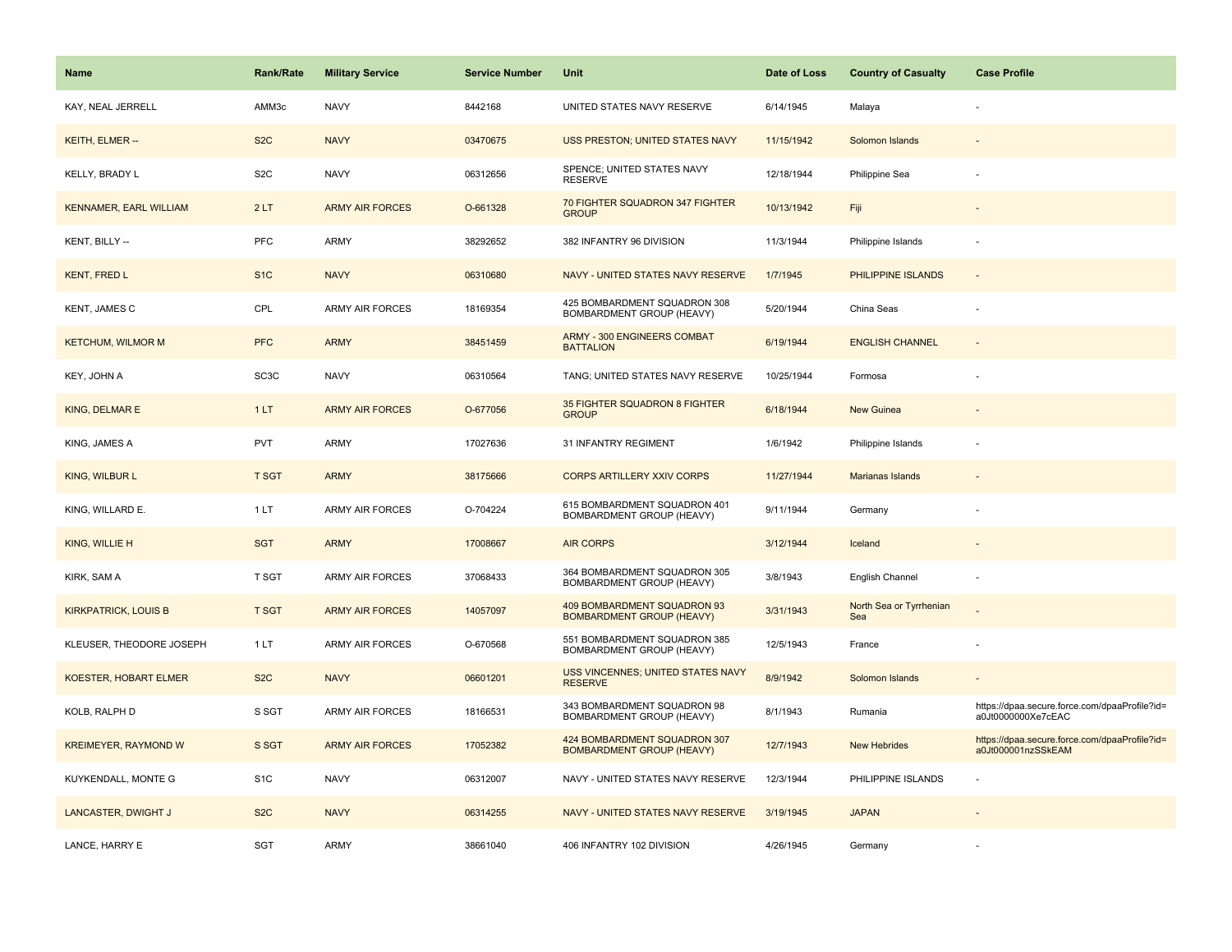| Name                          | <b>Rank/Rate</b>  | <b>Military Service</b> | <b>Service Number</b> | Unit                                                             | Date of Loss | <b>Country of Casualty</b>     | <b>Case Profile</b>                                                 |
|-------------------------------|-------------------|-------------------------|-----------------------|------------------------------------------------------------------|--------------|--------------------------------|---------------------------------------------------------------------|
| KAY, NEAL JERRELL             | AMM3c             | <b>NAVY</b>             | 8442168               | UNITED STATES NAVY RESERVE                                       | 6/14/1945    | Malaya                         |                                                                     |
| KEITH, ELMER --               | S <sub>2</sub> C  | <b>NAVY</b>             | 03470675              | USS PRESTON; UNITED STATES NAVY                                  | 11/15/1942   | Solomon Islands                |                                                                     |
| KELLY, BRADY L                | S <sub>2</sub> C  | <b>NAVY</b>             | 06312656              | SPENCE; UNITED STATES NAVY<br><b>RESERVE</b>                     | 12/18/1944   | Philippine Sea                 |                                                                     |
| <b>KENNAMER, EARL WILLIAM</b> | 2LT               | <b>ARMY AIR FORCES</b>  | O-661328              | 70 FIGHTER SQUADRON 347 FIGHTER<br><b>GROUP</b>                  | 10/13/1942   | Fiji                           |                                                                     |
| KENT, BILLY --                | PFC               | <b>ARMY</b>             | 38292652              | 382 INFANTRY 96 DIVISION                                         | 11/3/1944    | Philippine Islands             |                                                                     |
| <b>KENT, FRED L</b>           | S <sub>1</sub> C  | <b>NAVY</b>             | 06310680              | NAVY - UNITED STATES NAVY RESERVE                                | 1/7/1945     | PHILIPPINE ISLANDS             | $\sim$                                                              |
| KENT, JAMES C                 | CPL               | <b>ARMY AIR FORCES</b>  | 18169354              | 425 BOMBARDMENT SQUADRON 308<br>BOMBARDMENT GROUP (HEAVY)        | 5/20/1944    | China Seas                     | $\sim$                                                              |
| <b>KETCHUM, WILMOR M</b>      | <b>PFC</b>        | <b>ARMY</b>             | 38451459              | ARMY - 300 ENGINEERS COMBAT<br><b>BATTALION</b>                  | 6/19/1944    | <b>ENGLISH CHANNEL</b>         | $\sim$                                                              |
| KEY, JOHN A                   | SC <sub>3</sub> C | <b>NAVY</b>             | 06310564              | TANG; UNITED STATES NAVY RESERVE                                 | 10/25/1944   | Formosa                        |                                                                     |
| KING, DELMAR E                | 1LT               | <b>ARMY AIR FORCES</b>  | O-677056              | 35 FIGHTER SQUADRON 8 FIGHTER<br><b>GROUP</b>                    | 6/18/1944    | <b>New Guinea</b>              |                                                                     |
| KING, JAMES A                 | PVT               | <b>ARMY</b>             | 17027636              | 31 INFANTRY REGIMENT                                             | 1/6/1942     | Philippine Islands             |                                                                     |
| KING, WILBUR L                | <b>T SGT</b>      | <b>ARMY</b>             | 38175666              | <b>CORPS ARTILLERY XXIV CORPS</b>                                | 11/27/1944   | Marianas Islands               |                                                                     |
| KING, WILLARD E.              | 1LT               | ARMY AIR FORCES         | O-704224              | 615 BOMBARDMENT SQUADRON 401<br>BOMBARDMENT GROUP (HEAVY)        | 9/11/1944    | Germany                        |                                                                     |
| KING, WILLIE H                | <b>SGT</b>        | <b>ARMY</b>             | 17008667              | <b>AIR CORPS</b>                                                 | 3/12/1944    | Iceland                        |                                                                     |
| KIRK, SAM A                   | T SGT             | <b>ARMY AIR FORCES</b>  | 37068433              | 364 BOMBARDMENT SQUADRON 305<br>BOMBARDMENT GROUP (HEAVY)        | 3/8/1943     | English Channel                |                                                                     |
| <b>KIRKPATRICK, LOUIS B</b>   | <b>T SGT</b>      | <b>ARMY AIR FORCES</b>  | 14057097              | 409 BOMBARDMENT SQUADRON 93<br><b>BOMBARDMENT GROUP (HEAVY)</b>  | 3/31/1943    | North Sea or Tyrrhenian<br>Sea |                                                                     |
| KLEUSER, THEODORE JOSEPH      | 1LT               | ARMY AIR FORCES         | O-670568              | 551 BOMBARDMENT SQUADRON 385<br>BOMBARDMENT GROUP (HEAVY)        | 12/5/1943    | France                         |                                                                     |
| KOESTER, HOBART ELMER         | S <sub>2</sub> C  | <b>NAVY</b>             | 06601201              | USS VINCENNES; UNITED STATES NAVY<br><b>RESERVE</b>              | 8/9/1942     | Solomon Islands                |                                                                     |
| KOLB, RALPH D                 | S SGT             | ARMY AIR FORCES         | 18166531              | 343 BOMBARDMENT SQUADRON 98<br>BOMBARDMENT GROUP (HEAVY)         | 8/1/1943     | Rumania                        | https://dpaa.secure.force.com/dpaaProfile?id=<br>a0Jt0000000Xe7cEAC |
| <b>KREIMEYER, RAYMOND W</b>   | S SGT             | <b>ARMY AIR FORCES</b>  | 17052382              | 424 BOMBARDMENT SQUADRON 307<br><b>BOMBARDMENT GROUP (HEAVY)</b> | 12/7/1943    | <b>New Hebrides</b>            | https://dpaa.secure.force.com/dpaaProfile?id=<br>a0Jt000001nzSSkEAM |
| KUYKENDALL, MONTE G           | S <sub>1</sub> C  | <b>NAVY</b>             | 06312007              | NAVY - UNITED STATES NAVY RESERVE                                | 12/3/1944    | PHILIPPINE ISLANDS             |                                                                     |
| LANCASTER, DWIGHT J           | S <sub>2</sub> C  | <b>NAVY</b>             | 06314255              | NAVY - UNITED STATES NAVY RESERVE                                | 3/19/1945    | <b>JAPAN</b>                   |                                                                     |
| LANCE, HARRY E                | SGT               | <b>ARMY</b>             | 38661040              | 406 INFANTRY 102 DIVISION                                        | 4/26/1945    | Germany                        |                                                                     |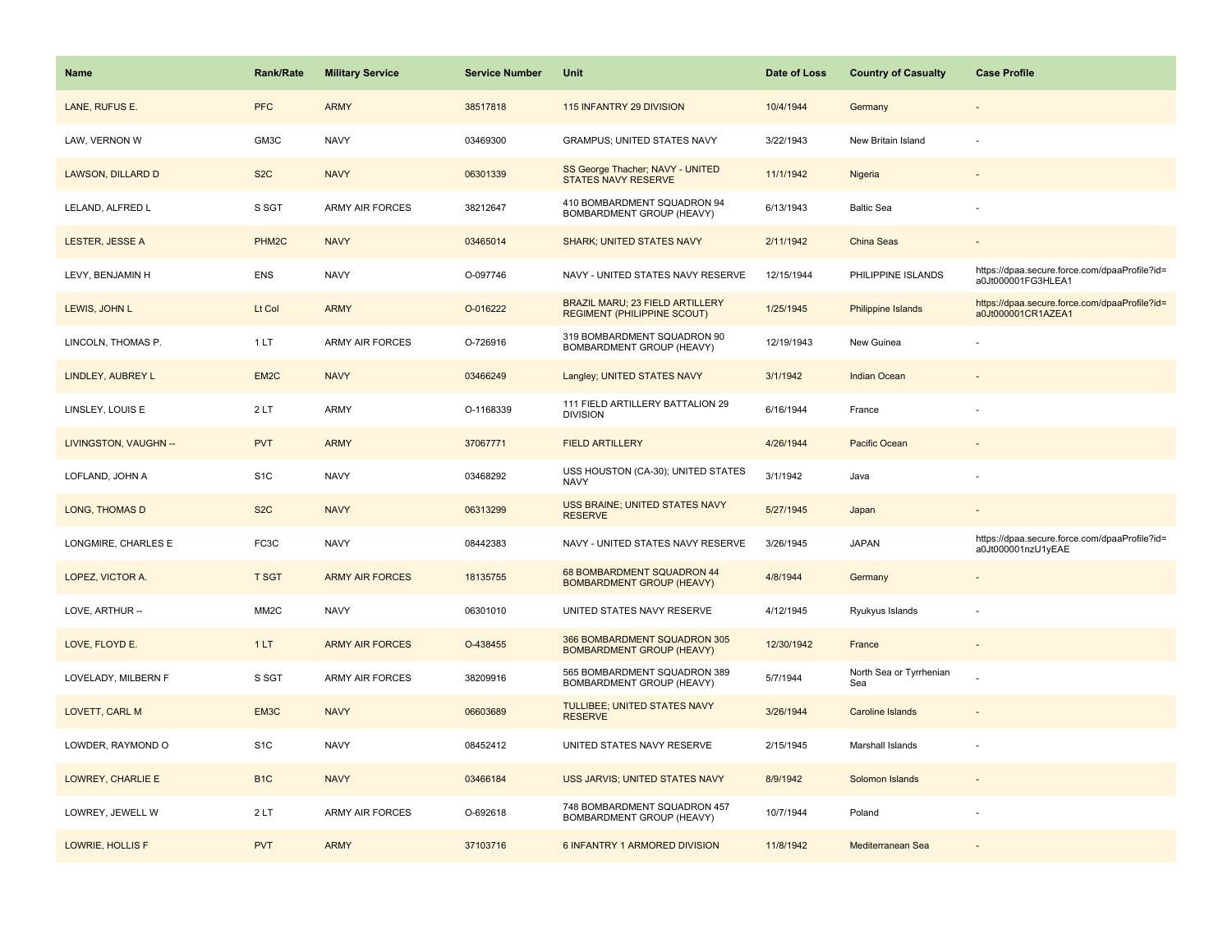| <b>Name</b>           | Rank/Rate          | <b>Military Service</b> | <b>Service Number</b> | Unit                                                                         | Date of Loss | <b>Country of Casualty</b>     | <b>Case Profile</b>                                                 |
|-----------------------|--------------------|-------------------------|-----------------------|------------------------------------------------------------------------------|--------------|--------------------------------|---------------------------------------------------------------------|
| LANE, RUFUS E.        | <b>PFC</b>         | <b>ARMY</b>             | 38517818              | 115 INFANTRY 29 DIVISION                                                     | 10/4/1944    | Germany                        |                                                                     |
| LAW, VERNON W         | GM3C               | <b>NAVY</b>             | 03469300              | <b>GRAMPUS; UNITED STATES NAVY</b>                                           | 3/22/1943    | New Britain Island             |                                                                     |
| LAWSON, DILLARD D     | S <sub>2</sub> C   | <b>NAVY</b>             | 06301339              | SS George Thacher; NAVY - UNITED<br><b>STATES NAVY RESERVE</b>               | 11/1/1942    | Nigeria                        |                                                                     |
| LELAND, ALFRED L      | S SGT              | <b>ARMY AIR FORCES</b>  | 38212647              | 410 BOMBARDMENT SQUADRON 94<br>BOMBARDMENT GROUP (HEAVY)                     | 6/13/1943    | <b>Baltic Sea</b>              |                                                                     |
| LESTER, JESSE A       | PHM <sub>2</sub> C | <b>NAVY</b>             | 03465014              | <b>SHARK; UNITED STATES NAVY</b>                                             | 2/11/1942    | China Seas                     |                                                                     |
| LEVY, BENJAMIN H      | <b>ENS</b>         | <b>NAVY</b>             | O-097746              | NAVY - UNITED STATES NAVY RESERVE                                            | 12/15/1944   | PHILIPPINE ISLANDS             | https://dpaa.secure.force.com/dpaaProfile?id=<br>a0Jt000001FG3HLEA1 |
| LEWIS, JOHN L         | Lt Col             | <b>ARMY</b>             | O-016222              | <b>BRAZIL MARU; 23 FIELD ARTILLERY</b><br><b>REGIMENT (PHILIPPINE SCOUT)</b> | 1/25/1945    | Philippine Islands             | https://dpaa.secure.force.com/dpaaProfile?id=<br>a0Jt000001CR1AZEA1 |
| LINCOLN, THOMAS P.    | 1LT                | <b>ARMY AIR FORCES</b>  | O-726916              | 319 BOMBARDMENT SQUADRON 90<br>BOMBARDMENT GROUP (HEAVY)                     | 12/19/1943   | New Guinea                     |                                                                     |
| LINDLEY, AUBREY L     | EM <sub>2</sub> C  | <b>NAVY</b>             | 03466249              | Langley; UNITED STATES NAVY                                                  | 3/1/1942     | <b>Indian Ocean</b>            |                                                                     |
| LINSLEY, LOUIS E      | 2LT                | ARMY                    | O-1168339             | 111 FIELD ARTILLERY BATTALION 29<br><b>DIVISION</b>                          | 6/16/1944    | France                         |                                                                     |
| LIVINGSTON, VAUGHN -- | <b>PVT</b>         | <b>ARMY</b>             | 37067771              | <b>FIELD ARTILLERY</b>                                                       | 4/26/1944    | Pacific Ocean                  |                                                                     |
| LOFLAND, JOHN A       | S <sub>1</sub> C   | <b>NAVY</b>             | 03468292              | USS HOUSTON (CA-30); UNITED STATES<br><b>NAVY</b>                            | 3/1/1942     | Java                           |                                                                     |
| <b>LONG, THOMAS D</b> | S <sub>2</sub> C   | <b>NAVY</b>             | 06313299              | USS BRAINE; UNITED STATES NAVY<br><b>RESERVE</b>                             | 5/27/1945    | Japan                          |                                                                     |
| LONGMIRE, CHARLES E   | FC <sub>3</sub> C  | <b>NAVY</b>             | 08442383              | NAVY - UNITED STATES NAVY RESERVE                                            | 3/26/1945    | <b>JAPAN</b>                   | https://dpaa.secure.force.com/dpaaProfile?id=<br>a0Jt000001nzU1yEAE |
| LOPEZ, VICTOR A.      | <b>T SGT</b>       | <b>ARMY AIR FORCES</b>  | 18135755              | 68 BOMBARDMENT SQUADRON 44<br><b>BOMBARDMENT GROUP (HEAVY)</b>               | 4/8/1944     | Germany                        | $\overline{\phantom{a}}$                                            |
| LOVE, ARTHUR --       | MM <sub>2</sub> C  | <b>NAVY</b>             | 06301010              | UNITED STATES NAVY RESERVE                                                   | 4/12/1945    | Ryukyus Islands                |                                                                     |
| LOVE, FLOYD E.        | 1LT                | <b>ARMY AIR FORCES</b>  | O-438455              | 366 BOMBARDMENT SQUADRON 305<br><b>BOMBARDMENT GROUP (HEAVY)</b>             | 12/30/1942   | France                         |                                                                     |
| LOVELADY, MILBERN F   | S SGT              | ARMY AIR FORCES         | 38209916              | 565 BOMBARDMENT SQUADRON 389<br>BOMBARDMENT GROUP (HEAVY)                    | 5/7/1944     | North Sea or Tyrrhenian<br>Sea |                                                                     |
| LOVETT, CARL M        | EM3C               | <b>NAVY</b>             | 06603689              | TULLIBEE; UNITED STATES NAVY<br><b>RESERVE</b>                               | 3/26/1944    | <b>Caroline Islands</b>        |                                                                     |
| LOWDER, RAYMOND O     | S <sub>1</sub> C   | <b>NAVY</b>             | 08452412              | UNITED STATES NAVY RESERVE                                                   | 2/15/1945    | Marshall Islands               |                                                                     |
| LOWREY, CHARLIE E     | B <sub>1C</sub>    | <b>NAVY</b>             | 03466184              | USS JARVIS; UNITED STATES NAVY                                               | 8/9/1942     | Solomon Islands                | $\sim$                                                              |
| LOWREY, JEWELL W      | 2LT                | <b>ARMY AIR FORCES</b>  | O-692618              | 748 BOMBARDMENT SQUADRON 457<br>BOMBARDMENT GROUP (HEAVY)                    | 10/7/1944    | Poland                         |                                                                     |
| LOWRIE, HOLLIS F      | <b>PVT</b>         | <b>ARMY</b>             | 37103716              | 6 INFANTRY 1 ARMORED DIVISION                                                | 11/8/1942    | Mediterranean Sea              |                                                                     |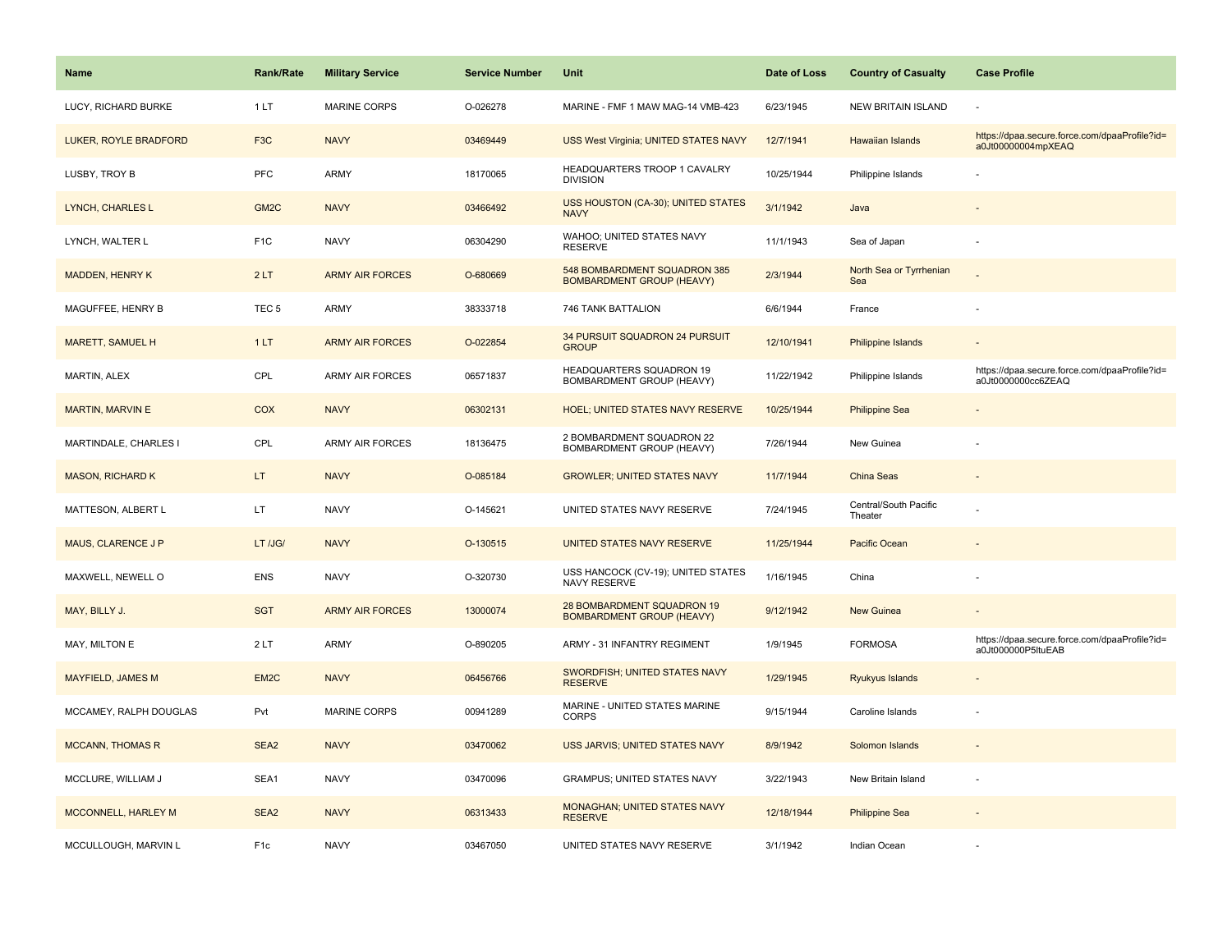| <b>Name</b>              | <b>Rank/Rate</b>  | <b>Military Service</b> | <b>Service Number</b> | Unit                                                             | Date of Loss | <b>Country of Casualty</b>       | <b>Case Profile</b>                                                 |
|--------------------------|-------------------|-------------------------|-----------------------|------------------------------------------------------------------|--------------|----------------------------------|---------------------------------------------------------------------|
| LUCY, RICHARD BURKE      | 1LT               | <b>MARINE CORPS</b>     | O-026278              | MARINE - FMF 1 MAW MAG-14 VMB-423                                | 6/23/1945    | <b>NEW BRITAIN ISLAND</b>        |                                                                     |
| LUKER, ROYLE BRADFORD    | F <sub>3</sub> C  | <b>NAVY</b>             | 03469449              | USS West Virginia; UNITED STATES NAVY                            | 12/7/1941    | <b>Hawaiian Islands</b>          | https://dpaa.secure.force.com/dpaaProfile?id=<br>a0Jt00000004mpXEAQ |
| LUSBY, TROY B            | <b>PFC</b>        | <b>ARMY</b>             | 18170065              | HEADQUARTERS TROOP 1 CAVALRY<br><b>DIVISION</b>                  | 10/25/1944   | Philippine Islands               |                                                                     |
| LYNCH, CHARLES L         | GM <sub>2</sub> C | <b>NAVY</b>             | 03466492              | USS HOUSTON (CA-30); UNITED STATES<br><b>NAVY</b>                | 3/1/1942     | Java                             |                                                                     |
| LYNCH, WALTER L          | F <sub>1</sub> C  | <b>NAVY</b>             | 06304290              | WAHOO; UNITED STATES NAVY<br><b>RESERVE</b>                      | 11/1/1943    | Sea of Japan                     |                                                                     |
| <b>MADDEN, HENRY K</b>   | 2LT               | <b>ARMY AIR FORCES</b>  | O-680669              | 548 BOMBARDMENT SQUADRON 385<br><b>BOMBARDMENT GROUP (HEAVY)</b> | 2/3/1944     | North Sea or Tyrrhenian<br>Sea   |                                                                     |
| MAGUFFEE, HENRY B        | TEC <sub>5</sub>  | <b>ARMY</b>             | 38333718              | 746 TANK BATTALION                                               | 6/6/1944     | France                           |                                                                     |
| <b>MARETT, SAMUEL H</b>  | 1LT               | <b>ARMY AIR FORCES</b>  | O-022854              | 34 PURSUIT SQUADRON 24 PURSUIT<br><b>GROUP</b>                   | 12/10/1941   | <b>Philippine Islands</b>        |                                                                     |
| MARTIN, ALEX             | CPL               | <b>ARMY AIR FORCES</b>  | 06571837              | HEADQUARTERS SQUADRON 19<br>BOMBARDMENT GROUP (HEAVY)            | 11/22/1942   | Philippine Islands               | https://dpaa.secure.force.com/dpaaProfile?id=<br>a0Jt0000000cc6ZEAQ |
| MARTIN, MARVIN E         | COX               | <b>NAVY</b>             | 06302131              | <b>HOEL; UNITED STATES NAVY RESERVE</b>                          | 10/25/1944   | <b>Philippine Sea</b>            |                                                                     |
| MARTINDALE, CHARLES I    | CPL               | <b>ARMY AIR FORCES</b>  | 18136475              | 2 BOMBARDMENT SQUADRON 22<br>BOMBARDMENT GROUP (HEAVY)           | 7/26/1944    | New Guinea                       |                                                                     |
| <b>MASON, RICHARD K</b>  | LT.               | <b>NAVY</b>             | O-085184              | <b>GROWLER: UNITED STATES NAVY</b>                               | 11/7/1944    | China Seas                       | $\overline{\phantom{a}}$                                            |
| MATTESON, ALBERT L       | LT.               | <b>NAVY</b>             | O-145621              | UNITED STATES NAVY RESERVE                                       | 7/24/1945    | Central/South Pacific<br>Theater |                                                                     |
| MAUS, CLARENCE J P       | LT /JG/           | <b>NAVY</b>             | O-130515              | UNITED STATES NAVY RESERVE                                       | 11/25/1944   | Pacific Ocean                    |                                                                     |
| MAXWELL, NEWELL O        | <b>ENS</b>        | <b>NAVY</b>             | O-320730              | USS HANCOCK (CV-19); UNITED STATES<br><b>NAVY RESERVE</b>        | 1/16/1945    | China                            |                                                                     |
| MAY, BILLY J.            | <b>SGT</b>        | <b>ARMY AIR FORCES</b>  | 13000074              | 28 BOMBARDMENT SQUADRON 19<br><b>BOMBARDMENT GROUP (HEAVY)</b>   | 9/12/1942    | <b>New Guinea</b>                |                                                                     |
| MAY, MILTON E            | 2LT               | <b>ARMY</b>             | O-890205              | ARMY - 31 INFANTRY REGIMENT                                      | 1/9/1945     | <b>FORMOSA</b>                   | https://dpaa.secure.force.com/dpaaProfile?id=<br>a0Jt000000P5ltuEAB |
| <b>MAYFIELD, JAMES M</b> | EM <sub>2C</sub>  | <b>NAVY</b>             | 06456766              | SWORDFISH; UNITED STATES NAVY<br><b>RESERVE</b>                  | 1/29/1945    | Ryukyus Islands                  |                                                                     |
| MCCAMEY, RALPH DOUGLAS   | Pvt               | <b>MARINE CORPS</b>     | 00941289              | MARINE - UNITED STATES MARINE<br><b>CORPS</b>                    | 9/15/1944    | Caroline Islands                 |                                                                     |
| <b>MCCANN, THOMAS R</b>  | SEA2              | <b>NAVY</b>             | 03470062              | USS JARVIS; UNITED STATES NAVY                                   | 8/9/1942     | Solomon Islands                  |                                                                     |
| MCCLURE, WILLIAM J       | SEA1              | <b>NAVY</b>             | 03470096              | <b>GRAMPUS; UNITED STATES NAVY</b>                               | 3/22/1943    | New Britain Island               |                                                                     |
| MCCONNELL, HARLEY M      | SEA2              | <b>NAVY</b>             | 06313433              | <b>MONAGHAN; UNITED STATES NAVY</b><br><b>RESERVE</b>            | 12/18/1944   | <b>Philippine Sea</b>            |                                                                     |
| MCCULLOUGH, MARVIN L     | F <sub>1c</sub>   | <b>NAVY</b>             | 03467050              | UNITED STATES NAVY RESERVE                                       | 3/1/1942     | Indian Ocean                     |                                                                     |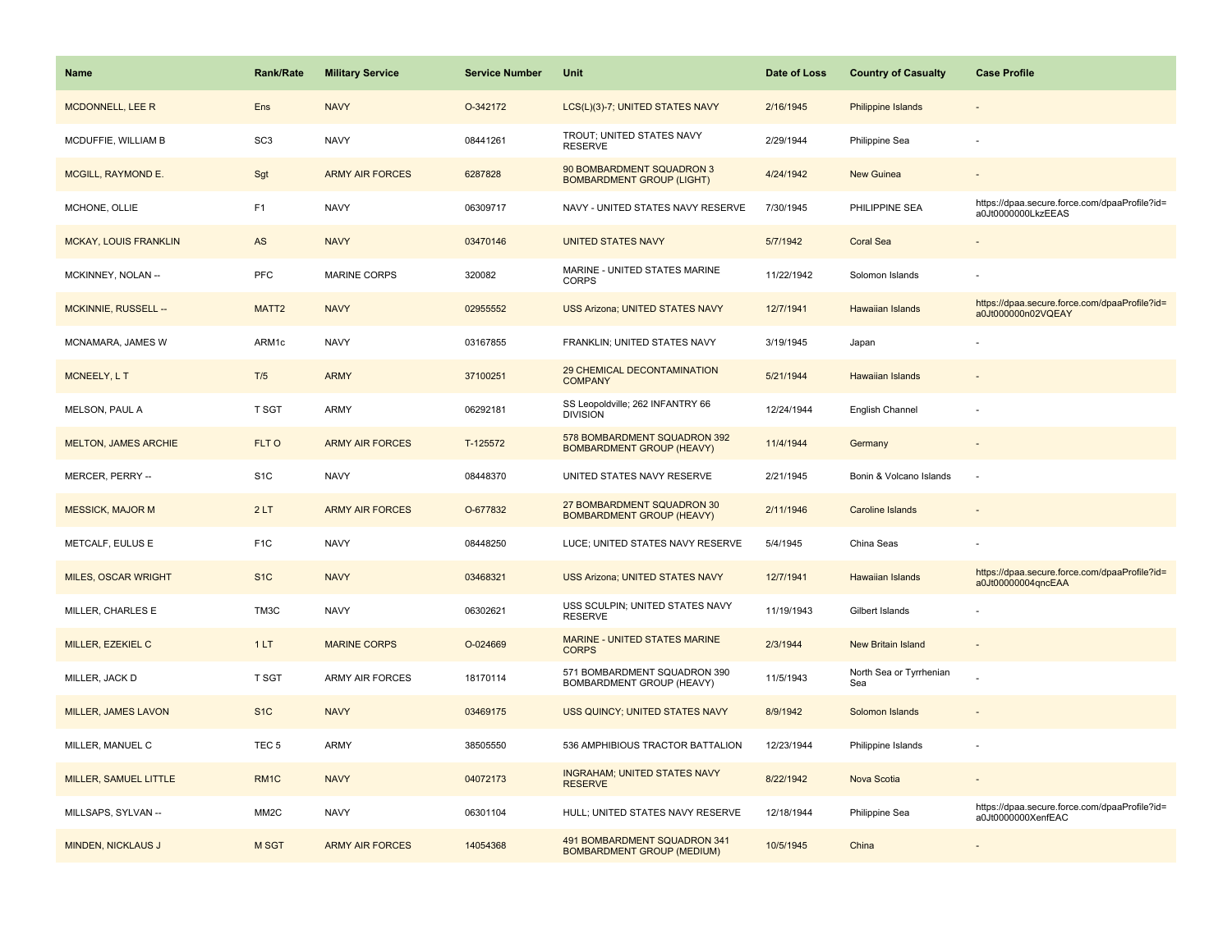| Name                         | Rank/Rate         | <b>Military Service</b> | <b>Service Number</b> | Unit                                                              | Date of Loss | <b>Country of Casualty</b>     | <b>Case Profile</b>                                                 |
|------------------------------|-------------------|-------------------------|-----------------------|-------------------------------------------------------------------|--------------|--------------------------------|---------------------------------------------------------------------|
| <b>MCDONNELL, LEE R</b>      | Ens               | <b>NAVY</b>             | O-342172              | LCS(L)(3)-7; UNITED STATES NAVY                                   | 2/16/1945    | Philippine Islands             |                                                                     |
| MCDUFFIE, WILLIAM B          | SC <sub>3</sub>   | <b>NAVY</b>             | 08441261              | TROUT; UNITED STATES NAVY<br><b>RESERVE</b>                       | 2/29/1944    | Philippine Sea                 |                                                                     |
| MCGILL, RAYMOND E.           | Sgt               | <b>ARMY AIR FORCES</b>  | 6287828               | 90 BOMBARDMENT SQUADRON 3<br><b>BOMBARDMENT GROUP (LIGHT)</b>     | 4/24/1942    | <b>New Guinea</b>              |                                                                     |
| MCHONE, OLLIE                | F <sub>1</sub>    | <b>NAVY</b>             | 06309717              | NAVY - UNITED STATES NAVY RESERVE                                 | 7/30/1945    | PHILIPPINE SEA                 | https://dpaa.secure.force.com/dpaaProfile?id=<br>a0Jt0000000LkzEEAS |
| <b>MCKAY, LOUIS FRANKLIN</b> | AS                | <b>NAVY</b>             | 03470146              | <b>UNITED STATES NAVY</b>                                         | 5/7/1942     | <b>Coral Sea</b>               |                                                                     |
| MCKINNEY, NOLAN --           | PFC               | <b>MARINE CORPS</b>     | 320082                | MARINE - UNITED STATES MARINE<br><b>CORPS</b>                     | 11/22/1942   | Solomon Islands                |                                                                     |
| MCKINNIE, RUSSELL --         | MATT2             | <b>NAVY</b>             | 02955552              | <b>USS Arizona: UNITED STATES NAVY</b>                            | 12/7/1941    | Hawaiian Islands               | https://dpaa.secure.force.com/dpaaProfile?id=<br>a0Jt000000n02VQEAY |
| MCNAMARA, JAMES W            | ARM1c             | <b>NAVY</b>             | 03167855              | FRANKLIN; UNITED STATES NAVY                                      | 3/19/1945    | Japan                          |                                                                     |
| MCNEELY, L T                 | T/5               | <b>ARMY</b>             | 37100251              | 29 CHEMICAL DECONTAMINATION<br><b>COMPANY</b>                     | 5/21/1944    | <b>Hawaiian Islands</b>        |                                                                     |
| MELSON, PAUL A               | T SGT             | <b>ARMY</b>             | 06292181              | SS Leopoldville; 262 INFANTRY 66<br><b>DIVISION</b>               | 12/24/1944   | <b>English Channel</b>         |                                                                     |
| <b>MELTON, JAMES ARCHIE</b>  | FLT O             | <b>ARMY AIR FORCES</b>  | T-125572              | 578 BOMBARDMENT SQUADRON 392<br><b>BOMBARDMENT GROUP (HEAVY)</b>  | 11/4/1944    | Germany                        |                                                                     |
| MERCER, PERRY --             | S <sub>1</sub> C  | <b>NAVY</b>             | 08448370              | UNITED STATES NAVY RESERVE                                        | 2/21/1945    | Bonin & Volcano Islands        | ÷,                                                                  |
| <b>MESSICK, MAJOR M</b>      | 2LT               | <b>ARMY AIR FORCES</b>  | O-677832              | 27 BOMBARDMENT SQUADRON 30<br><b>BOMBARDMENT GROUP (HEAVY)</b>    | 2/11/1946    | <b>Caroline Islands</b>        |                                                                     |
| METCALF, EULUS E             | F <sub>1</sub> C  | <b>NAVY</b>             | 08448250              | LUCE; UNITED STATES NAVY RESERVE                                  | 5/4/1945     | China Seas                     |                                                                     |
| MILES, OSCAR WRIGHT          | S <sub>1</sub> C  | <b>NAVY</b>             | 03468321              | <b>USS Arizona; UNITED STATES NAVY</b>                            | 12/7/1941    | Hawaiian Islands               | https://dpaa.secure.force.com/dpaaProfile?id=<br>a0Jt00000004qncEAA |
| MILLER, CHARLES E            | TM3C              | <b>NAVY</b>             | 06302621              | USS SCULPIN; UNITED STATES NAVY<br><b>RESERVE</b>                 | 11/19/1943   | Gilbert Islands                |                                                                     |
| MILLER, EZEKIEL C            | 1LT               | <b>MARINE CORPS</b>     | O-024669              | MARINE - UNITED STATES MARINE<br><b>CORPS</b>                     | 2/3/1944     | New Britain Island             |                                                                     |
| MILLER, JACK D               | <b>T SGT</b>      | ARMY AIR FORCES         | 18170114              | 571 BOMBARDMENT SQUADRON 390<br>BOMBARDMENT GROUP (HEAVY)         | 11/5/1943    | North Sea or Tyrrhenian<br>Sea |                                                                     |
| MILLER, JAMES LAVON          | S <sub>1</sub> C  | <b>NAVY</b>             | 03469175              | USS QUINCY; UNITED STATES NAVY                                    | 8/9/1942     | Solomon Islands                |                                                                     |
| MILLER, MANUEL C             | TEC <sub>5</sub>  | <b>ARMY</b>             | 38505550              | 536 AMPHIBIOUS TRACTOR BATTALION                                  | 12/23/1944   | Philippine Islands             |                                                                     |
| MILLER, SAMUEL LITTLE        | RM1C              | <b>NAVY</b>             | 04072173              | <b>INGRAHAM; UNITED STATES NAVY</b><br><b>RESERVE</b>             | 8/22/1942    | Nova Scotia                    | $\sim$                                                              |
| MILLSAPS, SYLVAN --          | MM <sub>2</sub> C | <b>NAVY</b>             | 06301104              | HULL; UNITED STATES NAVY RESERVE                                  | 12/18/1944   | Philippine Sea                 | https://dpaa.secure.force.com/dpaaProfile?id=<br>a0Jt0000000XenfEAC |
| <b>MINDEN, NICKLAUS J</b>    | <b>M SGT</b>      | <b>ARMY AIR FORCES</b>  | 14054368              | 491 BOMBARDMENT SQUADRON 341<br><b>BOMBARDMENT GROUP (MEDIUM)</b> | 10/5/1945    | China                          |                                                                     |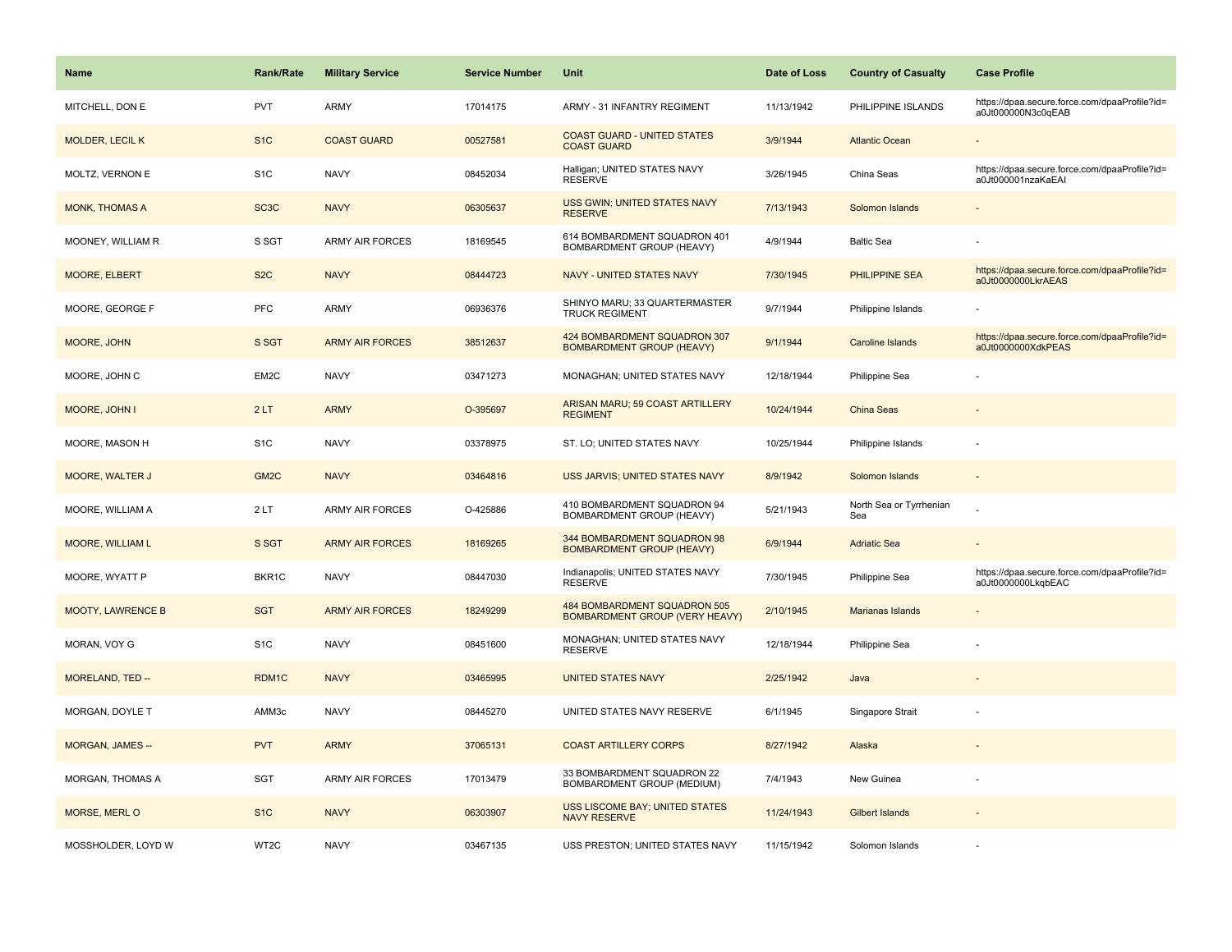| <b>Name</b>              | <b>Rank/Rate</b>  | <b>Military Service</b> | <b>Service Number</b> | Unit                                                                  | Date of Loss | <b>Country of Casualty</b>     | <b>Case Profile</b>                                                 |
|--------------------------|-------------------|-------------------------|-----------------------|-----------------------------------------------------------------------|--------------|--------------------------------|---------------------------------------------------------------------|
| MITCHELL, DON E          | <b>PVT</b>        | ARMY                    | 17014175              | ARMY - 31 INFANTRY REGIMENT                                           | 11/13/1942   | PHILIPPINE ISLANDS             | https://dpaa.secure.force.com/dpaaProfile?id=<br>a0Jt000000N3c0qEAB |
| <b>MOLDER, LECIL K</b>   | S <sub>1</sub> C  | <b>COAST GUARD</b>      | 00527581              | <b>COAST GUARD - UNITED STATES</b><br><b>COAST GUARD</b>              | 3/9/1944     | <b>Atlantic Ocean</b>          |                                                                     |
| MOLTZ, VERNON E          | S <sub>1</sub> C  | <b>NAVY</b>             | 08452034              | Halligan; UNITED STATES NAVY<br><b>RESERVE</b>                        | 3/26/1945    | China Seas                     | https://dpaa.secure.force.com/dpaaProfile?id=<br>a0Jt000001nzaKaEAI |
| <b>MONK, THOMAS A</b>    | SC <sub>3</sub> C | <b>NAVY</b>             | 06305637              | USS GWIN; UNITED STATES NAVY<br><b>RESERVE</b>                        | 7/13/1943    | Solomon Islands                |                                                                     |
| MOONEY, WILLIAM R        | S SGT             | <b>ARMY AIR FORCES</b>  | 18169545              | 614 BOMBARDMENT SQUADRON 401<br>BOMBARDMENT GROUP (HEAVY)             | 4/9/1944     | <b>Baltic Sea</b>              |                                                                     |
| MOORE, ELBERT            | S <sub>2</sub> C  | <b>NAVY</b>             | 08444723              | <b>NAVY - UNITED STATES NAVY</b>                                      | 7/30/1945    | PHILIPPINE SEA                 | https://dpaa.secure.force.com/dpaaProfile?id=<br>a0Jt0000000LkrAEAS |
| MOORE, GEORGE F          | PFC               | <b>ARMY</b>             | 06936376              | SHINYO MARU; 33 QUARTERMASTER<br><b>TRUCK REGIMENT</b>                | 9/7/1944     | Philippine Islands             |                                                                     |
| MOORE, JOHN              | S SGT             | <b>ARMY AIR FORCES</b>  | 38512637              | 424 BOMBARDMENT SQUADRON 307<br><b>BOMBARDMENT GROUP (HEAVY)</b>      | 9/1/1944     | <b>Caroline Islands</b>        | https://dpaa.secure.force.com/dpaaProfile?id=<br>a0Jt0000000XdkPEAS |
| MOORE, JOHN C            | EM2C              | <b>NAVY</b>             | 03471273              | MONAGHAN; UNITED STATES NAVY                                          | 12/18/1944   | Philippine Sea                 |                                                                     |
| MOORE, JOHN I            | 2LT               | <b>ARMY</b>             | O-395697              | ARISAN MARU; 59 COAST ARTILLERY<br><b>REGIMENT</b>                    | 10/24/1944   | <b>China Seas</b>              |                                                                     |
| MOORE, MASON H           | S <sub>1</sub> C  | <b>NAVY</b>             | 03378975              | ST. LO; UNITED STATES NAVY                                            | 10/25/1944   | Philippine Islands             |                                                                     |
| MOORE, WALTER J          | GM <sub>2</sub> C | <b>NAVY</b>             | 03464816              | USS JARVIS; UNITED STATES NAVY                                        | 8/9/1942     | Solomon Islands                | $\sim$                                                              |
| MOORE, WILLIAM A         | 2LT               | <b>ARMY AIR FORCES</b>  | O-425886              | 410 BOMBARDMENT SQUADRON 94<br>BOMBARDMENT GROUP (HEAVY)              | 5/21/1943    | North Sea or Tyrrhenian<br>Sea |                                                                     |
| <b>MOORE, WILLIAM L</b>  | S SGT             | <b>ARMY AIR FORCES</b>  | 18169265              | 344 BOMBARDMENT SQUADRON 98<br><b>BOMBARDMENT GROUP (HEAVY)</b>       | 6/9/1944     | <b>Adriatic Sea</b>            |                                                                     |
| MOORE, WYATT P           | BKR1C             | <b>NAVY</b>             | 08447030              | Indianapolis; UNITED STATES NAVY<br><b>RESERVE</b>                    | 7/30/1945    | Philippine Sea                 | https://dpaa.secure.force.com/dpaaProfile?id=<br>a0Jt0000000LkqbEAC |
| <b>MOOTY, LAWRENCE B</b> | <b>SGT</b>        | <b>ARMY AIR FORCES</b>  | 18249299              | 484 BOMBARDMENT SQUADRON 505<br><b>BOMBARDMENT GROUP (VERY HEAVY)</b> | 2/10/1945    | <b>Marianas Islands</b>        |                                                                     |
| MORAN, VOY G             | S <sub>1</sub> C  | <b>NAVY</b>             | 08451600              | MONAGHAN; UNITED STATES NAVY<br><b>RESERVE</b>                        | 12/18/1944   | Philippine Sea                 |                                                                     |
| MORELAND, TED --         | RDM1C             | <b>NAVY</b>             | 03465995              | <b>UNITED STATES NAVY</b>                                             | 2/25/1942    | Java                           |                                                                     |
| MORGAN, DOYLE T          | AMM3c             | <b>NAVY</b>             | 08445270              | UNITED STATES NAVY RESERVE                                            | 6/1/1945     | Singapore Strait               |                                                                     |
| <b>MORGAN, JAMES --</b>  | <b>PVT</b>        | <b>ARMY</b>             | 37065131              | <b>COAST ARTILLERY CORPS</b>                                          | 8/27/1942    | Alaska                         |                                                                     |
| MORGAN, THOMAS A         | <b>SGT</b>        | <b>ARMY AIR FORCES</b>  | 17013479              | 33 BOMBARDMENT SQUADRON 22<br>BOMBARDMENT GROUP (MEDIUM)              | 7/4/1943     | New Guinea                     |                                                                     |
| <b>MORSE, MERL O</b>     | S <sub>1</sub> C  | <b>NAVY</b>             | 06303907              | <b>USS LISCOME BAY; UNITED STATES</b><br><b>NAVY RESERVE</b>          | 11/24/1943   | <b>Gilbert Islands</b>         |                                                                     |
| MOSSHOLDER, LOYD W       | WT2C              | <b>NAVY</b>             | 03467135              | USS PRESTON; UNITED STATES NAVY                                       | 11/15/1942   | Solomon Islands                |                                                                     |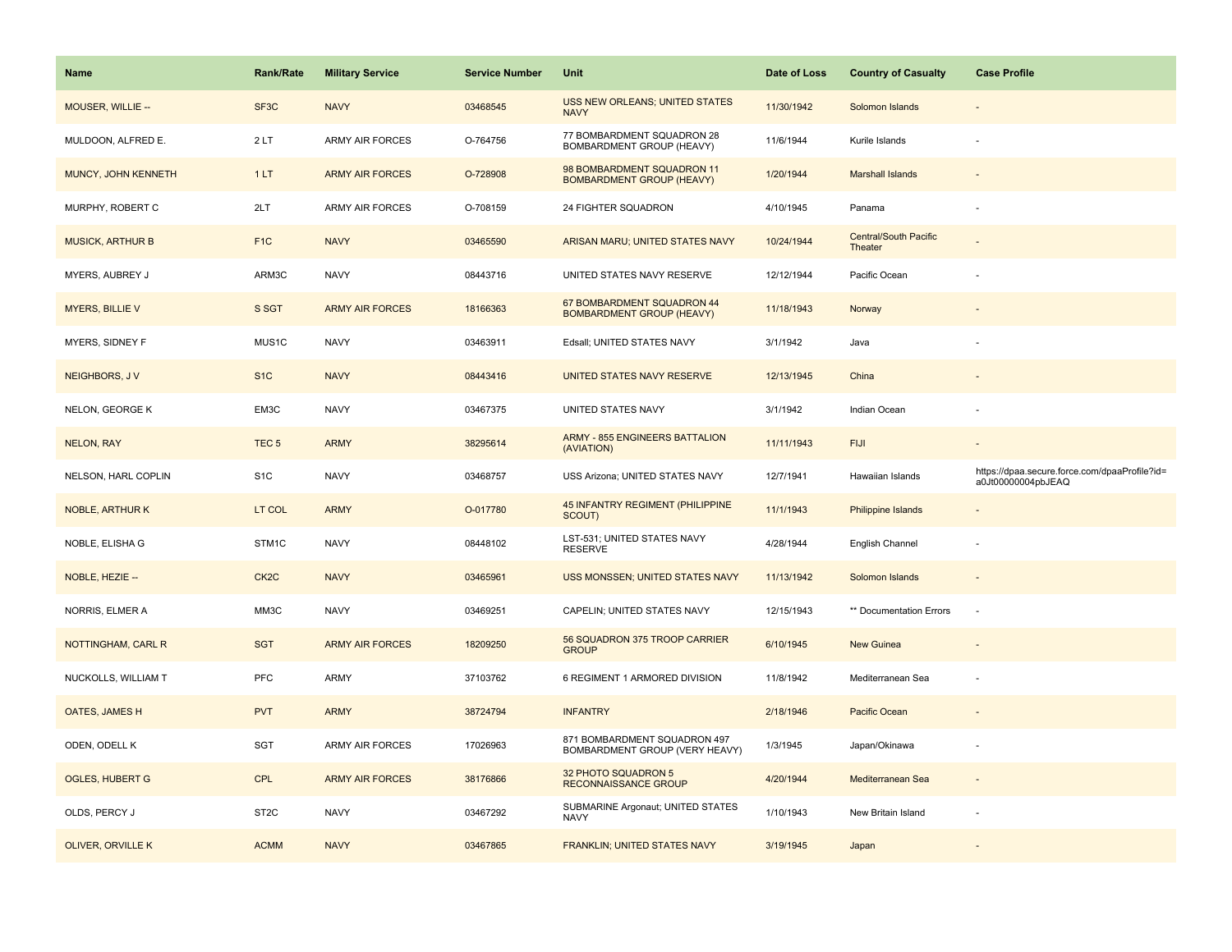| Name                    | <b>Rank/Rate</b>  | <b>Military Service</b> | <b>Service Number</b> | Unit                                                           | Date of Loss | <b>Country of Casualty</b>              | <b>Case Profile</b>                                                 |
|-------------------------|-------------------|-------------------------|-----------------------|----------------------------------------------------------------|--------------|-----------------------------------------|---------------------------------------------------------------------|
| MOUSER, WILLIE --       | SF <sub>3</sub> C | <b>NAVY</b>             | 03468545              | USS NEW ORLEANS; UNITED STATES<br><b>NAVY</b>                  | 11/30/1942   | Solomon Islands                         |                                                                     |
| MULDOON, ALFRED E.      | 2LT               | ARMY AIR FORCES         | O-764756              | 77 BOMBARDMENT SQUADRON 28<br><b>BOMBARDMENT GROUP (HEAVY)</b> | 11/6/1944    | Kurile Islands                          |                                                                     |
| MUNCY, JOHN KENNETH     | 1LT               | <b>ARMY AIR FORCES</b>  | O-728908              | 98 BOMBARDMENT SQUADRON 11<br><b>BOMBARDMENT GROUP (HEAVY)</b> | 1/20/1944    | <b>Marshall Islands</b>                 |                                                                     |
| MURPHY, ROBERT C        | 2LT               | <b>ARMY AIR FORCES</b>  | O-708159              | 24 FIGHTER SQUADRON                                            | 4/10/1945    | Panama                                  |                                                                     |
| <b>MUSICK, ARTHUR B</b> | F <sub>1</sub> C  | <b>NAVY</b>             | 03465590              | ARISAN MARU; UNITED STATES NAVY                                | 10/24/1944   | <b>Central/South Pacific</b><br>Theater |                                                                     |
| MYERS, AUBREY J         | ARM3C             | <b>NAVY</b>             | 08443716              | UNITED STATES NAVY RESERVE                                     | 12/12/1944   | Pacific Ocean                           |                                                                     |
| <b>MYERS, BILLIE V</b>  | S SGT             | <b>ARMY AIR FORCES</b>  | 18166363              | 67 BOMBARDMENT SQUADRON 44<br><b>BOMBARDMENT GROUP (HEAVY)</b> | 11/18/1943   | Norway                                  |                                                                     |
| MYERS, SIDNEY F         | MUS1C             | <b>NAVY</b>             | 03463911              | Edsall; UNITED STATES NAVY                                     | 3/1/1942     | Java                                    |                                                                     |
| NEIGHBORS, JV           | S <sub>1</sub> C  | <b>NAVY</b>             | 08443416              | UNITED STATES NAVY RESERVE                                     | 12/13/1945   | China                                   |                                                                     |
| NELON, GEORGE K         | EM3C              | <b>NAVY</b>             | 03467375              | UNITED STATES NAVY                                             | 3/1/1942     | Indian Ocean                            |                                                                     |
| NELON, RAY              | TEC <sub>5</sub>  | <b>ARMY</b>             | 38295614              | <b>ARMY - 855 ENGINEERS BATTALION</b><br>(AVIATION)            | 11/11/1943   | <b>FIJI</b>                             |                                                                     |
| NELSON, HARL COPLIN     | S <sub>1</sub> C  | <b>NAVY</b>             | 03468757              | USS Arizona; UNITED STATES NAVY                                | 12/7/1941    | Hawaiian Islands                        | https://dpaa.secure.force.com/dpaaProfile?id=<br>a0Jt00000004pbJEAQ |
| <b>NOBLE, ARTHUR K</b>  | LT COL            | <b>ARMY</b>             | O-017780              | 45 INFANTRY REGIMENT (PHILIPPINE<br>SCOUT)                     | 11/1/1943    | Philippine Islands                      |                                                                     |
|                         |                   |                         |                       |                                                                |              |                                         |                                                                     |
| NOBLE, ELISHA G         | STM1C             | <b>NAVY</b>             | 08448102              | LST-531; UNITED STATES NAVY<br><b>RESERVE</b>                  | 4/28/1944    | English Channel                         |                                                                     |
| NOBLE, HEZIE --         | CK <sub>2</sub> C | <b>NAVY</b>             | 03465961              | <b>USS MONSSEN; UNITED STATES NAVY</b>                         | 11/13/1942   | Solomon Islands                         |                                                                     |
| NORRIS, ELMER A         | MM3C              | <b>NAVY</b>             | 03469251              | CAPELIN; UNITED STATES NAVY                                    | 12/15/1943   | ** Documentation Errors                 | $\sim$                                                              |
| NOTTINGHAM, CARL R      | <b>SGT</b>        | <b>ARMY AIR FORCES</b>  | 18209250              | 56 SQUADRON 375 TROOP CARRIER<br><b>GROUP</b>                  | 6/10/1945    | New Guinea                              |                                                                     |
| NUCKOLLS, WILLIAM T     | PFC               | ARMY                    | 37103762              | 6 REGIMENT 1 ARMORED DIVISION                                  | 11/8/1942    | Mediterranean Sea                       |                                                                     |
| OATES, JAMES H          | <b>PVT</b>        | <b>ARMY</b>             | 38724794              | <b>INFANTRY</b>                                                | 2/18/1946    | Pacific Ocean                           |                                                                     |
| ODEN, ODELL K           | <b>SGT</b>        | ARMY AIR FORCES         | 17026963              | 871 BOMBARDMENT SQUADRON 497<br>BOMBARDMENT GROUP (VERY HEAVY) | 1/3/1945     | Japan/Okinawa                           |                                                                     |
| <b>OGLES, HUBERT G</b>  | <b>CPL</b>        | <b>ARMY AIR FORCES</b>  | 38176866              | 32 PHOTO SQUADRON 5<br><b>RECONNAISSANCE GROUP</b>             | 4/20/1944    | Mediterranean Sea                       |                                                                     |
| OLDS, PERCY J           | ST <sub>2</sub> C | <b>NAVY</b>             | 03467292              | SUBMARINE Argonaut; UNITED STATES<br><b>NAVY</b>               | 1/10/1943    | New Britain Island                      |                                                                     |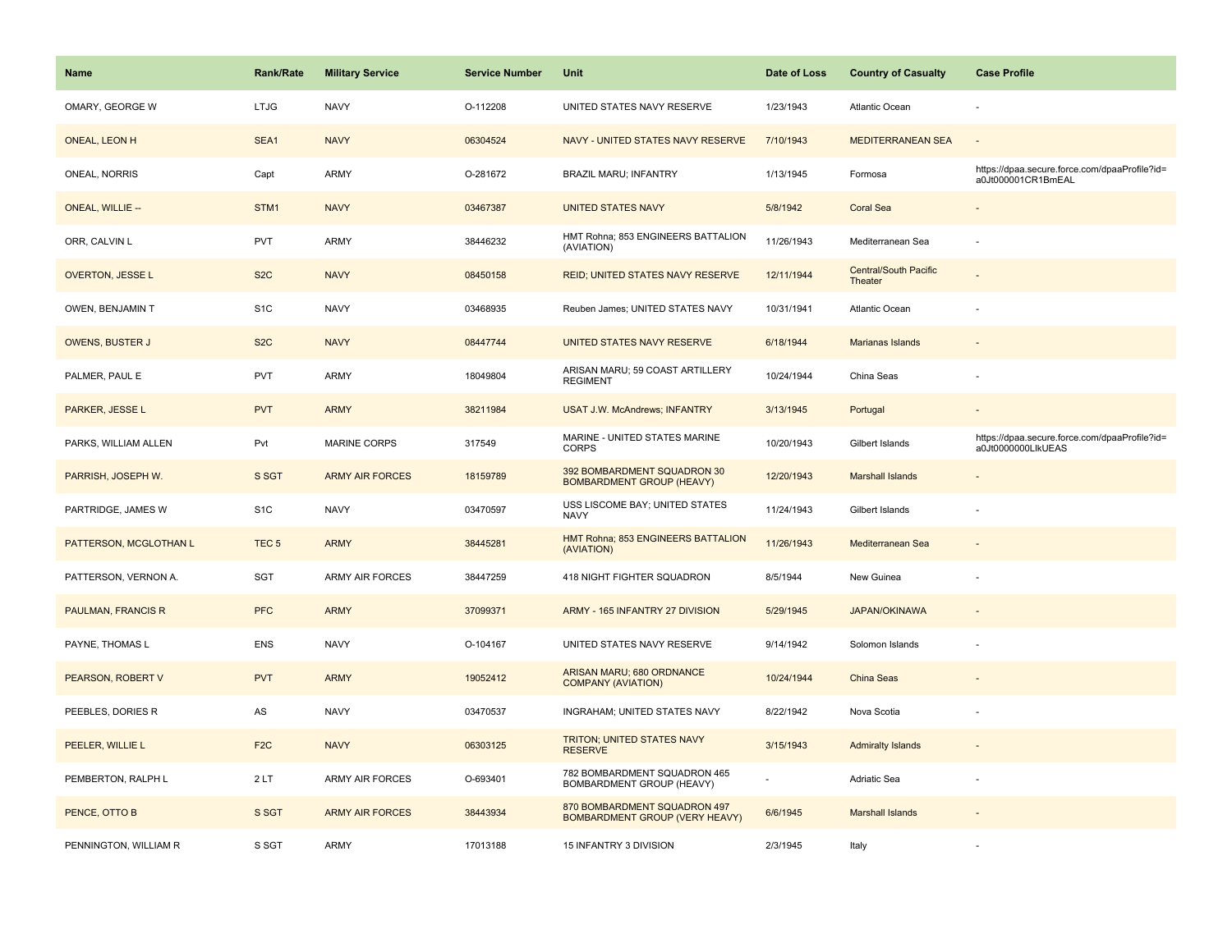| <b>Name</b>               | <b>Rank/Rate</b> | <b>Military Service</b> | <b>Service Number</b> | Unit                                                                  | Date of Loss | <b>Country of Casualty</b>              | <b>Case Profile</b>                                                 |
|---------------------------|------------------|-------------------------|-----------------------|-----------------------------------------------------------------------|--------------|-----------------------------------------|---------------------------------------------------------------------|
| OMARY, GEORGE W           | <b>LTJG</b>      | <b>NAVY</b>             | O-112208              | UNITED STATES NAVY RESERVE                                            | 1/23/1943    | <b>Atlantic Ocean</b>                   |                                                                     |
| ONEAL, LEON H             | SEA1             | <b>NAVY</b>             | 06304524              | NAVY - UNITED STATES NAVY RESERVE                                     | 7/10/1943    | <b>MEDITERRANEAN SEA</b>                | $\overline{\phantom{a}}$                                            |
| ONEAL, NORRIS             | Capt             | <b>ARMY</b>             | O-281672              | BRAZIL MARU; INFANTRY                                                 | 1/13/1945    | Formosa                                 | https://dpaa.secure.force.com/dpaaProfile?id=<br>a0Jt000001CR1BmEAL |
| <b>ONEAL, WILLIE --</b>   | STM1             | <b>NAVY</b>             | 03467387              | <b>UNITED STATES NAVY</b>                                             | 5/8/1942     | <b>Coral Sea</b>                        |                                                                     |
| ORR, CALVIN L             | <b>PVT</b>       | <b>ARMY</b>             | 38446232              | HMT Rohna; 853 ENGINEERS BATTALION<br>(AVIATION)                      | 11/26/1943   | Mediterranean Sea                       |                                                                     |
| OVERTON, JESSE L          | S <sub>2</sub> C | <b>NAVY</b>             | 08450158              | <b>REID; UNITED STATES NAVY RESERVE</b>                               | 12/11/1944   | <b>Central/South Pacific</b><br>Theater |                                                                     |
| OWEN, BENJAMIN T          | S <sub>1C</sub>  | <b>NAVY</b>             | 03468935              | Reuben James; UNITED STATES NAVY                                      | 10/31/1941   | Atlantic Ocean                          |                                                                     |
| <b>OWENS, BUSTER J</b>    | S <sub>2</sub> C | <b>NAVY</b>             | 08447744              | UNITED STATES NAVY RESERVE                                            | 6/18/1944    | <b>Marianas Islands</b>                 |                                                                     |
| PALMER, PAUL E            | PVT              | <b>ARMY</b>             | 18049804              | ARISAN MARU; 59 COAST ARTILLERY<br><b>REGIMENT</b>                    | 10/24/1944   | China Seas                              |                                                                     |
| PARKER, JESSE L           | <b>PVT</b>       | <b>ARMY</b>             | 38211984              | <b>USAT J.W. McAndrews; INFANTRY</b>                                  | 3/13/1945    | Portugal                                |                                                                     |
| PARKS, WILLIAM ALLEN      | Pvt              | <b>MARINE CORPS</b>     | 317549                | MARINE - UNITED STATES MARINE<br><b>CORPS</b>                         | 10/20/1943   | Gilbert Islands                         | https://dpaa.secure.force.com/dpaaProfile?id=<br>a0Jt0000000LlkUEAS |
| PARRISH, JOSEPH W.        | S SGT            | <b>ARMY AIR FORCES</b>  | 18159789              | 392 BOMBARDMENT SQUADRON 30<br><b>BOMBARDMENT GROUP (HEAVY)</b>       | 12/20/1943   | <b>Marshall Islands</b>                 |                                                                     |
| PARTRIDGE, JAMES W        | S <sub>1</sub> C | <b>NAVY</b>             | 03470597              | USS LISCOME BAY; UNITED STATES<br><b>NAVY</b>                         | 11/24/1943   | Gilbert Islands                         |                                                                     |
| PATTERSON, MCGLOTHAN L    | TEC <sub>5</sub> | <b>ARMY</b>             | 38445281              | HMT Rohna; 853 ENGINEERS BATTALION<br>(AVIATION)                      | 11/26/1943   | Mediterranean Sea                       |                                                                     |
| PATTERSON, VERNON A.      | SGT              | ARMY AIR FORCES         | 38447259              | 418 NIGHT FIGHTER SQUADRON                                            | 8/5/1944     | New Guinea                              |                                                                     |
| <b>PAULMAN, FRANCIS R</b> | <b>PFC</b>       | <b>ARMY</b>             | 37099371              | ARMY - 165 INFANTRY 27 DIVISION                                       | 5/29/1945    | <b>JAPAN/OKINAWA</b>                    |                                                                     |
| PAYNE, THOMAS L           | <b>ENS</b>       | <b>NAVY</b>             | O-104167              | UNITED STATES NAVY RESERVE                                            | 9/14/1942    | Solomon Islands                         |                                                                     |
| PEARSON, ROBERT V         | <b>PVT</b>       | <b>ARMY</b>             | 19052412              | ARISAN MARU; 680 ORDNANCE<br><b>COMPANY (AVIATION)</b>                | 10/24/1944   | China Seas                              |                                                                     |
| PEEBLES, DORIES R         | AS               | <b>NAVY</b>             | 03470537              | INGRAHAM; UNITED STATES NAVY                                          | 8/22/1942    | Nova Scotia                             |                                                                     |
| PEELER, WILLIE L          | F <sub>2</sub> C | <b>NAVY</b>             | 06303125              | <b>TRITON; UNITED STATES NAVY</b><br><b>RESERVE</b>                   | 3/15/1943    | <b>Admiralty Islands</b>                |                                                                     |
| PEMBERTON, RALPH L        | 2LT              | <b>ARMY AIR FORCES</b>  | O-693401              | 782 BOMBARDMENT SQUADRON 465<br>BOMBARDMENT GROUP (HEAVY)             |              | Adriatic Sea                            |                                                                     |
| PENCE, OTTO B             | S SGT            | <b>ARMY AIR FORCES</b>  | 38443934              | 870 BOMBARDMENT SQUADRON 497<br><b>BOMBARDMENT GROUP (VERY HEAVY)</b> | 6/6/1945     | <b>Marshall Islands</b>                 |                                                                     |
| PENNINGTON, WILLIAM R     | S SGT            | <b>ARMY</b>             | 17013188              | 15 INFANTRY 3 DIVISION                                                | 2/3/1945     | Italy                                   |                                                                     |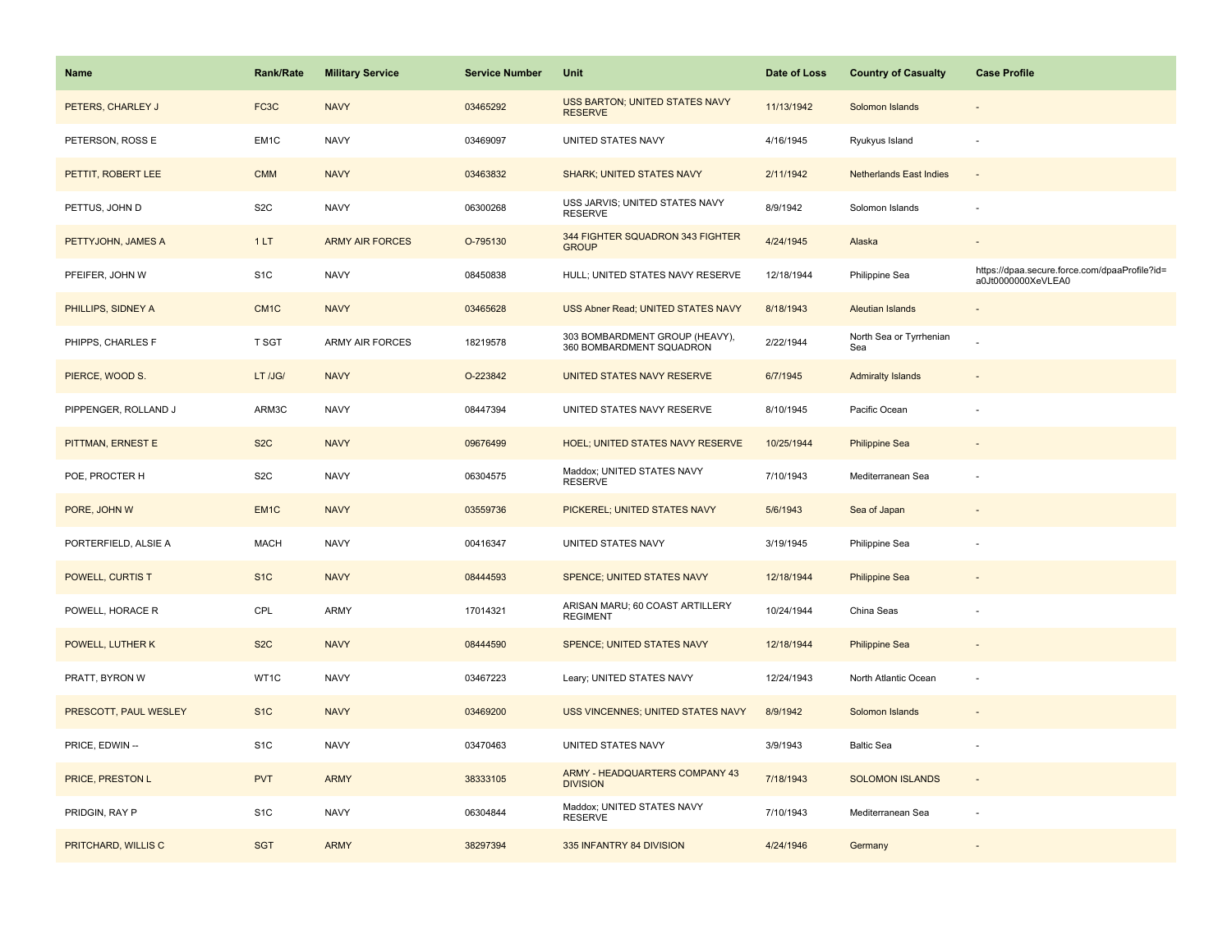| Name                  | <b>Rank/Rate</b>  | <b>Military Service</b> | <b>Service Number</b> | Unit                                                       | Date of Loss | <b>Country of Casualty</b>     | <b>Case Profile</b>                                                 |
|-----------------------|-------------------|-------------------------|-----------------------|------------------------------------------------------------|--------------|--------------------------------|---------------------------------------------------------------------|
| PETERS, CHARLEY J     | FC <sub>3</sub> C | <b>NAVY</b>             | 03465292              | USS BARTON; UNITED STATES NAVY<br><b>RESERVE</b>           | 11/13/1942   | Solomon Islands                |                                                                     |
| PETERSON, ROSS E      | EM1C              | <b>NAVY</b>             | 03469097              | UNITED STATES NAVY                                         | 4/16/1945    | Ryukyus Island                 | $\sim$                                                              |
| PETTIT, ROBERT LEE    | <b>CMM</b>        | <b>NAVY</b>             | 03463832              | <b>SHARK; UNITED STATES NAVY</b>                           | 2/11/1942    | <b>Netherlands East Indies</b> |                                                                     |
| PETTUS, JOHN D        | S <sub>2</sub> C  | <b>NAVY</b>             | 06300268              | USS JARVIS; UNITED STATES NAVY<br><b>RESERVE</b>           | 8/9/1942     | Solomon Islands                |                                                                     |
| PETTYJOHN, JAMES A    | 1LT               | <b>ARMY AIR FORCES</b>  | O-795130              | 344 FIGHTER SQUADRON 343 FIGHTER<br><b>GROUP</b>           | 4/24/1945    | Alaska                         |                                                                     |
| PFEIFER, JOHN W       | S <sub>1</sub> C  | <b>NAVY</b>             | 08450838              | HULL; UNITED STATES NAVY RESERVE                           | 12/18/1944   | Philippine Sea                 | https://dpaa.secure.force.com/dpaaProfile?id=<br>a0Jt0000000XeVLEA0 |
| PHILLIPS, SIDNEY A    | CM <sub>1</sub> C | <b>NAVY</b>             | 03465628              | USS Abner Read; UNITED STATES NAVY                         | 8/18/1943    | Aleutian Islands               | $\sim$                                                              |
| PHIPPS, CHARLES F     | T SGT             | <b>ARMY AIR FORCES</b>  | 18219578              | 303 BOMBARDMENT GROUP (HEAVY),<br>360 BOMBARDMENT SQUADRON | 2/22/1944    | North Sea or Tyrrhenian<br>Sea |                                                                     |
| PIERCE, WOOD S.       | LT /JG/           | <b>NAVY</b>             | O-223842              | UNITED STATES NAVY RESERVE                                 | 6/7/1945     | <b>Admiralty Islands</b>       |                                                                     |
| PIPPENGER, ROLLAND J  | ARM3C             | <b>NAVY</b>             | 08447394              | UNITED STATES NAVY RESERVE                                 | 8/10/1945    | Pacific Ocean                  |                                                                     |
| PITTMAN, ERNEST E     | S <sub>2</sub> C  | <b>NAVY</b>             | 09676499              | <b>HOEL: UNITED STATES NAVY RESERVE</b>                    | 10/25/1944   | <b>Philippine Sea</b>          |                                                                     |
| POE, PROCTER H        | S <sub>2</sub> C  | <b>NAVY</b>             | 06304575              | Maddox; UNITED STATES NAVY<br><b>RESERVE</b>               | 7/10/1943    | Mediterranean Sea              |                                                                     |
| PORE, JOHN W          | EM <sub>1C</sub>  | <b>NAVY</b>             | 03559736              | PICKEREL; UNITED STATES NAVY                               | 5/6/1943     | Sea of Japan                   |                                                                     |
| PORTERFIELD, ALSIE A  | <b>MACH</b>       | <b>NAVY</b>             | 00416347              | UNITED STATES NAVY                                         | 3/19/1945    | Philippine Sea                 |                                                                     |
| POWELL, CURTIS T      | S <sub>1C</sub>   | <b>NAVY</b>             | 08444593              | <b>SPENCE; UNITED STATES NAVY</b>                          | 12/18/1944   | <b>Philippine Sea</b>          |                                                                     |
| POWELL, HORACE R      | CPL               | <b>ARMY</b>             | 17014321              | ARISAN MARU; 60 COAST ARTILLERY<br><b>REGIMENT</b>         | 10/24/1944   | China Seas                     |                                                                     |
| POWELL, LUTHER K      | S <sub>2</sub> C  | <b>NAVY</b>             | 08444590              | SPENCE; UNITED STATES NAVY                                 | 12/18/1944   | <b>Philippine Sea</b>          |                                                                     |
| PRATT, BYRON W        | WT1C              | <b>NAVY</b>             | 03467223              | Leary; UNITED STATES NAVY                                  | 12/24/1943   | North Atlantic Ocean           |                                                                     |
| PRESCOTT, PAUL WESLEY | S <sub>1C</sub>   | <b>NAVY</b>             | 03469200              | USS VINCENNES; UNITED STATES NAVY                          | 8/9/1942     | Solomon Islands                |                                                                     |
| PRICE, EDWIN --       | S <sub>1</sub> C  | <b>NAVY</b>             | 03470463              | UNITED STATES NAVY                                         | 3/9/1943     | <b>Baltic Sea</b>              |                                                                     |
| PRICE, PRESTON L      | <b>PVT</b>        | <b>ARMY</b>             | 38333105              | ARMY - HEADQUARTERS COMPANY 43<br><b>DIVISION</b>          | 7/18/1943    | <b>SOLOMON ISLANDS</b>         | $\sim$                                                              |
| PRIDGIN, RAY P        | S <sub>1</sub> C  | <b>NAVY</b>             | 06304844              | Maddox; UNITED STATES NAVY<br><b>RESERVE</b>               | 7/10/1943    | Mediterranean Sea              | $\sim$                                                              |
| PRITCHARD, WILLIS C   | <b>SGT</b>        | <b>ARMY</b>             | 38297394              | 335 INFANTRY 84 DIVISION                                   | 4/24/1946    | Germany                        |                                                                     |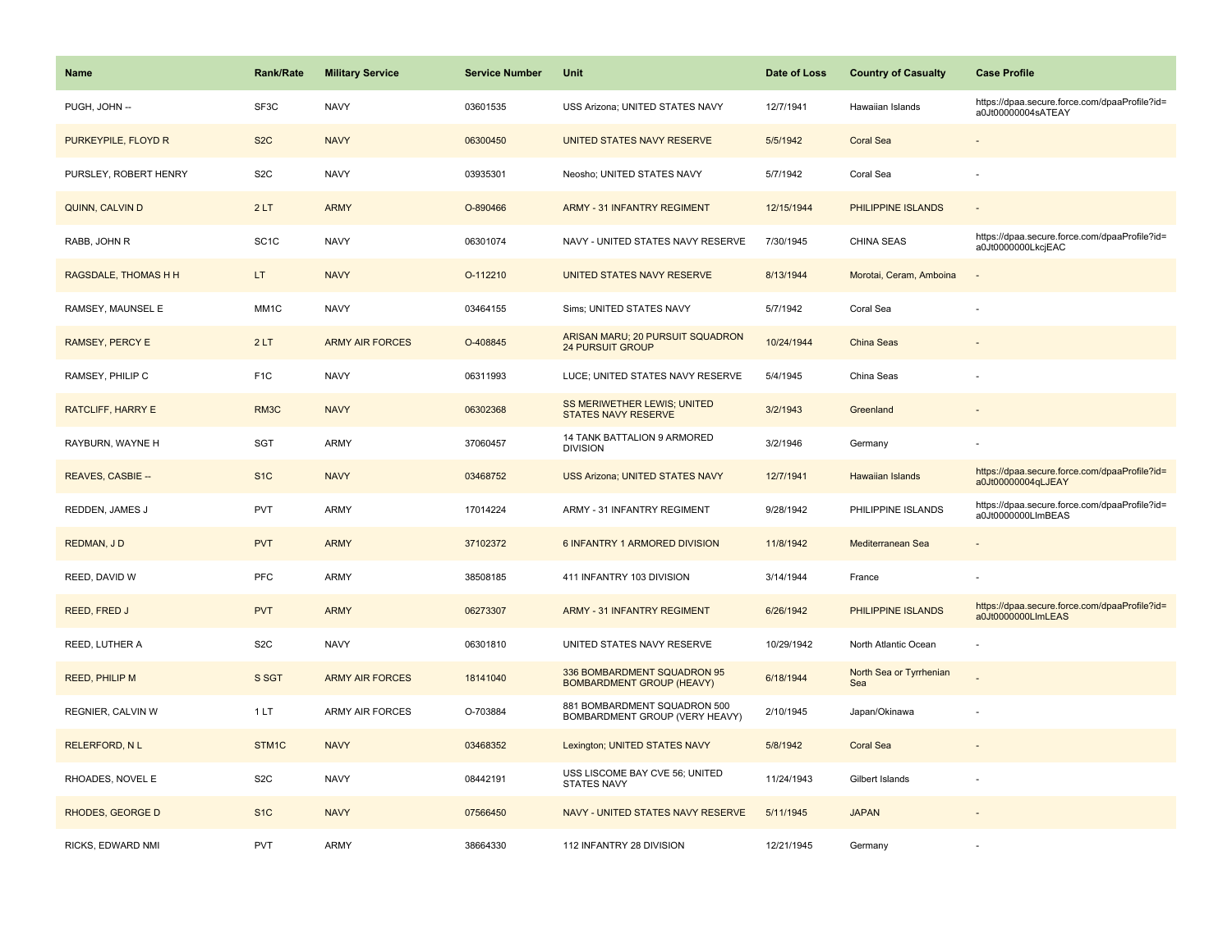| <b>Name</b>              | <b>Rank/Rate</b>  | <b>Military Service</b> | <b>Service Number</b> | <b>Unit</b>                                                     | Date of Loss | <b>Country of Casualty</b>     | <b>Case Profile</b>                                                 |
|--------------------------|-------------------|-------------------------|-----------------------|-----------------------------------------------------------------|--------------|--------------------------------|---------------------------------------------------------------------|
| PUGH, JOHN --            | SF3C              | <b>NAVY</b>             | 03601535              | USS Arizona; UNITED STATES NAVY                                 | 12/7/1941    | Hawaiian Islands               | https://dpaa.secure.force.com/dpaaProfile?id=<br>a0Jt00000004sATEAY |
| PURKEYPILE, FLOYD R      | S <sub>2</sub> C  | <b>NAVY</b>             | 06300450              | UNITED STATES NAVY RESERVE                                      | 5/5/1942     | <b>Coral Sea</b>               |                                                                     |
| PURSLEY, ROBERT HENRY    | S <sub>2</sub> C  | <b>NAVY</b>             | 03935301              | Neosho; UNITED STATES NAVY                                      | 5/7/1942     | Coral Sea                      |                                                                     |
| QUINN, CALVIN D          | 2LT               | <b>ARMY</b>             | O-890466              | <b>ARMY - 31 INFANTRY REGIMENT</b>                              | 12/15/1944   | PHILIPPINE ISLANDS             |                                                                     |
| RABB, JOHN R             | SC <sub>1</sub> C | <b>NAVY</b>             | 06301074              | NAVY - UNITED STATES NAVY RESERVE                               | 7/30/1945    | <b>CHINA SEAS</b>              | https://dpaa.secure.force.com/dpaaProfile?id=<br>a0Jt0000000LkcjEAC |
| RAGSDALE, THOMAS H H     | LT.               | <b>NAVY</b>             | O-112210              | UNITED STATES NAVY RESERVE                                      | 8/13/1944    | Morotai, Ceram, Amboina        | $\overline{\phantom{a}}$                                            |
| RAMSEY, MAUNSEL E        | MM <sub>1</sub> C | <b>NAVY</b>             | 03464155              | Sims; UNITED STATES NAVY                                        | 5/7/1942     | Coral Sea                      |                                                                     |
| <b>RAMSEY, PERCY E</b>   | 2LT               | <b>ARMY AIR FORCES</b>  | O-408845              | ARISAN MARU; 20 PURSUIT SQUADRON<br><b>24 PURSUIT GROUP</b>     | 10/24/1944   | <b>China Seas</b>              |                                                                     |
| RAMSEY, PHILIP C         | F <sub>1</sub> C  | <b>NAVY</b>             | 06311993              | LUCE; UNITED STATES NAVY RESERVE                                | 5/4/1945     | China Seas                     |                                                                     |
| <b>RATCLIFF, HARRY E</b> | RM3C              | <b>NAVY</b>             | 06302368              | SS MERIWETHER LEWIS; UNITED<br>STATES NAVY RESERVE              | 3/2/1943     | Greenland                      |                                                                     |
| RAYBURN, WAYNE H         | <b>SGT</b>        | <b>ARMY</b>             | 37060457              | 14 TANK BATTALION 9 ARMORED<br><b>DIVISION</b>                  | 3/2/1946     | Germany                        |                                                                     |
| REAVES, CASBIE --        | S <sub>1C</sub>   | <b>NAVY</b>             | 03468752              | <b>USS Arizona; UNITED STATES NAVY</b>                          | 12/7/1941    | <b>Hawaiian Islands</b>        | https://dpaa.secure.force.com/dpaaProfile?id=<br>a0Jt00000004qLJEAY |
| REDDEN, JAMES J          | <b>PVT</b>        | <b>ARMY</b>             | 17014224              | ARMY - 31 INFANTRY REGIMENT                                     | 9/28/1942    | PHILIPPINE ISLANDS             | https://dpaa.secure.force.com/dpaaProfile?id=<br>a0Jt0000000LlmBEAS |
| REDMAN, JD               | <b>PVT</b>        | <b>ARMY</b>             | 37102372              | 6 INFANTRY 1 ARMORED DIVISION                                   | 11/8/1942    | Mediterranean Sea              |                                                                     |
| REED, DAVID W            | PFC               | ARMY                    | 38508185              | 411 INFANTRY 103 DIVISION                                       | 3/14/1944    | France                         |                                                                     |
| <b>REED, FRED J</b>      | <b>PVT</b>        | <b>ARMY</b>             | 06273307              | <b>ARMY - 31 INFANTRY REGIMENT</b>                              | 6/26/1942    | PHILIPPINE ISLANDS             | https://dpaa.secure.force.com/dpaaProfile?id=<br>a0Jt0000000LlmLEAS |
| REED, LUTHER A           | S <sub>2</sub> C  | <b>NAVY</b>             | 06301810              | UNITED STATES NAVY RESERVE                                      | 10/29/1942   | North Atlantic Ocean           |                                                                     |
| <b>REED, PHILIP M</b>    | S SGT             | <b>ARMY AIR FORCES</b>  | 18141040              | 336 BOMBARDMENT SQUADRON 95<br><b>BOMBARDMENT GROUP (HEAVY)</b> | 6/18/1944    | North Sea or Tyrrhenian<br>Sea |                                                                     |
| REGNIER, CALVIN W        | 1LT               | ARMY AIR FORCES         | O-703884              | 881 BOMBARDMENT SQUADRON 500<br>BOMBARDMENT GROUP (VERY HEAVY)  | 2/10/1945    | Japan/Okinawa                  |                                                                     |
| <b>RELERFORD, NL</b>     | STM1C             | <b>NAVY</b>             | 03468352              | Lexington; UNITED STATES NAVY                                   | 5/8/1942     | <b>Coral Sea</b>               |                                                                     |
| RHOADES, NOVEL E         | S <sub>2</sub> C  | <b>NAVY</b>             | 08442191              | USS LISCOME BAY CVE 56; UNITED<br><b>STATES NAVY</b>            | 11/24/1943   | Gilbert Islands                |                                                                     |
| RHODES, GEORGE D         | S <sub>1C</sub>   | <b>NAVY</b>             | 07566450              | NAVY - UNITED STATES NAVY RESERVE                               | 5/11/1945    | <b>JAPAN</b>                   |                                                                     |
| RICKS, EDWARD NMI        | <b>PVT</b>        | <b>ARMY</b>             | 38664330              | 112 INFANTRY 28 DIVISION                                        | 12/21/1945   | Germany                        |                                                                     |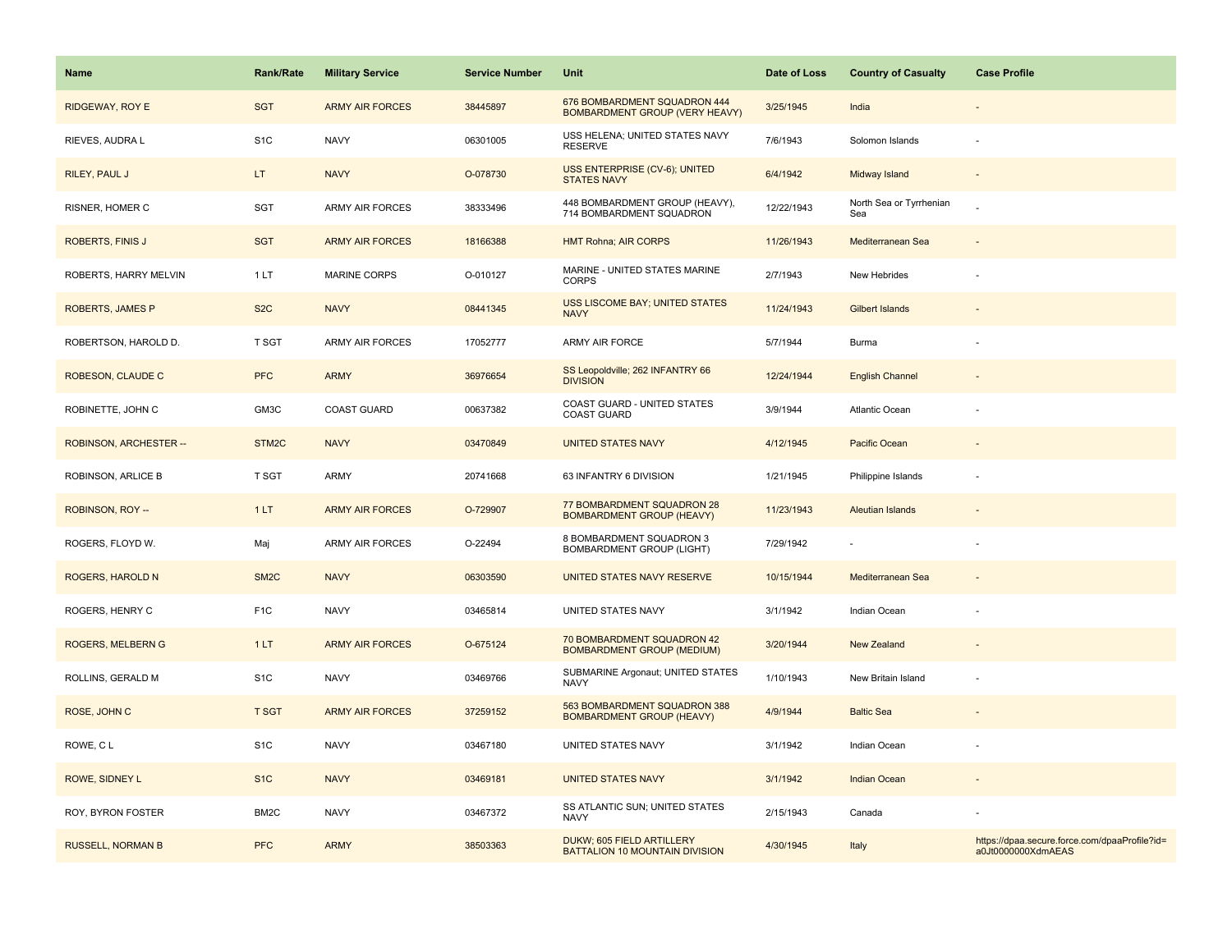| <b>Name</b>              | <b>Rank/Rate</b>   | <b>Military Service</b> | <b>Service Number</b> | Unit                                                                  | Date of Loss | <b>Country of Casualty</b>     | <b>Case Profile</b>                                                 |
|--------------------------|--------------------|-------------------------|-----------------------|-----------------------------------------------------------------------|--------------|--------------------------------|---------------------------------------------------------------------|
| RIDGEWAY, ROY E          | <b>SGT</b>         | <b>ARMY AIR FORCES</b>  | 38445897              | 676 BOMBARDMENT SQUADRON 444<br><b>BOMBARDMENT GROUP (VERY HEAVY)</b> | 3/25/1945    | India                          |                                                                     |
| RIEVES, AUDRA L          | S <sub>1</sub> C   | <b>NAVY</b>             | 06301005              | USS HELENA; UNITED STATES NAVY<br><b>RESERVE</b>                      | 7/6/1943     | Solomon Islands                |                                                                     |
| RILEY, PAUL J            | LT.                | <b>NAVY</b>             | O-078730              | USS ENTERPRISE (CV-6); UNITED<br><b>STATES NAVY</b>                   | 6/4/1942     | Midway Island                  |                                                                     |
| RISNER, HOMER C          | <b>SGT</b>         | ARMY AIR FORCES         | 38333496              | 448 BOMBARDMENT GROUP (HEAVY),<br>714 BOMBARDMENT SQUADRON            | 12/22/1943   | North Sea or Tyrrhenian<br>Sea |                                                                     |
| ROBERTS, FINIS J         | <b>SGT</b>         | <b>ARMY AIR FORCES</b>  | 18166388              | <b>HMT Rohna; AIR CORPS</b>                                           | 11/26/1943   | Mediterranean Sea              |                                                                     |
| ROBERTS, HARRY MELVIN    | 1 LT               | <b>MARINE CORPS</b>     | O-010127              | MARINE - UNITED STATES MARINE<br><b>CORPS</b>                         | 2/7/1943     | New Hebrides                   |                                                                     |
| ROBERTS, JAMES P         | S <sub>2</sub> C   | <b>NAVY</b>             | 08441345              | <b>USS LISCOME BAY; UNITED STATES</b><br><b>NAVY</b>                  | 11/24/1943   | <b>Gilbert Islands</b>         |                                                                     |
| ROBERTSON, HAROLD D.     | T SGT              | <b>ARMY AIR FORCES</b>  | 17052777              | ARMY AIR FORCE                                                        | 5/7/1944     | Burma                          |                                                                     |
| ROBESON, CLAUDE C        | <b>PFC</b>         | <b>ARMY</b>             | 36976654              | SS Leopoldville; 262 INFANTRY 66<br><b>DIVISION</b>                   | 12/24/1944   | <b>English Channel</b>         |                                                                     |
| ROBINETTE, JOHN C        | GM3C               | <b>COAST GUARD</b>      | 00637382              | COAST GUARD - UNITED STATES<br><b>COAST GUARD</b>                     | 3/9/1944     | Atlantic Ocean                 |                                                                     |
| ROBINSON, ARCHESTER --   | STM <sub>2</sub> C | <b>NAVY</b>             | 03470849              | <b>UNITED STATES NAVY</b>                                             | 4/12/1945    | Pacific Ocean                  |                                                                     |
| ROBINSON, ARLICE B       | T SGT              | ARMY                    | 20741668              | 63 INFANTRY 6 DIVISION                                                | 1/21/1945    | Philippine Islands             |                                                                     |
| ROBINSON, ROY --         | 1LT                | <b>ARMY AIR FORCES</b>  | O-729907              | 77 BOMBARDMENT SQUADRON 28<br><b>BOMBARDMENT GROUP (HEAVY)</b>        | 11/23/1943   | <b>Aleutian Islands</b>        |                                                                     |
| ROGERS, FLOYD W.         | Maj                | ARMY AIR FORCES         | O-22494               | 8 BOMBARDMENT SQUADRON 3<br><b>BOMBARDMENT GROUP (LIGHT)</b>          | 7/29/1942    |                                |                                                                     |
| ROGERS, HAROLD N         | SM <sub>2</sub> C  | <b>NAVY</b>             | 06303590              | UNITED STATES NAVY RESERVE                                            | 10/15/1944   | Mediterranean Sea              |                                                                     |
| ROGERS, HENRY C          | F <sub>1</sub> C   | <b>NAVY</b>             | 03465814              | UNITED STATES NAVY                                                    | 3/1/1942     | Indian Ocean                   |                                                                     |
| <b>ROGERS, MELBERN G</b> | 1LT                | <b>ARMY AIR FORCES</b>  | O-675124              | 70 BOMBARDMENT SQUADRON 42<br><b>BOMBARDMENT GROUP (MEDIUM)</b>       | 3/20/1944    | <b>New Zealand</b>             |                                                                     |
| ROLLINS, GERALD M        | S <sub>1</sub> C   | <b>NAVY</b>             | 03469766              | SUBMARINE Argonaut; UNITED STATES<br><b>NAVY</b>                      | 1/10/1943    | New Britain Island             |                                                                     |
| ROSE, JOHN C             | <b>T SGT</b>       | <b>ARMY AIR FORCES</b>  | 37259152              | 563 BOMBARDMENT SQUADRON 388<br><b>BOMBARDMENT GROUP (HEAVY)</b>      | 4/9/1944     | <b>Baltic Sea</b>              |                                                                     |
| ROWE, CL                 | S <sub>1</sub> C   | <b>NAVY</b>             | 03467180              | UNITED STATES NAVY                                                    | 3/1/1942     | Indian Ocean                   |                                                                     |
| ROWE, SIDNEY L           | S <sub>1</sub> C   | <b>NAVY</b>             | 03469181              | <b>UNITED STATES NAVY</b>                                             | 3/1/1942     | Indian Ocean                   |                                                                     |
| ROY, BYRON FOSTER        | BM2C               | <b>NAVY</b>             | 03467372              | SS ATLANTIC SUN; UNITED STATES<br><b>NAVY</b>                         | 2/15/1943    | Canada                         |                                                                     |
| <b>RUSSELL, NORMAN B</b> | <b>PFC</b>         | <b>ARMY</b>             | 38503363              | DUKW; 605 FIELD ARTILLERY<br>BATTALION 10 MOUNTAIN DIVISION           | 4/30/1945    | Italy                          | https://dpaa.secure.force.com/dpaaProfile?id=<br>a0Jt0000000XdmAEAS |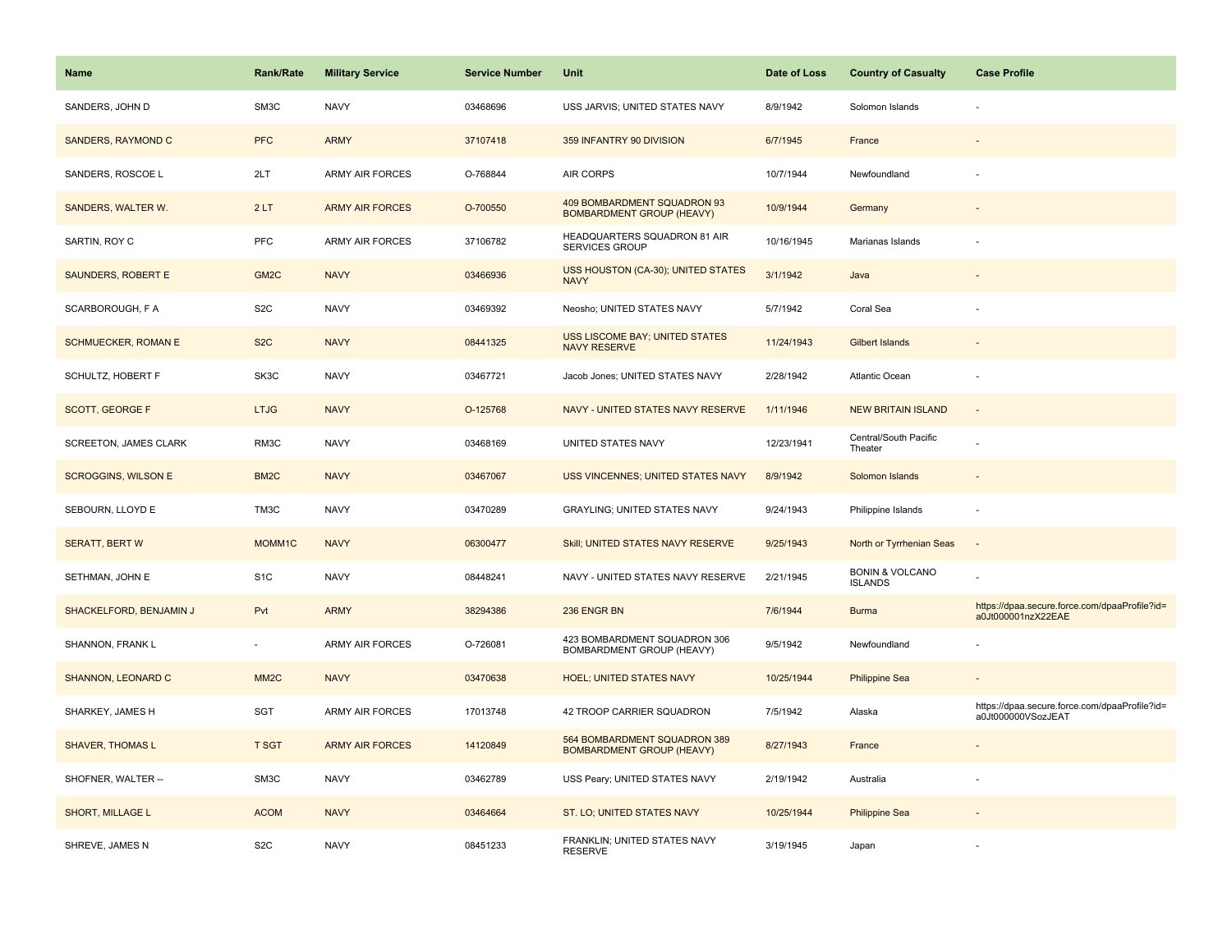| <b>Name</b>                  | <b>Rank/Rate</b>  | <b>Military Service</b> | <b>Service Number</b> | Unit                                                             | Date of Loss | <b>Country of Casualty</b>                   | <b>Case Profile</b>                                                 |
|------------------------------|-------------------|-------------------------|-----------------------|------------------------------------------------------------------|--------------|----------------------------------------------|---------------------------------------------------------------------|
| SANDERS, JOHN D              | SM3C              | <b>NAVY</b>             | 03468696              | USS JARVIS; UNITED STATES NAVY                                   | 8/9/1942     | Solomon Islands                              |                                                                     |
| SANDERS, RAYMOND C           | <b>PFC</b>        | <b>ARMY</b>             | 37107418              | 359 INFANTRY 90 DIVISION                                         | 6/7/1945     | France                                       |                                                                     |
| SANDERS, ROSCOE L            | 2LT               | <b>ARMY AIR FORCES</b>  | O-768844              | AIR CORPS                                                        | 10/7/1944    | Newfoundland                                 |                                                                     |
| SANDERS, WALTER W.           | 2LT               | <b>ARMY AIR FORCES</b>  | O-700550              | 409 BOMBARDMENT SQUADRON 93<br><b>BOMBARDMENT GROUP (HEAVY)</b>  | 10/9/1944    | Germany                                      |                                                                     |
| SARTIN, ROY C                | <b>PFC</b>        | <b>ARMY AIR FORCES</b>  | 37106782              | <b>HEADQUARTERS SQUADRON 81 AIR</b><br><b>SERVICES GROUP</b>     | 10/16/1945   | Marianas Islands                             |                                                                     |
| SAUNDERS, ROBERT E           | GM <sub>2</sub> C | <b>NAVY</b>             | 03466936              | USS HOUSTON (CA-30); UNITED STATES<br><b>NAVY</b>                | 3/1/1942     | Java                                         |                                                                     |
| SCARBOROUGH, F A             | S <sub>2</sub> C  | <b>NAVY</b>             | 03469392              | Neosho; UNITED STATES NAVY                                       | 5/7/1942     | Coral Sea                                    |                                                                     |
| <b>SCHMUECKER, ROMAN E</b>   | S <sub>2</sub> C  | <b>NAVY</b>             | 08441325              | USS LISCOME BAY; UNITED STATES<br><b>NAVY RESERVE</b>            | 11/24/1943   | <b>Gilbert Islands</b>                       |                                                                     |
| SCHULTZ, HOBERT F            | SK3C              | <b>NAVY</b>             | 03467721              | Jacob Jones; UNITED STATES NAVY                                  | 2/28/1942    | Atlantic Ocean                               |                                                                     |
| <b>SCOTT, GEORGE F</b>       | <b>LTJG</b>       | <b>NAVY</b>             | O-125768              | NAVY - UNITED STATES NAVY RESERVE                                | 1/11/1946    | <b>NEW BRITAIN ISLAND</b>                    |                                                                     |
| <b>SCREETON, JAMES CLARK</b> | RM3C              | <b>NAVY</b>             | 03468169              | UNITED STATES NAVY                                               | 12/23/1941   | Central/South Pacific<br>Theater             |                                                                     |
| <b>SCROGGINS, WILSON E</b>   | BM <sub>2</sub> C | <b>NAVY</b>             | 03467067              | <b>USS VINCENNES; UNITED STATES NAVY</b>                         | 8/9/1942     | Solomon Islands                              |                                                                     |
| SEBOURN, LLOYD E             | TM3C              | <b>NAVY</b>             | 03470289              | GRAYLING; UNITED STATES NAVY                                     | 9/24/1943    | Philippine Islands                           |                                                                     |
| <b>SERATT, BERT W</b>        | MOMM1C            | <b>NAVY</b>             | 06300477              | Skill; UNITED STATES NAVY RESERVE                                | 9/25/1943    | North or Tyrrhenian Seas                     | $\sim$                                                              |
| SETHMAN, JOHN E              | S <sub>1</sub> C  | <b>NAVY</b>             | 08448241              | NAVY - UNITED STATES NAVY RESERVE                                | 2/21/1945    | <b>BONIN &amp; VOLCANO</b><br><b>ISLANDS</b> |                                                                     |
| SHACKELFORD, BENJAMIN J      | Pvt               | <b>ARMY</b>             | 38294386              | 236 ENGR BN                                                      | 7/6/1944     | <b>Burma</b>                                 | https://dpaa.secure.force.com/dpaaProfile?id=<br>a0Jt000001nzX22EAE |
| SHANNON, FRANK L             | $\sim$            | <b>ARMY AIR FORCES</b>  | O-726081              | 423 BOMBARDMENT SQUADRON 306<br>BOMBARDMENT GROUP (HEAVY)        | 9/5/1942     | Newfoundland                                 |                                                                     |
| SHANNON, LEONARD C           | MM <sub>2</sub> C | <b>NAVY</b>             | 03470638              | <b>HOEL; UNITED STATES NAVY</b>                                  | 10/25/1944   | <b>Philippine Sea</b>                        |                                                                     |
| SHARKEY, JAMES H             | <b>SGT</b>        | <b>ARMY AIR FORCES</b>  | 17013748              | 42 TROOP CARRIER SQUADRON                                        | 7/5/1942     | Alaska                                       | https://dpaa.secure.force.com/dpaaProfile?id=<br>a0Jt000000VSozJEAT |
| <b>SHAVER, THOMAS L</b>      | <b>T SGT</b>      | <b>ARMY AIR FORCES</b>  | 14120849              | 564 BOMBARDMENT SQUADRON 389<br><b>BOMBARDMENT GROUP (HEAVY)</b> | 8/27/1943    | France                                       |                                                                     |
| SHOFNER, WALTER --           | SM3C              | <b>NAVY</b>             | 03462789              | USS Peary; UNITED STATES NAVY                                    | 2/19/1942    | Australia                                    |                                                                     |
| <b>SHORT, MILLAGE L</b>      | <b>ACOM</b>       | <b>NAVY</b>             | 03464664              | ST. LO; UNITED STATES NAVY                                       | 10/25/1944   | <b>Philippine Sea</b>                        |                                                                     |
| SHREVE, JAMES N              | S <sub>2</sub> C  | <b>NAVY</b>             | 08451233              | FRANKLIN; UNITED STATES NAVY<br><b>RESERVE</b>                   | 3/19/1945    | Japan                                        |                                                                     |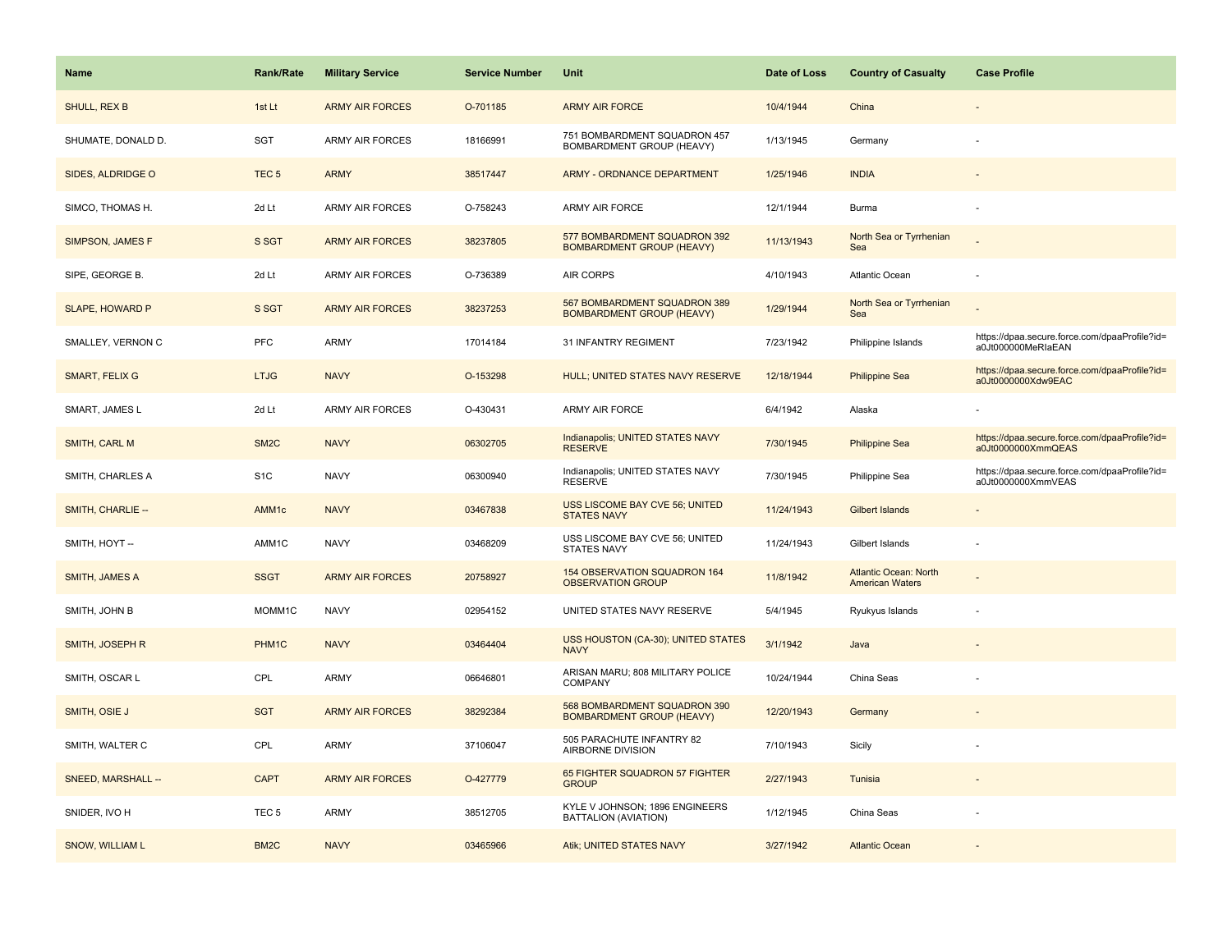| Name                   | <b>Rank/Rate</b>  | <b>Military Service</b> | <b>Service Number</b> | Unit                                                             | Date of Loss | <b>Country of Casualty</b>                             | <b>Case Profile</b>                                                 |
|------------------------|-------------------|-------------------------|-----------------------|------------------------------------------------------------------|--------------|--------------------------------------------------------|---------------------------------------------------------------------|
| SHULL, REX B           | 1st Lt            | <b>ARMY AIR FORCES</b>  | O-701185              | <b>ARMY AIR FORCE</b>                                            | 10/4/1944    | China                                                  |                                                                     |
| SHUMATE, DONALD D.     | SGT               | <b>ARMY AIR FORCES</b>  | 18166991              | 751 BOMBARDMENT SQUADRON 457<br>BOMBARDMENT GROUP (HEAVY)        | 1/13/1945    | Germany                                                |                                                                     |
| SIDES, ALDRIDGE O      | TEC <sub>5</sub>  | <b>ARMY</b>             | 38517447              | ARMY - ORDNANCE DEPARTMENT                                       | 1/25/1946    | <b>INDIA</b>                                           |                                                                     |
| SIMCO, THOMAS H.       | 2d Lt             | <b>ARMY AIR FORCES</b>  | O-758243              | ARMY AIR FORCE                                                   | 12/1/1944    | Burma                                                  |                                                                     |
| SIMPSON, JAMES F       | S SGT             | <b>ARMY AIR FORCES</b>  | 38237805              | 577 BOMBARDMENT SQUADRON 392<br><b>BOMBARDMENT GROUP (HEAVY)</b> | 11/13/1943   | North Sea or Tyrrhenian<br>Sea                         |                                                                     |
| SIPE, GEORGE B.        | 2d Lt             | <b>ARMY AIR FORCES</b>  | O-736389              | AIR CORPS                                                        | 4/10/1943    | <b>Atlantic Ocean</b>                                  |                                                                     |
| <b>SLAPE, HOWARD P</b> | S SGT             | <b>ARMY AIR FORCES</b>  | 38237253              | 567 BOMBARDMENT SQUADRON 389<br><b>BOMBARDMENT GROUP (HEAVY)</b> | 1/29/1944    | North Sea or Tyrrhenian<br>Sea                         |                                                                     |
| SMALLEY, VERNON C      | PFC               | <b>ARMY</b>             | 17014184              | 31 INFANTRY REGIMENT                                             | 7/23/1942    | Philippine Islands                                     | https://dpaa.secure.force.com/dpaaProfile?id=<br>a0Jt000000MeRIaEAN |
| <b>SMART, FELIX G</b>  | <b>LTJG</b>       | <b>NAVY</b>             | O-153298              | HULL; UNITED STATES NAVY RESERVE                                 | 12/18/1944   | <b>Philippine Sea</b>                                  | https://dpaa.secure.force.com/dpaaProfile?id=<br>a0Jt0000000Xdw9EAC |
| SMART, JAMES L         | 2d Lt             | <b>ARMY AIR FORCES</b>  | O-430431              | ARMY AIR FORCE                                                   | 6/4/1942     | Alaska                                                 |                                                                     |
| SMITH, CARL M          | SM <sub>2</sub> C | <b>NAVY</b>             | 06302705              | Indianapolis; UNITED STATES NAVY<br><b>RESERVE</b>               | 7/30/1945    | <b>Philippine Sea</b>                                  | https://dpaa.secure.force.com/dpaaProfile?id=<br>a0Jt0000000XmmQEAS |
| SMITH, CHARLES A       | S <sub>1</sub> C  | <b>NAVY</b>             | 06300940              | Indianapolis; UNITED STATES NAVY<br><b>RESERVE</b>               | 7/30/1945    | Philippine Sea                                         | https://dpaa.secure.force.com/dpaaProfile?id=<br>a0Jt0000000XmmVEAS |
| SMITH, CHARLIE --      | AMM1c             | <b>NAVY</b>             | 03467838              | USS LISCOME BAY CVE 56; UNITED<br><b>STATES NAVY</b>             | 11/24/1943   | <b>Gilbert Islands</b>                                 |                                                                     |
| SMITH, HOYT --         | AMM1C             | <b>NAVY</b>             | 03468209              | USS LISCOME BAY CVE 56; UNITED<br><b>STATES NAVY</b>             | 11/24/1943   | Gilbert Islands                                        |                                                                     |
| SMITH, JAMES A         | <b>SSGT</b>       | <b>ARMY AIR FORCES</b>  | 20758927              | 154 OBSERVATION SQUADRON 164<br><b>OBSERVATION GROUP</b>         | 11/8/1942    | <b>Atlantic Ocean: North</b><br><b>American Waters</b> |                                                                     |
| SMITH, JOHN B          | MOMM1C            | <b>NAVY</b>             | 02954152              | UNITED STATES NAVY RESERVE                                       | 5/4/1945     | Ryukyus Islands                                        |                                                                     |
| <b>SMITH, JOSEPH R</b> | PHM1C             | <b>NAVY</b>             | 03464404              | USS HOUSTON (CA-30); UNITED STATES<br><b>NAVY</b>                | 3/1/1942     | Java                                                   |                                                                     |
| SMITH, OSCAR L         | CPL               | <b>ARMY</b>             | 06646801              | ARISAN MARU; 808 MILITARY POLICE<br><b>COMPANY</b>               | 10/24/1944   | China Seas                                             |                                                                     |
| SMITH, OSIE J          | <b>SGT</b>        | <b>ARMY AIR FORCES</b>  | 38292384              | 568 BOMBARDMENT SQUADRON 390<br><b>BOMBARDMENT GROUP (HEAVY)</b> | 12/20/1943   | Germany                                                |                                                                     |
| SMITH, WALTER C        | CPL               | <b>ARMY</b>             | 37106047              | 505 PARACHUTE INFANTRY 82<br>AIRBORNE DIVISION                   | 7/10/1943    | Sicily                                                 |                                                                     |
| SNEED, MARSHALL --     | <b>CAPT</b>       | <b>ARMY AIR FORCES</b>  | O-427779              | 65 FIGHTER SQUADRON 57 FIGHTER<br><b>GROUP</b>                   | 2/27/1943    | Tunisia                                                |                                                                     |
| SNIDER, IVO H          | TEC <sub>5</sub>  | <b>ARMY</b>             | 38512705              | KYLE V JOHNSON; 1896 ENGINEERS<br>BATTALION (AVIATION)           | 1/12/1945    | China Seas                                             |                                                                     |
| SNOW, WILLIAM L        | BM <sub>2</sub> C | <b>NAVY</b>             | 03465966              | Atik; UNITED STATES NAVY                                         | 3/27/1942    | <b>Atlantic Ocean</b>                                  |                                                                     |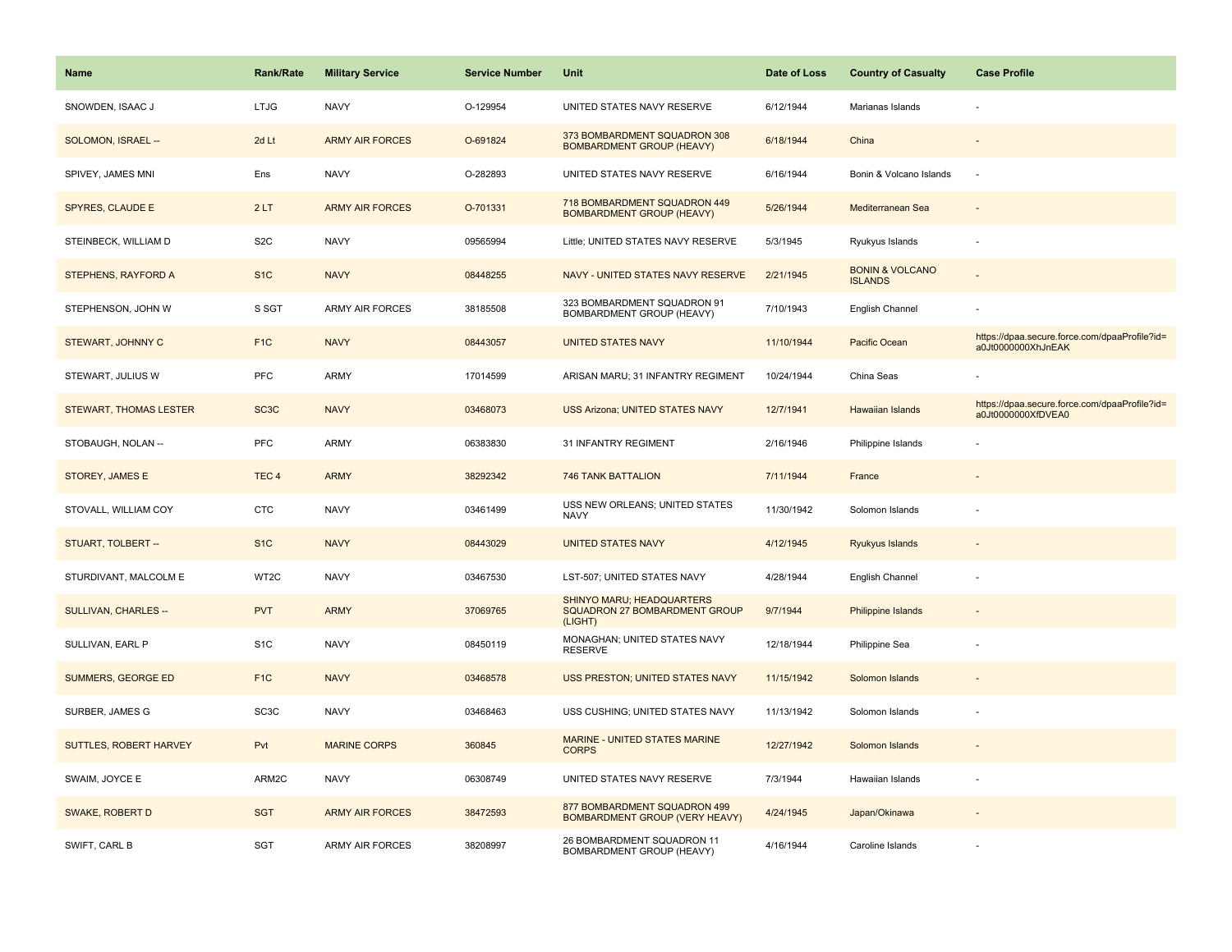| <b>Name</b>                   | <b>Rank/Rate</b>  | <b>Military Service</b> | <b>Service Number</b> | Unit                                                                         | Date of Loss | <b>Country of Casualty</b>                   | <b>Case Profile</b>                                                 |
|-------------------------------|-------------------|-------------------------|-----------------------|------------------------------------------------------------------------------|--------------|----------------------------------------------|---------------------------------------------------------------------|
| SNOWDEN, ISAAC J              | <b>LTJG</b>       | <b>NAVY</b>             | O-129954              | UNITED STATES NAVY RESERVE                                                   | 6/12/1944    | Marianas Islands                             |                                                                     |
| SOLOMON, ISRAEL --            | 2d Lt             | <b>ARMY AIR FORCES</b>  | O-691824              | 373 BOMBARDMENT SQUADRON 308<br><b>BOMBARDMENT GROUP (HEAVY)</b>             | 6/18/1944    | China                                        |                                                                     |
| SPIVEY, JAMES MNI             | Ens               | <b>NAVY</b>             | O-282893              | UNITED STATES NAVY RESERVE                                                   | 6/16/1944    | Bonin & Volcano Islands                      | ÷.                                                                  |
| SPYRES, CLAUDE E              | 2LT               | <b>ARMY AIR FORCES</b>  | O-701331              | 718 BOMBARDMENT SQUADRON 449<br><b>BOMBARDMENT GROUP (HEAVY)</b>             | 5/26/1944    | Mediterranean Sea                            |                                                                     |
| STEINBECK, WILLIAM D          | S <sub>2</sub> C  | <b>NAVY</b>             | 09565994              | Little; UNITED STATES NAVY RESERVE                                           | 5/3/1945     | Ryukyus Islands                              |                                                                     |
| STEPHENS, RAYFORD A           | S <sub>1</sub> C  | <b>NAVY</b>             | 08448255              | NAVY - UNITED STATES NAVY RESERVE                                            | 2/21/1945    | <b>BONIN &amp; VOLCANO</b><br><b>ISLANDS</b> |                                                                     |
| STEPHENSON, JOHN W            | S SGT             | <b>ARMY AIR FORCES</b>  | 38185508              | 323 BOMBARDMENT SQUADRON 91<br>BOMBARDMENT GROUP (HEAVY)                     | 7/10/1943    | English Channel                              |                                                                     |
| STEWART, JOHNNY C             | F <sub>1</sub> C  | <b>NAVY</b>             | 08443057              | <b>UNITED STATES NAVY</b>                                                    | 11/10/1944   | Pacific Ocean                                | https://dpaa.secure.force.com/dpaaProfile?id=<br>a0Jt0000000XhJnEAK |
| STEWART, JULIUS W             | <b>PFC</b>        | <b>ARMY</b>             | 17014599              | ARISAN MARU; 31 INFANTRY REGIMENT                                            | 10/24/1944   | China Seas                                   |                                                                     |
| <b>STEWART, THOMAS LESTER</b> | SC <sub>3</sub> C | <b>NAVY</b>             | 03468073              | <b>USS Arizona; UNITED STATES NAVY</b>                                       | 12/7/1941    | <b>Hawaiian Islands</b>                      | https://dpaa.secure.force.com/dpaaProfile?id=<br>a0Jt0000000XfDVEA0 |
| STOBAUGH, NOLAN --            | <b>PFC</b>        | <b>ARMY</b>             | 06383830              | 31 INFANTRY REGIMENT                                                         | 2/16/1946    | Philippine Islands                           |                                                                     |
| STOREY, JAMES E               | TEC <sub>4</sub>  | <b>ARMY</b>             | 38292342              | 746 TANK BATTALION                                                           | 7/11/1944    | France                                       |                                                                     |
| STOVALL, WILLIAM COY          | <b>CTC</b>        | <b>NAVY</b>             | 03461499              | USS NEW ORLEANS; UNITED STATES<br><b>NAVY</b>                                | 11/30/1942   | Solomon Islands                              |                                                                     |
| STUART, TOLBERT --            | S <sub>1C</sub>   | <b>NAVY</b>             | 08443029              | <b>UNITED STATES NAVY</b>                                                    | 4/12/1945    | Ryukyus Islands                              |                                                                     |
| STURDIVANT, MALCOLM E         | WT2C              | <b>NAVY</b>             | 03467530              | LST-507; UNITED STATES NAVY                                                  | 4/28/1944    | English Channel                              |                                                                     |
| SULLIVAN, CHARLES --          | <b>PVT</b>        | <b>ARMY</b>             | 37069765              | <b>SHINYO MARU; HEADQUARTERS</b><br>SQUADRON 27 BOMBARDMENT GROUP<br>(LIGHT) | 9/7/1944     | <b>Philippine Islands</b>                    |                                                                     |
| SULLIVAN, EARL P              | S <sub>1</sub> C  | <b>NAVY</b>             | 08450119              | MONAGHAN; UNITED STATES NAVY<br><b>RESERVE</b>                               | 12/18/1944   | Philippine Sea                               |                                                                     |
| <b>SUMMERS, GEORGE ED</b>     | F <sub>1C</sub>   | <b>NAVY</b>             | 03468578              | USS PRESTON; UNITED STATES NAVY                                              | 11/15/1942   | Solomon Islands                              |                                                                     |
| SURBER, JAMES G               | SC <sub>3</sub> C | <b>NAVY</b>             | 03468463              | USS CUSHING; UNITED STATES NAVY                                              | 11/13/1942   | Solomon Islands                              |                                                                     |
| SUTTLES, ROBERT HARVEY        | Pvt               | <b>MARINE CORPS</b>     | 360845                | MARINE - UNITED STATES MARINE<br><b>CORPS</b>                                | 12/27/1942   | Solomon Islands                              |                                                                     |
| SWAIM, JOYCE E                | ARM2C             | <b>NAVY</b>             | 06308749              | UNITED STATES NAVY RESERVE                                                   | 7/3/1944     | Hawaiian Islands                             |                                                                     |
| SWAKE, ROBERT D               | <b>SGT</b>        | <b>ARMY AIR FORCES</b>  | 38472593              | 877 BOMBARDMENT SQUADRON 499<br><b>BOMBARDMENT GROUP (VERY HEAVY)</b>        | 4/24/1945    | Japan/Okinawa                                |                                                                     |
| SWIFT, CARL B                 | <b>SGT</b>        | <b>ARMY AIR FORCES</b>  | 38208997              | 26 BOMBARDMENT SQUADRON 11<br>BOMBARDMENT GROUP (HEAVY)                      | 4/16/1944    | Caroline Islands                             |                                                                     |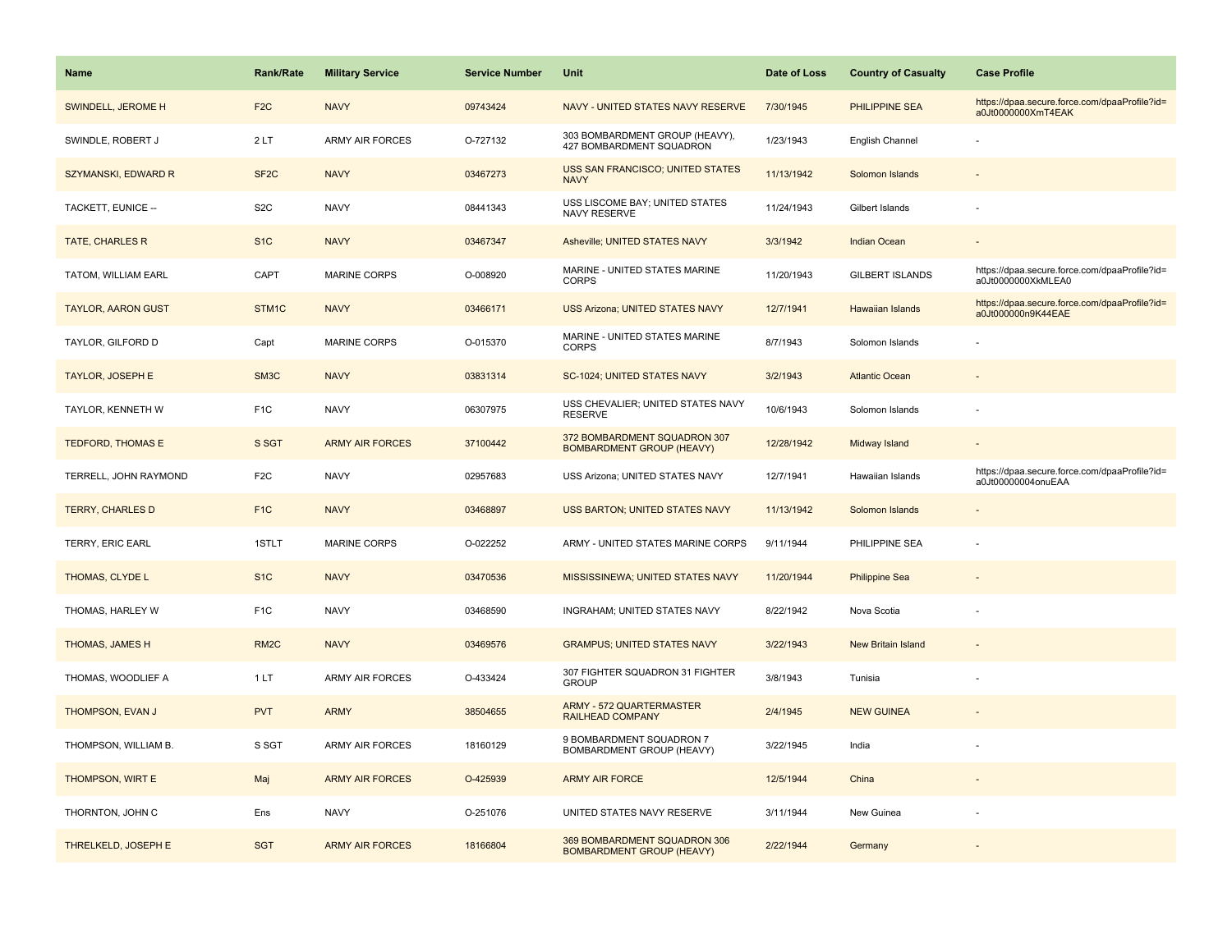| <b>Name</b>               | Rank/Rate         | <b>Military Service</b> | <b>Service Number</b> | Unit                                                              | Date of Loss | <b>Country of Casualty</b> | <b>Case Profile</b>                                                 |
|---------------------------|-------------------|-------------------------|-----------------------|-------------------------------------------------------------------|--------------|----------------------------|---------------------------------------------------------------------|
| SWINDELL, JEROME H        | F <sub>2</sub> C  | <b>NAVY</b>             | 09743424              | NAVY - UNITED STATES NAVY RESERVE                                 | 7/30/1945    | PHILIPPINE SEA             | https://dpaa.secure.force.com/dpaaProfile?id=<br>a0Jt0000000XmT4EAK |
| SWINDLE, ROBERT J         | 2LT               | <b>ARMY AIR FORCES</b>  | O-727132              | 303 BOMBARDMENT GROUP (HEAVY),<br><b>427 BOMBARDMENT SQUADRON</b> | 1/23/1943    | English Channel            |                                                                     |
| SZYMANSKI, EDWARD R       | SF <sub>2</sub> C | <b>NAVY</b>             | 03467273              | USS SAN FRANCISCO; UNITED STATES<br><b>NAVY</b>                   | 11/13/1942   | Solomon Islands            |                                                                     |
| TACKETT, EUNICE --        | S <sub>2</sub> C  | <b>NAVY</b>             | 08441343              | USS LISCOME BAY; UNITED STATES<br><b>NAVY RESERVE</b>             | 11/24/1943   | Gilbert Islands            |                                                                     |
| <b>TATE, CHARLES R</b>    | S <sub>1</sub> C  | <b>NAVY</b>             | 03467347              | Asheville; UNITED STATES NAVY                                     | 3/3/1942     | <b>Indian Ocean</b>        |                                                                     |
| TATOM, WILLIAM EARL       | CAPT              | <b>MARINE CORPS</b>     | O-008920              | MARINE - UNITED STATES MARINE<br><b>CORPS</b>                     | 11/20/1943   | <b>GILBERT ISLANDS</b>     | https://dpaa.secure.force.com/dpaaProfile?id=<br>a0Jt0000000XkMLEA0 |
| <b>TAYLOR, AARON GUST</b> | STM1C             | <b>NAVY</b>             | 03466171              | <b>USS Arizona; UNITED STATES NAVY</b>                            | 12/7/1941    | Hawaiian Islands           | https://dpaa.secure.force.com/dpaaProfile?id=<br>a0Jt000000n9K44EAE |
| TAYLOR, GILFORD D         | Capt              | <b>MARINE CORPS</b>     | O-015370              | MARINE - UNITED STATES MARINE<br><b>CORPS</b>                     | 8/7/1943     | Solomon Islands            |                                                                     |
| <b>TAYLOR, JOSEPH E</b>   | SM3C              | <b>NAVY</b>             | 03831314              | SC-1024; UNITED STATES NAVY                                       | 3/2/1943     | <b>Atlantic Ocean</b>      |                                                                     |
| TAYLOR, KENNETH W         | F <sub>1</sub> C  | <b>NAVY</b>             | 06307975              | USS CHEVALIER; UNITED STATES NAVY<br><b>RESERVE</b>               | 10/6/1943    | Solomon Islands            |                                                                     |
| <b>TEDFORD, THOMAS E</b>  | S SGT             | <b>ARMY AIR FORCES</b>  | 37100442              | 372 BOMBARDMENT SQUADRON 307<br><b>BOMBARDMENT GROUP (HEAVY)</b>  | 12/28/1942   | Midway Island              |                                                                     |
| TERRELL, JOHN RAYMOND     | F <sub>2</sub> C  | <b>NAVY</b>             | 02957683              | USS Arizona; UNITED STATES NAVY                                   | 12/7/1941    | Hawaiian Islands           | https://dpaa.secure.force.com/dpaaProfile?id=<br>a0Jt00000004onuEAA |
| <b>TERRY, CHARLES D</b>   | F <sub>1C</sub>   | <b>NAVY</b>             | 03468897              | <b>USS BARTON; UNITED STATES NAVY</b>                             | 11/13/1942   | Solomon Islands            |                                                                     |
| TERRY, ERIC EARL          | 1STLT             | MARINE CORPS            | O-022252              | ARMY - UNITED STATES MARINE CORPS                                 | 9/11/1944    | PHILIPPINE SEA             |                                                                     |
| THOMAS, CLYDE L           | S <sub>1C</sub>   | <b>NAVY</b>             | 03470536              | MISSISSINEWA; UNITED STATES NAVY                                  | 11/20/1944   | <b>Philippine Sea</b>      |                                                                     |
| THOMAS, HARLEY W          | F <sub>1</sub> C  | <b>NAVY</b>             | 03468590              | INGRAHAM; UNITED STATES NAVY                                      | 8/22/1942    | Nova Scotia                |                                                                     |
| THOMAS, JAMES H           | RM <sub>2</sub> C | <b>NAVY</b>             | 03469576              | <b>GRAMPUS; UNITED STATES NAVY</b>                                | 3/22/1943    | <b>New Britain Island</b>  |                                                                     |
| THOMAS, WOODLIEF A        | 1LT               | ARMY AIR FORCES         | O-433424              | 307 FIGHTER SQUADRON 31 FIGHTER<br><b>GROUP</b>                   | 3/8/1943     | Tunisia                    |                                                                     |
| THOMPSON, EVAN J          | <b>PVT</b>        | <b>ARMY</b>             | 38504655              | <b>ARMY - 572 QUARTERMASTER</b><br><b>RAILHEAD COMPANY</b>        | 2/4/1945     | <b>NEW GUINEA</b>          |                                                                     |
| THOMPSON, WILLIAM B.      | S SGT             | <b>ARMY AIR FORCES</b>  | 18160129              | 9 BOMBARDMENT SQUADRON 7<br>BOMBARDMENT GROUP (HEAVY)             | 3/22/1945    | India                      |                                                                     |
| THOMPSON, WIRT E          | Maj               | <b>ARMY AIR FORCES</b>  | O-425939              | <b>ARMY AIR FORCE</b>                                             | 12/5/1944    | China                      | $\sim$                                                              |
| THORNTON, JOHN C          | Ens               | <b>NAVY</b>             | O-251076              | UNITED STATES NAVY RESERVE                                        | 3/11/1944    | New Guinea                 |                                                                     |
| THRELKELD, JOSEPH E       | <b>SGT</b>        | <b>ARMY AIR FORCES</b>  | 18166804              | 369 BOMBARDMENT SQUADRON 306<br><b>BOMBARDMENT GROUP (HEAVY)</b>  | 2/22/1944    | Germany                    |                                                                     |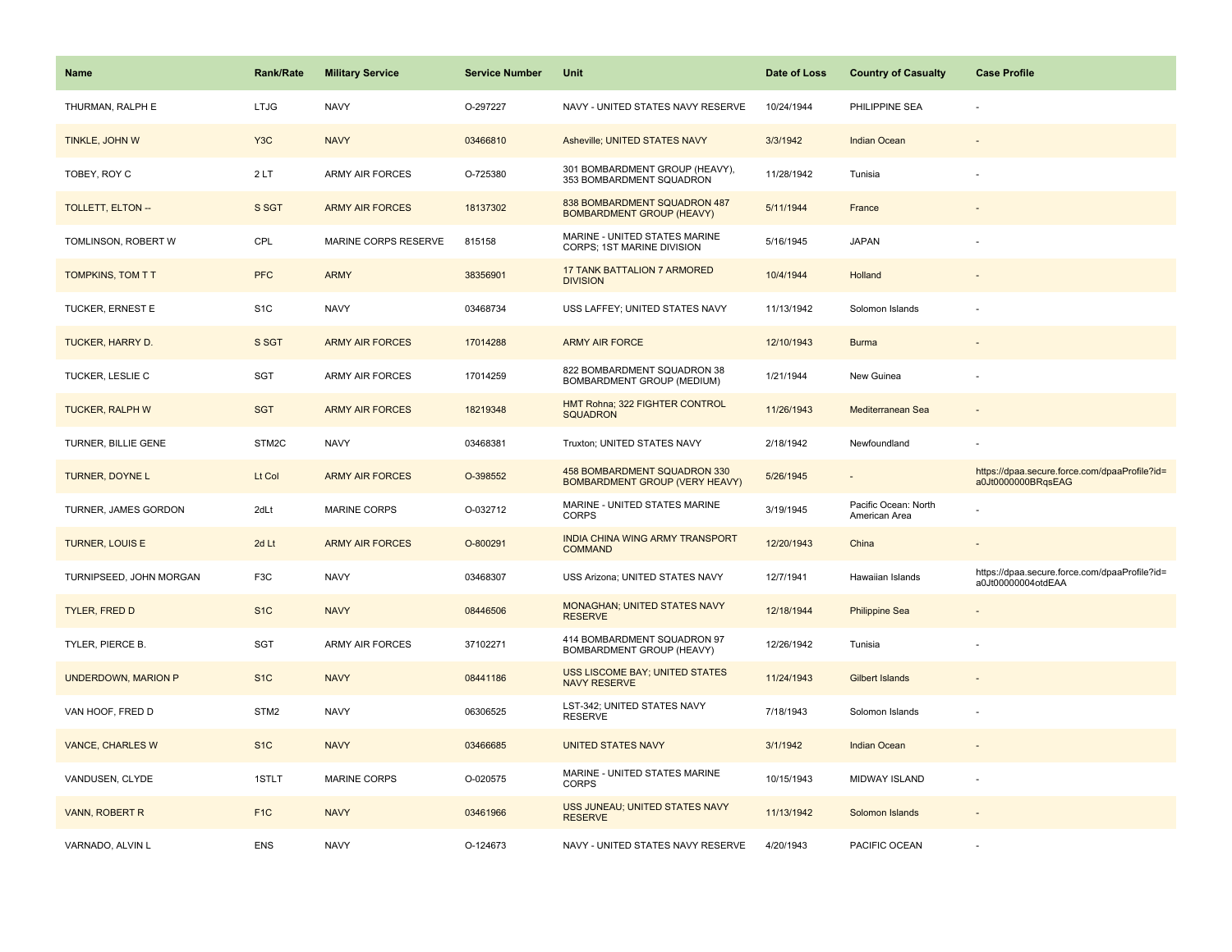| <b>Name</b>                | <b>Rank/Rate</b> | <b>Military Service</b> | <b>Service Number</b> | Unit                                                                  | Date of Loss | <b>Country of Casualty</b>            | <b>Case Profile</b>                                                 |
|----------------------------|------------------|-------------------------|-----------------------|-----------------------------------------------------------------------|--------------|---------------------------------------|---------------------------------------------------------------------|
| THURMAN, RALPH E           | <b>LTJG</b>      | <b>NAVY</b>             | O-297227              | NAVY - UNITED STATES NAVY RESERVE                                     | 10/24/1944   | PHILIPPINE SEA                        |                                                                     |
| TINKLE, JOHN W             | Y <sub>3</sub> C | <b>NAVY</b>             | 03466810              | Asheville; UNITED STATES NAVY                                         | 3/3/1942     | <b>Indian Ocean</b>                   |                                                                     |
| TOBEY, ROY C               | 2LT              | <b>ARMY AIR FORCES</b>  | O-725380              | 301 BOMBARDMENT GROUP (HEAVY),<br>353 BOMBARDMENT SQUADRON            | 11/28/1942   | Tunisia                               |                                                                     |
| <b>TOLLETT, ELTON --</b>   | S SGT            | <b>ARMY AIR FORCES</b>  | 18137302              | 838 BOMBARDMENT SQUADRON 487<br><b>BOMBARDMENT GROUP (HEAVY)</b>      | 5/11/1944    | France                                |                                                                     |
| TOMLINSON, ROBERT W        | CPL              | MARINE CORPS RESERVE    | 815158                | MARINE - UNITED STATES MARINE<br>CORPS; 1ST MARINE DIVISION           | 5/16/1945    | <b>JAPAN</b>                          |                                                                     |
| TOMPKINS, TOM T T          | <b>PFC</b>       | <b>ARMY</b>             | 38356901              | 17 TANK BATTALION 7 ARMORED<br><b>DIVISION</b>                        | 10/4/1944    | Holland                               |                                                                     |
| TUCKER, ERNEST E           | S <sub>1</sub> C | <b>NAVY</b>             | 03468734              | USS LAFFEY; UNITED STATES NAVY                                        | 11/13/1942   | Solomon Islands                       |                                                                     |
| TUCKER, HARRY D.           | S SGT            | <b>ARMY AIR FORCES</b>  | 17014288              | <b>ARMY AIR FORCE</b>                                                 | 12/10/1943   | <b>Burma</b>                          |                                                                     |
| TUCKER, LESLIE C           | <b>SGT</b>       | ARMY AIR FORCES         | 17014259              | 822 BOMBARDMENT SQUADRON 38<br>BOMBARDMENT GROUP (MEDIUM)             | 1/21/1944    | New Guinea                            |                                                                     |
| <b>TUCKER, RALPH W</b>     | <b>SGT</b>       | <b>ARMY AIR FORCES</b>  | 18219348              | HMT Rohna; 322 FIGHTER CONTROL<br><b>SQUADRON</b>                     | 11/26/1943   | Mediterranean Sea                     |                                                                     |
| TURNER, BILLIE GENE        | STM2C            | <b>NAVY</b>             | 03468381              | Truxton; UNITED STATES NAVY                                           | 2/18/1942    | Newfoundland                          |                                                                     |
| TURNER, DOYNE L            | Lt Col           | <b>ARMY AIR FORCES</b>  | O-398552              | 458 BOMBARDMENT SQUADRON 330<br><b>BOMBARDMENT GROUP (VERY HEAVY)</b> | 5/26/1945    |                                       | https://dpaa.secure.force.com/dpaaProfile?id=<br>a0Jt0000000BRqsEAG |
| TURNER, JAMES GORDON       | 2dLt             | <b>MARINE CORPS</b>     | O-032712              | MARINE - UNITED STATES MARINE<br><b>CORPS</b>                         | 3/19/1945    | Pacific Ocean: North<br>American Area |                                                                     |
| <b>TURNER, LOUIS E</b>     | 2d Lt            | <b>ARMY AIR FORCES</b>  | O-800291              | INDIA CHINA WING ARMY TRANSPORT<br><b>COMMAND</b>                     | 12/20/1943   | China                                 |                                                                     |
| TURNIPSEED, JOHN MORGAN    | F <sub>3</sub> C | <b>NAVY</b>             | 03468307              | USS Arizona; UNITED STATES NAVY                                       | 12/7/1941    | Hawaiian Islands                      | https://dpaa.secure.force.com/dpaaProfile?id=<br>a0Jt00000004otdEAA |
| <b>TYLER, FRED D</b>       | S <sub>1</sub> C | <b>NAVY</b>             | 08446506              | MONAGHAN; UNITED STATES NAVY<br><b>RESERVE</b>                        | 12/18/1944   | <b>Philippine Sea</b>                 |                                                                     |
| TYLER, PIERCE B.           | <b>SGT</b>       | <b>ARMY AIR FORCES</b>  | 37102271              | 414 BOMBARDMENT SQUADRON 97<br>BOMBARDMENT GROUP (HEAVY)              | 12/26/1942   | Tunisia                               |                                                                     |
| <b>UNDERDOWN, MARION P</b> | S <sub>1C</sub>  | <b>NAVY</b>             | 08441186              | <b>USS LISCOME BAY; UNITED STATES</b><br><b>NAVY RESERVE</b>          | 11/24/1943   | <b>Gilbert Islands</b>                |                                                                     |
| VAN HOOF, FRED D           | STM <sub>2</sub> | <b>NAVY</b>             | 06306525              | LST-342; UNITED STATES NAVY<br><b>RESERVE</b>                         | 7/18/1943    | Solomon Islands                       |                                                                     |
| <b>VANCE, CHARLES W</b>    | S <sub>1C</sub>  | <b>NAVY</b>             | 03466685              | <b>UNITED STATES NAVY</b>                                             | 3/1/1942     | <b>Indian Ocean</b>                   |                                                                     |
| VANDUSEN, CLYDE            | 1STLT            | <b>MARINE CORPS</b>     | O-020575              | MARINE - UNITED STATES MARINE<br><b>CORPS</b>                         | 10/15/1943   | <b>MIDWAY ISLAND</b>                  |                                                                     |
| VANN, ROBERT R             | F <sub>1C</sub>  | <b>NAVY</b>             | 03461966              | USS JUNEAU; UNITED STATES NAVY<br><b>RESERVE</b>                      | 11/13/1942   | Solomon Islands                       |                                                                     |
| VARNADO, ALVIN L           | <b>ENS</b>       | <b>NAVY</b>             | O-124673              | NAVY - UNITED STATES NAVY RESERVE                                     | 4/20/1943    | PACIFIC OCEAN                         |                                                                     |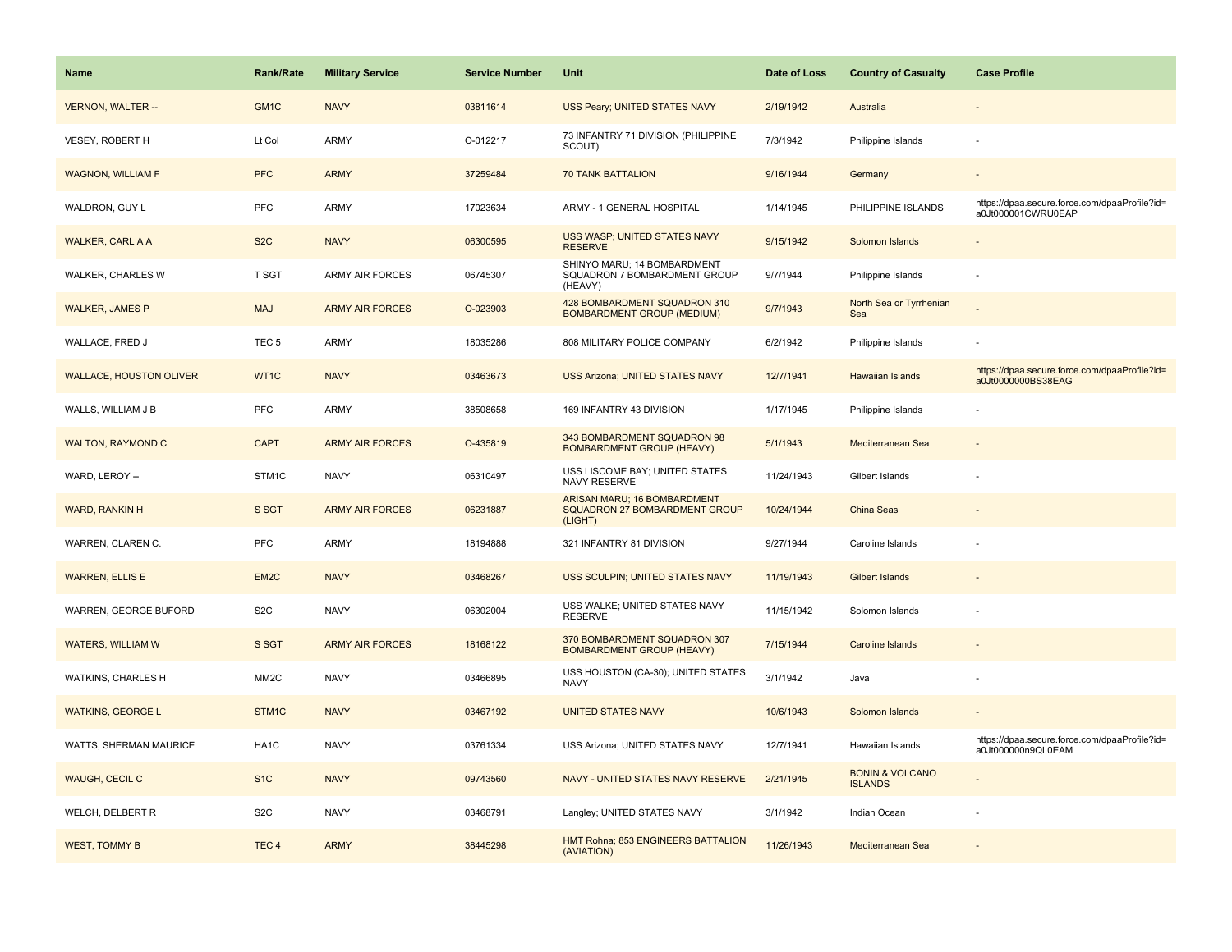| Name                           | <b>Rank/Rate</b>  | <b>Military Service</b> | <b>Service Number</b> | Unit                                                                           | Date of Loss | <b>Country of Casualty</b>                   | <b>Case Profile</b>                                                 |
|--------------------------------|-------------------|-------------------------|-----------------------|--------------------------------------------------------------------------------|--------------|----------------------------------------------|---------------------------------------------------------------------|
| <b>VERNON, WALTER --</b>       | GM <sub>1C</sub>  | <b>NAVY</b>             | 03811614              | USS Peary; UNITED STATES NAVY                                                  | 2/19/1942    | Australia                                    |                                                                     |
| VESEY, ROBERT H                | Lt Col            | <b>ARMY</b>             | O-012217              | 73 INFANTRY 71 DIVISION (PHILIPPINE<br>SCOUT)                                  | 7/3/1942     | Philippine Islands                           |                                                                     |
| <b>WAGNON, WILLIAM F</b>       | <b>PFC</b>        | <b>ARMY</b>             | 37259484              | <b>70 TANK BATTALION</b>                                                       | 9/16/1944    | Germany                                      |                                                                     |
| WALDRON, GUY L                 | PFC               | ARMY                    | 17023634              | ARMY - 1 GENERAL HOSPITAL                                                      | 1/14/1945    | PHILIPPINE ISLANDS                           | https://dpaa.secure.force.com/dpaaProfile?id=<br>a0Jt000001CWRU0EAP |
| <b>WALKER, CARL A A</b>        | S <sub>2</sub> C  | <b>NAVY</b>             | 06300595              | USS WASP; UNITED STATES NAVY<br><b>RESERVE</b>                                 | 9/15/1942    | Solomon Islands                              |                                                                     |
| WALKER, CHARLES W              | T SGT             | <b>ARMY AIR FORCES</b>  | 06745307              | SHINYO MARU; 14 BOMBARDMENT<br>SQUADRON 7 BOMBARDMENT GROUP<br>(HEAVY)         | 9/7/1944     | Philippine Islands                           |                                                                     |
| <b>WALKER, JAMES P</b>         | <b>MAJ</b>        | <b>ARMY AIR FORCES</b>  | O-023903              | 428 BOMBARDMENT SQUADRON 310<br><b>BOMBARDMENT GROUP (MEDIUM)</b>              | 9/7/1943     | North Sea or Tyrrhenian<br>Sea               |                                                                     |
| WALLACE, FRED J                | TEC <sub>5</sub>  | <b>ARMY</b>             | 18035286              | 808 MILITARY POLICE COMPANY                                                    | 6/2/1942     | Philippine Islands                           |                                                                     |
| <b>WALLACE, HOUSTON OLIVER</b> | WT1C              | <b>NAVY</b>             | 03463673              | <b>USS Arizona; UNITED STATES NAVY</b>                                         | 12/7/1941    | Hawaiian Islands                             | https://dpaa.secure.force.com/dpaaProfile?id=<br>a0Jt0000000BS38EAG |
| WALLS, WILLIAM J B             | PFC               | ARMY                    | 38508658              | 169 INFANTRY 43 DIVISION                                                       | 1/17/1945    | Philippine Islands                           |                                                                     |
| <b>WALTON, RAYMOND C</b>       | <b>CAPT</b>       | <b>ARMY AIR FORCES</b>  | O-435819              | 343 BOMBARDMENT SQUADRON 98<br><b>BOMBARDMENT GROUP (HEAVY)</b>                | 5/1/1943     | Mediterranean Sea                            |                                                                     |
| WARD, LEROY --                 | STM1C             | <b>NAVY</b>             | 06310497              | USS LISCOME BAY; UNITED STATES<br>NAVY RESERVE                                 | 11/24/1943   | Gilbert Islands                              |                                                                     |
| WARD, RANKIN H                 | S SGT             | <b>ARMY AIR FORCES</b>  | 06231887              | ARISAN MARU; 16 BOMBARDMENT<br><b>SQUADRON 27 BOMBARDMENT GROUP</b><br>(LIGHT) | 10/24/1944   | China Seas                                   |                                                                     |
| WARREN, CLAREN C.              | PFC               | <b>ARMY</b>             | 18194888              | 321 INFANTRY 81 DIVISION                                                       | 9/27/1944    | Caroline Islands                             |                                                                     |
| <b>WARREN, ELLIS E</b>         | EM <sub>2</sub> C | <b>NAVY</b>             | 03468267              | USS SCULPIN; UNITED STATES NAVY                                                | 11/19/1943   | <b>Gilbert Islands</b>                       |                                                                     |
| WARREN, GEORGE BUFORD          | S <sub>2</sub> C  | <b>NAVY</b>             | 06302004              | USS WALKE; UNITED STATES NAVY<br><b>RESERVE</b>                                | 11/15/1942   | Solomon Islands                              |                                                                     |
| <b>WATERS, WILLIAM W</b>       | S SGT             | <b>ARMY AIR FORCES</b>  | 18168122              | 370 BOMBARDMENT SQUADRON 307<br><b>BOMBARDMENT GROUP (HEAVY)</b>               | 7/15/1944    | <b>Caroline Islands</b>                      |                                                                     |
| WATKINS, CHARLES H             | MM <sub>2</sub> C | <b>NAVY</b>             | 03466895              | USS HOUSTON (CA-30); UNITED STATES<br><b>NAVY</b>                              | 3/1/1942     | Java                                         |                                                                     |
| <b>WATKINS, GEORGE L</b>       | STM1C             | <b>NAVY</b>             | 03467192              | <b>UNITED STATES NAVY</b>                                                      | 10/6/1943    | Solomon Islands                              |                                                                     |
| WATTS, SHERMAN MAURICE         | HA1C              | <b>NAVY</b>             | 03761334              | USS Arizona; UNITED STATES NAVY                                                | 12/7/1941    | Hawaiian Islands                             | https://dpaa.secure.force.com/dpaaProfile?id=<br>a0Jt000000n9QL0EAM |
| WAUGH, CECIL C                 | S <sub>1</sub> C  | <b>NAVY</b>             | 09743560              | NAVY - UNITED STATES NAVY RESERVE                                              | 2/21/1945    | <b>BONIN &amp; VOLCANO</b><br><b>ISLANDS</b> |                                                                     |
| WELCH, DELBERT R               | S <sub>2</sub> C  | <b>NAVY</b>             | 03468791              | Langley; UNITED STATES NAVY                                                    | 3/1/1942     | Indian Ocean                                 |                                                                     |
| <b>WEST, TOMMY B</b>           | TEC <sub>4</sub>  | <b>ARMY</b>             | 38445298              | HMT Rohna; 853 ENGINEERS BATTALION<br>(AVIATION)                               | 11/26/1943   | Mediterranean Sea                            |                                                                     |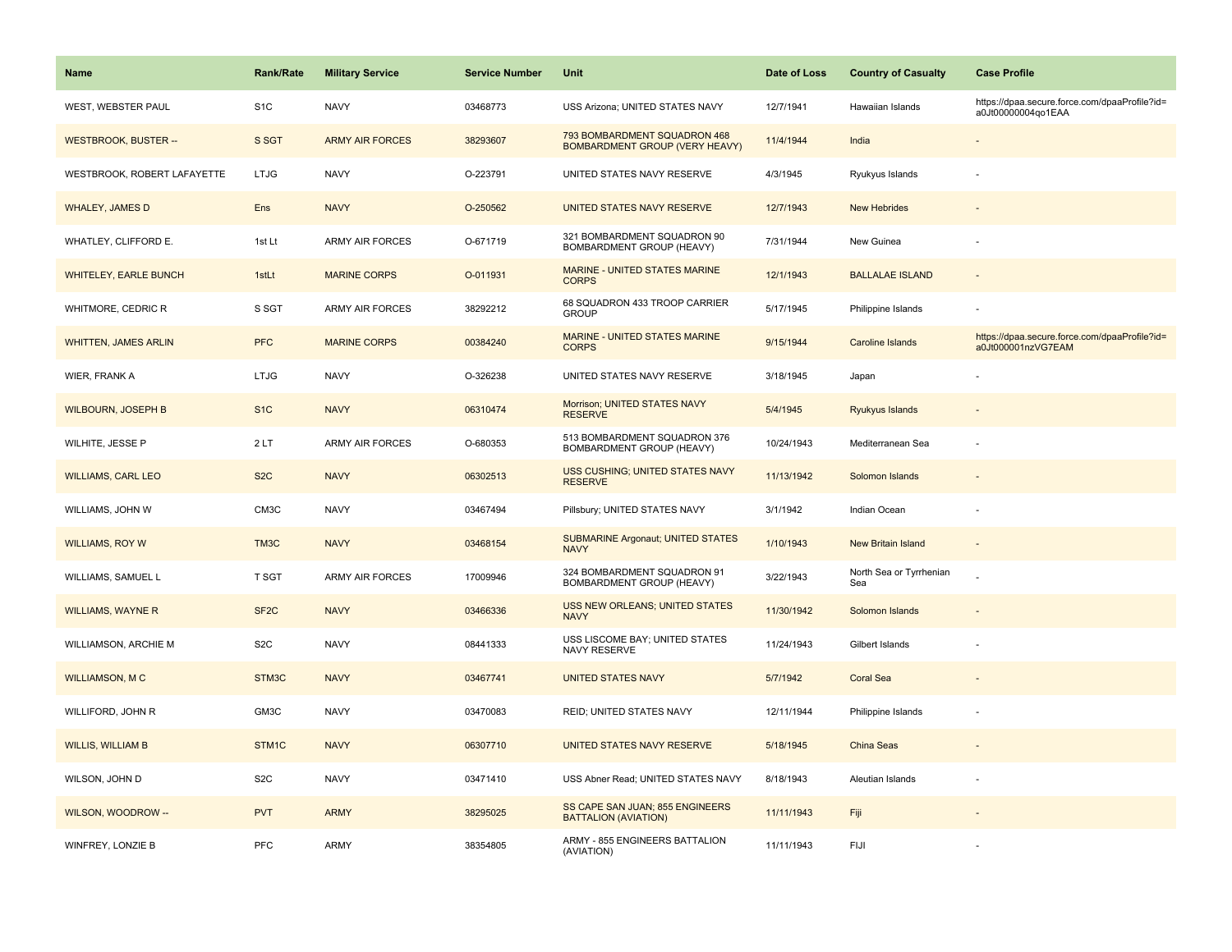| Name                         | <b>Rank/Rate</b>  | <b>Military Service</b> | <b>Service Number</b> | Unit                                                                  | Date of Loss | <b>Country of Casualty</b>     | <b>Case Profile</b>                                                 |
|------------------------------|-------------------|-------------------------|-----------------------|-----------------------------------------------------------------------|--------------|--------------------------------|---------------------------------------------------------------------|
| WEST, WEBSTER PAUL           | S <sub>1</sub> C  | <b>NAVY</b>             | 03468773              | USS Arizona; UNITED STATES NAVY                                       | 12/7/1941    | Hawaiian Islands               | https://dpaa.secure.force.com/dpaaProfile?id=<br>a0Jt00000004qo1EAA |
| <b>WESTBROOK, BUSTER --</b>  | S SGT             | <b>ARMY AIR FORCES</b>  | 38293607              | 793 BOMBARDMENT SQUADRON 468<br><b>BOMBARDMENT GROUP (VERY HEAVY)</b> | 11/4/1944    | India                          |                                                                     |
| WESTBROOK, ROBERT LAFAYETTE  | <b>LTJG</b>       | <b>NAVY</b>             | O-223791              | UNITED STATES NAVY RESERVE                                            | 4/3/1945     | Ryukyus Islands                |                                                                     |
| <b>WHALEY, JAMES D</b>       | Ens               | <b>NAVY</b>             | O-250562              | UNITED STATES NAVY RESERVE                                            | 12/7/1943    | <b>New Hebrides</b>            |                                                                     |
| WHATLEY, CLIFFORD E.         | 1st Lt            | <b>ARMY AIR FORCES</b>  | O-671719              | 321 BOMBARDMENT SQUADRON 90<br>BOMBARDMENT GROUP (HEAVY)              | 7/31/1944    | New Guinea                     |                                                                     |
| <b>WHITELEY, EARLE BUNCH</b> | 1stLt             | <b>MARINE CORPS</b>     | O-011931              | MARINE - UNITED STATES MARINE<br><b>CORPS</b>                         | 12/1/1943    | <b>BALLALAE ISLAND</b>         | $\sim$                                                              |
| WHITMORE, CEDRIC R           | S SGT             | <b>ARMY AIR FORCES</b>  | 38292212              | 68 SQUADRON 433 TROOP CARRIER<br><b>GROUP</b>                         | 5/17/1945    | Philippine Islands             | $\overline{\phantom{a}}$                                            |
| <b>WHITTEN, JAMES ARLIN</b>  | <b>PFC</b>        | <b>MARINE CORPS</b>     | 00384240              | MARINE - UNITED STATES MARINE<br><b>CORPS</b>                         | 9/15/1944    | Caroline Islands               | https://dpaa.secure.force.com/dpaaProfile?id=<br>a0Jt000001nzVG7EAM |
| WIER, FRANK A                | <b>LTJG</b>       | <b>NAVY</b>             | O-326238              | UNITED STATES NAVY RESERVE                                            | 3/18/1945    | Japan                          |                                                                     |
| <b>WILBOURN, JOSEPH B</b>    | S <sub>1</sub> C  | <b>NAVY</b>             | 06310474              | Morrison; UNITED STATES NAVY<br><b>RESERVE</b>                        | 5/4/1945     | Ryukyus Islands                |                                                                     |
| WILHITE, JESSE P             | 2LT               | <b>ARMY AIR FORCES</b>  | O-680353              | 513 BOMBARDMENT SQUADRON 376<br>BOMBARDMENT GROUP (HEAVY)             | 10/24/1943   | Mediterranean Sea              |                                                                     |
| <b>WILLIAMS, CARL LEO</b>    | S <sub>2</sub> C  | <b>NAVY</b>             | 06302513              | USS CUSHING; UNITED STATES NAVY<br><b>RESERVE</b>                     | 11/13/1942   | Solomon Islands                |                                                                     |
| WILLIAMS, JOHN W             | CM3C              | <b>NAVY</b>             | 03467494              | Pillsbury; UNITED STATES NAVY                                         | 3/1/1942     | Indian Ocean                   |                                                                     |
| <b>WILLIAMS, ROY W</b>       | TM3C              | <b>NAVY</b>             | 03468154              | <b>SUBMARINE Argonaut; UNITED STATES</b><br><b>NAVY</b>               | 1/10/1943    | <b>New Britain Island</b>      | $\omega$                                                            |
| WILLIAMS, SAMUEL L           | T SGT             | <b>ARMY AIR FORCES</b>  | 17009946              | 324 BOMBARDMENT SQUADRON 91<br>BOMBARDMENT GROUP (HEAVY)              | 3/22/1943    | North Sea or Tyrrhenian<br>Sea |                                                                     |
| <b>WILLIAMS, WAYNE R</b>     | SF <sub>2</sub> C | <b>NAVY</b>             | 03466336              | USS NEW ORLEANS; UNITED STATES<br><b>NAVY</b>                         | 11/30/1942   | Solomon Islands                |                                                                     |
| WILLIAMSON, ARCHIE M         | S <sub>2</sub> C  | <b>NAVY</b>             | 08441333              | USS LISCOME BAY; UNITED STATES<br>NAVY RESERVE                        | 11/24/1943   | Gilbert Islands                |                                                                     |
| <b>WILLIAMSON, MC</b>        | STM3C             | <b>NAVY</b>             | 03467741              | <b>UNITED STATES NAVY</b>                                             | 5/7/1942     | <b>Coral Sea</b>               |                                                                     |
| WILLIFORD, JOHN R            | GM3C              | <b>NAVY</b>             | 03470083              | REID; UNITED STATES NAVY                                              | 12/11/1944   | Philippine Islands             |                                                                     |
| <b>WILLIS, WILLIAM B</b>     | STM1C             | <b>NAVY</b>             | 06307710              | UNITED STATES NAVY RESERVE                                            | 5/18/1945    | China Seas                     |                                                                     |
| WILSON, JOHN D               | S <sub>2</sub> C  | <b>NAVY</b>             | 03471410              | USS Abner Read; UNITED STATES NAVY                                    | 8/18/1943    | Aleutian Islands               |                                                                     |
| WILSON, WOODROW --           | <b>PVT</b>        | <b>ARMY</b>             | 38295025              | SS CAPE SAN JUAN; 855 ENGINEERS<br><b>BATTALION (AVIATION)</b>        | 11/11/1943   | Fiji                           |                                                                     |
| WINFREY, LONZIE B            | <b>PFC</b>        | ARMY                    | 38354805              | ARMY - 855 ENGINEERS BATTALION<br>(AVIATION)                          | 11/11/1943   | FIJI                           |                                                                     |